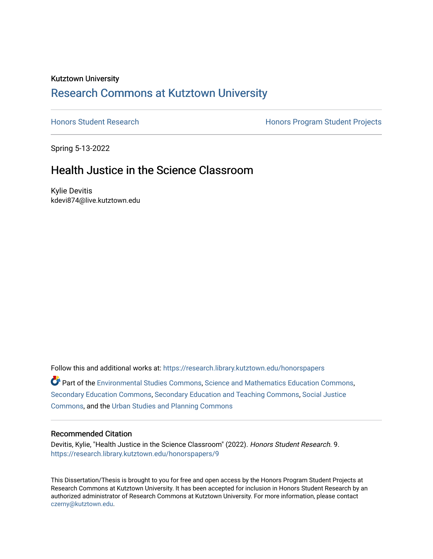# Kutztown University [Research Commons at Kutztown University](https://research.library.kutztown.edu/)

[Honors Student Research](https://research.library.kutztown.edu/honorspapers) **Honors Program Student Projects Honors Program Student Projects** 

Spring 5-13-2022

# Health Justice in the Science Classroom

Kylie Devitis kdevi874@live.kutztown.edu

Follow this and additional works at: [https://research.library.kutztown.edu/honorspapers](https://research.library.kutztown.edu/honorspapers?utm_source=research.library.kutztown.edu%2Fhonorspapers%2F9&utm_medium=PDF&utm_campaign=PDFCoverPages)

**Part of the [Environmental Studies Commons](https://network.bepress.com/hgg/discipline/1333?utm_source=research.library.kutztown.edu%2Fhonorspapers%2F9&utm_medium=PDF&utm_campaign=PDFCoverPages), [Science and Mathematics Education Commons](https://network.bepress.com/hgg/discipline/800?utm_source=research.library.kutztown.edu%2Fhonorspapers%2F9&utm_medium=PDF&utm_campaign=PDFCoverPages),** [Secondary Education Commons](https://network.bepress.com/hgg/discipline/1382?utm_source=research.library.kutztown.edu%2Fhonorspapers%2F9&utm_medium=PDF&utm_campaign=PDFCoverPages), [Secondary Education and Teaching Commons](https://network.bepress.com/hgg/discipline/809?utm_source=research.library.kutztown.edu%2Fhonorspapers%2F9&utm_medium=PDF&utm_campaign=PDFCoverPages), [Social Justice](https://network.bepress.com/hgg/discipline/1432?utm_source=research.library.kutztown.edu%2Fhonorspapers%2F9&utm_medium=PDF&utm_campaign=PDFCoverPages)  [Commons](https://network.bepress.com/hgg/discipline/1432?utm_source=research.library.kutztown.edu%2Fhonorspapers%2F9&utm_medium=PDF&utm_campaign=PDFCoverPages), and the [Urban Studies and Planning Commons](https://network.bepress.com/hgg/discipline/436?utm_source=research.library.kutztown.edu%2Fhonorspapers%2F9&utm_medium=PDF&utm_campaign=PDFCoverPages)

#### Recommended Citation

Devitis, Kylie, "Health Justice in the Science Classroom" (2022). Honors Student Research. 9. [https://research.library.kutztown.edu/honorspapers/9](https://research.library.kutztown.edu/honorspapers/9?utm_source=research.library.kutztown.edu%2Fhonorspapers%2F9&utm_medium=PDF&utm_campaign=PDFCoverPages) 

This Dissertation/Thesis is brought to you for free and open access by the Honors Program Student Projects at Research Commons at Kutztown University. It has been accepted for inclusion in Honors Student Research by an authorized administrator of Research Commons at Kutztown University. For more information, please contact [czerny@kutztown.edu](mailto:czerny@kutztown.edu).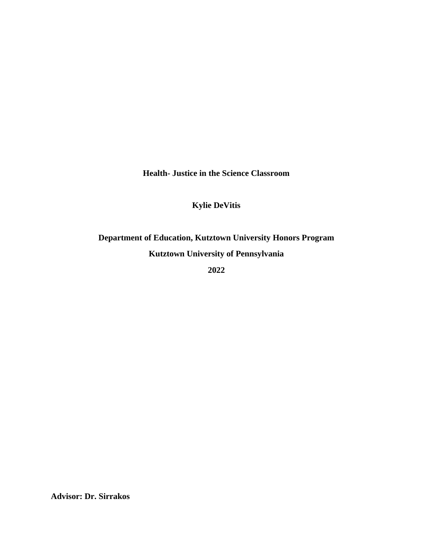**Health- Justice in the Science Classroom**

## **Kylie DeVitis**

**Department of Education, Kutztown University Honors Program Kutztown University of Pennsylvania**

**2022**

**Advisor: Dr. Sirrakos**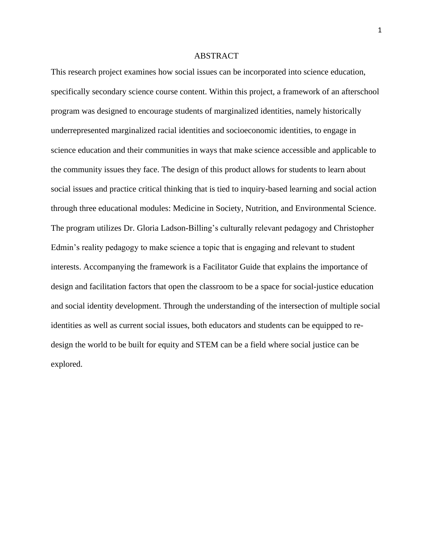#### ABSTRACT

This research project examines how social issues can be incorporated into science education, specifically secondary science course content. Within this project, a framework of an afterschool program was designed to encourage students of marginalized identities, namely historically underrepresented marginalized racial identities and socioeconomic identities, to engage in science education and their communities in ways that make science accessible and applicable to the community issues they face. The design of this product allows for students to learn about social issues and practice critical thinking that is tied to inquiry-based learning and social action through three educational modules: Medicine in Society, Nutrition, and Environmental Science. The program utilizes Dr. Gloria Ladson-Billing's culturally relevant pedagogy and Christopher Edmin's reality pedagogy to make science a topic that is engaging and relevant to student interests. Accompanying the framework is a Facilitator Guide that explains the importance of design and facilitation factors that open the classroom to be a space for social-justice education and social identity development. Through the understanding of the intersection of multiple social identities as well as current social issues, both educators and students can be equipped to redesign the world to be built for equity and STEM can be a field where social justice can be explored.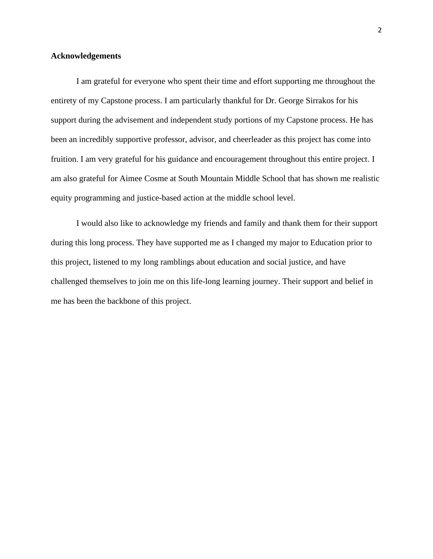#### **Acknowledgements**

I am grateful for everyone who spent their time and effort supporting me throughout the entirety of my Capstone process. I am particularly thankful for Dr. George Sirrakos for his support during the advisement and independent study portions of my Capstone process. He has been an incredibly supportive professor, advisor, and cheerleader as this project has come into fruition. I am very grateful for his guidance and encouragement throughout this entire project. I am also grateful for Aimee Cosme at South Mountain Middle School that has shown me realistic equity programming and justice-based action at the middle school level.

I would also like to acknowledge my friends and family and thank them for their support during this long process. They have supported me as I changed my major to Education prior to this project, listened to my long ramblings about education and social justice, and have challenged themselves to join me on this life-long learning journey. Their support and belief in me has been the backbone of this project.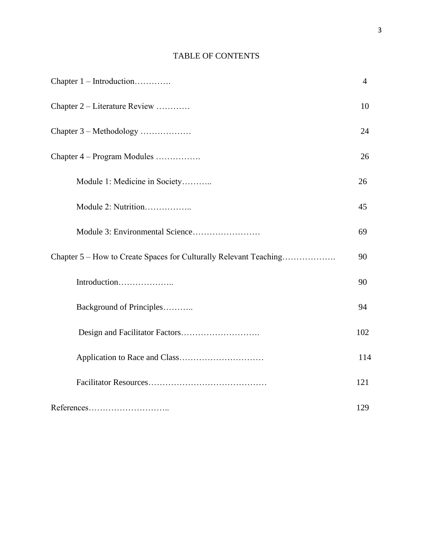## TABLE OF CONTENTS

| Chapter $1$ – Introduction                                        | $\overline{4}$ |
|-------------------------------------------------------------------|----------------|
| Chapter 2 – Literature Review                                     | 10             |
| Chapter 3 – Methodology                                           | 24             |
| Chapter 4 – Program Modules                                       | 26             |
| Module 1: Medicine in Society                                     | 26             |
| Module 2: Nutrition                                               | 45             |
|                                                                   | 69             |
| Chapter 5 – How to Create Spaces for Culturally Relevant Teaching | 90             |
| Introduction                                                      | 90             |
| Background of Principles                                          | 94             |
|                                                                   | 102            |
|                                                                   | 114            |
|                                                                   | 121            |
|                                                                   | 129            |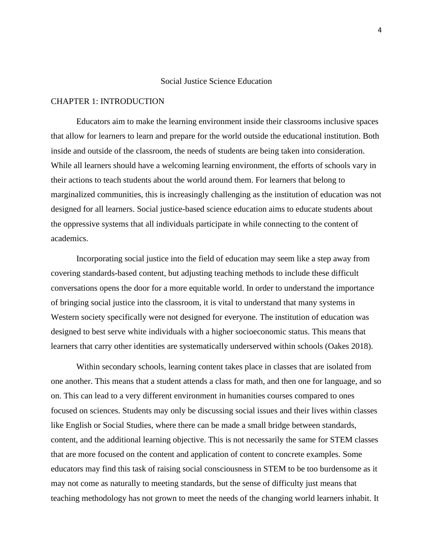#### Social Justice Science Education

#### CHAPTER 1: INTRODUCTION

Educators aim to make the learning environment inside their classrooms inclusive spaces that allow for learners to learn and prepare for the world outside the educational institution. Both inside and outside of the classroom, the needs of students are being taken into consideration. While all learners should have a welcoming learning environment, the efforts of schools vary in their actions to teach students about the world around them. For learners that belong to marginalized communities, this is increasingly challenging as the institution of education was not designed for all learners. Social justice-based science education aims to educate students about the oppressive systems that all individuals participate in while connecting to the content of academics.

Incorporating social justice into the field of education may seem like a step away from covering standards-based content, but adjusting teaching methods to include these difficult conversations opens the door for a more equitable world. In order to understand the importance of bringing social justice into the classroom, it is vital to understand that many systems in Western society specifically were not designed for everyone. The institution of education was designed to best serve white individuals with a higher socioeconomic status. This means that learners that carry other identities are systematically underserved within schools (Oakes 2018).

Within secondary schools, learning content takes place in classes that are isolated from one another. This means that a student attends a class for math, and then one for language, and so on. This can lead to a very different environment in humanities courses compared to ones focused on sciences. Students may only be discussing social issues and their lives within classes like English or Social Studies, where there can be made a small bridge between standards, content, and the additional learning objective. This is not necessarily the same for STEM classes that are more focused on the content and application of content to concrete examples. Some educators may find this task of raising social consciousness in STEM to be too burdensome as it may not come as naturally to meeting standards, but the sense of difficulty just means that teaching methodology has not grown to meet the needs of the changing world learners inhabit. It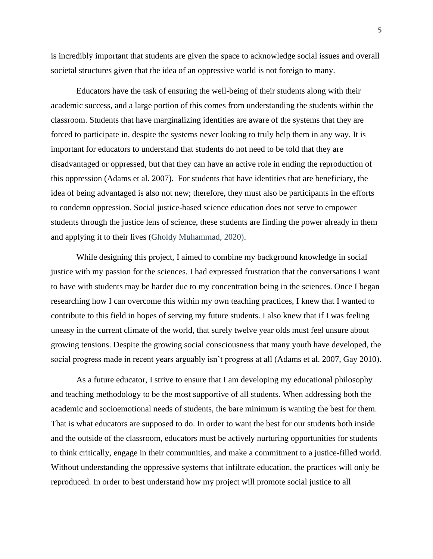is incredibly important that students are given the space to acknowledge social issues and overall societal structures given that the idea of an oppressive world is not foreign to many.

Educators have the task of ensuring the well-being of their students along with their academic success, and a large portion of this comes from understanding the students within the classroom. Students that have marginalizing identities are aware of the systems that they are forced to participate in, despite the systems never looking to truly help them in any way. It is important for educators to understand that students do not need to be told that they are disadvantaged or oppressed, but that they can have an active role in ending the reproduction of this oppression (Adams et al. 2007). For students that have identities that are beneficiary, the idea of being advantaged is also not new; therefore, they must also be participants in the efforts to condemn oppression. Social justice-based science education does not serve to empower students through the justice lens of science, these students are finding the power already in them and applying it to their lives (Gholdy Muhammad, 2020).

While designing this project, I aimed to combine my background knowledge in social justice with my passion for the sciences. I had expressed frustration that the conversations I want to have with students may be harder due to my concentration being in the sciences. Once I began researching how I can overcome this within my own teaching practices, I knew that I wanted to contribute to this field in hopes of serving my future students. I also knew that if I was feeling uneasy in the current climate of the world, that surely twelve year olds must feel unsure about growing tensions. Despite the growing social consciousness that many youth have developed, the social progress made in recent years arguably isn't progress at all (Adams et al. 2007, Gay 2010).

As a future educator, I strive to ensure that I am developing my educational philosophy and teaching methodology to be the most supportive of all students. When addressing both the academic and socioemotional needs of students, the bare minimum is wanting the best for them. That is what educators are supposed to do. In order to want the best for our students both inside and the outside of the classroom, educators must be actively nurturing opportunities for students to think critically, engage in their communities, and make a commitment to a justice-filled world. Without understanding the oppressive systems that infiltrate education, the practices will only be reproduced. In order to best understand how my project will promote social justice to all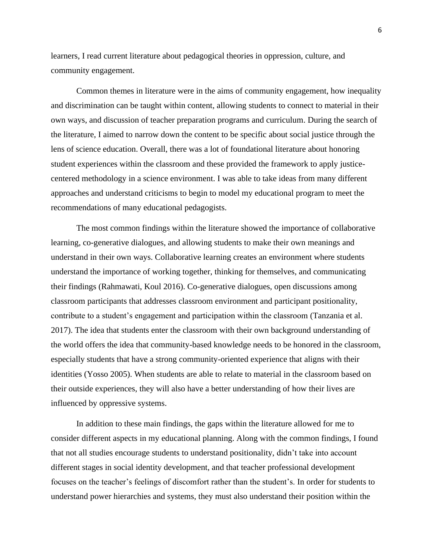learners, I read current literature about pedagogical theories in oppression, culture, and community engagement.

Common themes in literature were in the aims of community engagement, how inequality and discrimination can be taught within content, allowing students to connect to material in their own ways, and discussion of teacher preparation programs and curriculum. During the search of the literature, I aimed to narrow down the content to be specific about social justice through the lens of science education. Overall, there was a lot of foundational literature about honoring student experiences within the classroom and these provided the framework to apply justicecentered methodology in a science environment. I was able to take ideas from many different approaches and understand criticisms to begin to model my educational program to meet the recommendations of many educational pedagogists.

The most common findings within the literature showed the importance of collaborative learning, co-generative dialogues, and allowing students to make their own meanings and understand in their own ways. Collaborative learning creates an environment where students understand the importance of working together, thinking for themselves, and communicating their findings (Rahmawati, Koul 2016). Co-generative dialogues, open discussions among classroom participants that addresses classroom environment and participant positionality, contribute to a student's engagement and participation within the classroom (Tanzania et al. 2017). The idea that students enter the classroom with their own background understanding of the world offers the idea that community-based knowledge needs to be honored in the classroom, especially students that have a strong community-oriented experience that aligns with their identities (Yosso 2005). When students are able to relate to material in the classroom based on their outside experiences, they will also have a better understanding of how their lives are influenced by oppressive systems.

In addition to these main findings, the gaps within the literature allowed for me to consider different aspects in my educational planning. Along with the common findings, I found that not all studies encourage students to understand positionality, didn't take into account different stages in social identity development, and that teacher professional development focuses on the teacher's feelings of discomfort rather than the student's. In order for students to understand power hierarchies and systems, they must also understand their position within the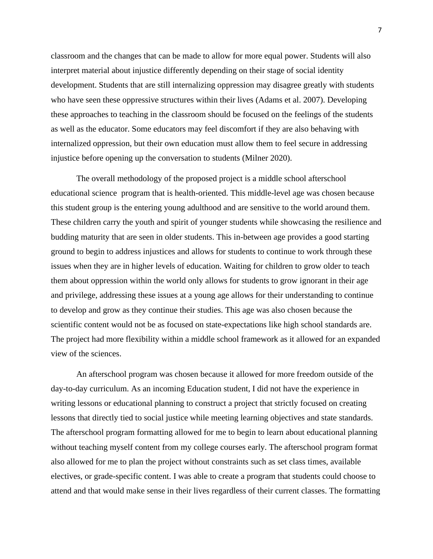classroom and the changes that can be made to allow for more equal power. Students will also interpret material about injustice differently depending on their stage of social identity development. Students that are still internalizing oppression may disagree greatly with students who have seen these oppressive structures within their lives (Adams et al. 2007). Developing these approaches to teaching in the classroom should be focused on the feelings of the students as well as the educator. Some educators may feel discomfort if they are also behaving with internalized oppression, but their own education must allow them to feel secure in addressing injustice before opening up the conversation to students (Milner 2020).

The overall methodology of the proposed project is a middle school afterschool educational science program that is health-oriented. This middle-level age was chosen because this student group is the entering young adulthood and are sensitive to the world around them. These children carry the youth and spirit of younger students while showcasing the resilience and budding maturity that are seen in older students. This in-between age provides a good starting ground to begin to address injustices and allows for students to continue to work through these issues when they are in higher levels of education. Waiting for children to grow older to teach them about oppression within the world only allows for students to grow ignorant in their age and privilege, addressing these issues at a young age allows for their understanding to continue to develop and grow as they continue their studies. This age was also chosen because the scientific content would not be as focused on state-expectations like high school standards are. The project had more flexibility within a middle school framework as it allowed for an expanded view of the sciences.

An afterschool program was chosen because it allowed for more freedom outside of the day-to-day curriculum. As an incoming Education student, I did not have the experience in writing lessons or educational planning to construct a project that strictly focused on creating lessons that directly tied to social justice while meeting learning objectives and state standards. The afterschool program formatting allowed for me to begin to learn about educational planning without teaching myself content from my college courses early. The afterschool program format also allowed for me to plan the project without constraints such as set class times, available electives, or grade-specific content. I was able to create a program that students could choose to attend and that would make sense in their lives regardless of their current classes. The formatting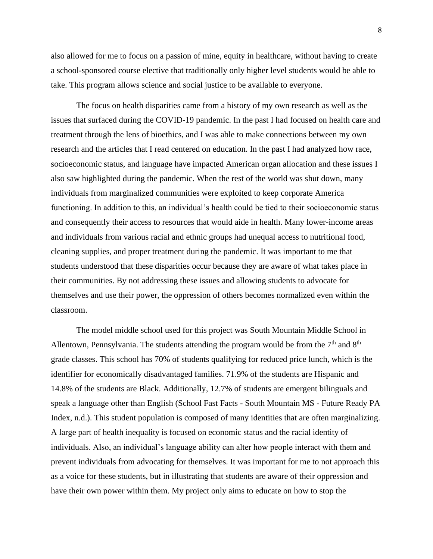also allowed for me to focus on a passion of mine, equity in healthcare, without having to create a school-sponsored course elective that traditionally only higher level students would be able to take. This program allows science and social justice to be available to everyone.

The focus on health disparities came from a history of my own research as well as the issues that surfaced during the COVID-19 pandemic. In the past I had focused on health care and treatment through the lens of bioethics, and I was able to make connections between my own research and the articles that I read centered on education. In the past I had analyzed how race, socioeconomic status, and language have impacted American organ allocation and these issues I also saw highlighted during the pandemic. When the rest of the world was shut down, many individuals from marginalized communities were exploited to keep corporate America functioning. In addition to this, an individual's health could be tied to their socioeconomic status and consequently their access to resources that would aide in health. Many lower-income areas and individuals from various racial and ethnic groups had unequal access to nutritional food, cleaning supplies, and proper treatment during the pandemic. It was important to me that students understood that these disparities occur because they are aware of what takes place in their communities. By not addressing these issues and allowing students to advocate for themselves and use their power, the oppression of others becomes normalized even within the classroom.

The model middle school used for this project was South Mountain Middle School in Allentown, Pennsylvania. The students attending the program would be from the  $7<sup>th</sup>$  and  $8<sup>th</sup>$ grade classes. This school has 70% of students qualifying for reduced price lunch, which is the identifier for economically disadvantaged families. 71.9% of the students are Hispanic and 14.8% of the students are Black. Additionally, 12.7% of students are emergent bilinguals and speak a language other than English (School Fast Facts - South Mountain MS - Future Ready PA Index, n.d.). This student population is composed of many identities that are often marginalizing. A large part of health inequality is focused on economic status and the racial identity of individuals. Also, an individual's language ability can alter how people interact with them and prevent individuals from advocating for themselves. It was important for me to not approach this as a voice for these students, but in illustrating that students are aware of their oppression and have their own power within them. My project only aims to educate on how to stop the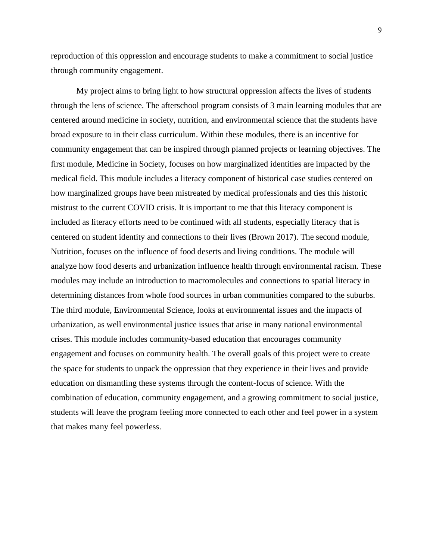reproduction of this oppression and encourage students to make a commitment to social justice through community engagement.

My project aims to bring light to how structural oppression affects the lives of students through the lens of science. The afterschool program consists of 3 main learning modules that are centered around medicine in society, nutrition, and environmental science that the students have broad exposure to in their class curriculum. Within these modules, there is an incentive for community engagement that can be inspired through planned projects or learning objectives. The first module, Medicine in Society, focuses on how marginalized identities are impacted by the medical field. This module includes a literacy component of historical case studies centered on how marginalized groups have been mistreated by medical professionals and ties this historic mistrust to the current COVID crisis. It is important to me that this literacy component is included as literacy efforts need to be continued with all students, especially literacy that is centered on student identity and connections to their lives (Brown 2017). The second module, Nutrition, focuses on the influence of food deserts and living conditions. The module will analyze how food deserts and urbanization influence health through environmental racism. These modules may include an introduction to macromolecules and connections to spatial literacy in determining distances from whole food sources in urban communities compared to the suburbs. The third module, Environmental Science, looks at environmental issues and the impacts of urbanization, as well environmental justice issues that arise in many national environmental crises. This module includes community-based education that encourages community engagement and focuses on community health. The overall goals of this project were to create the space for students to unpack the oppression that they experience in their lives and provide education on dismantling these systems through the content-focus of science. With the combination of education, community engagement, and a growing commitment to social justice, students will leave the program feeling more connected to each other and feel power in a system that makes many feel powerless.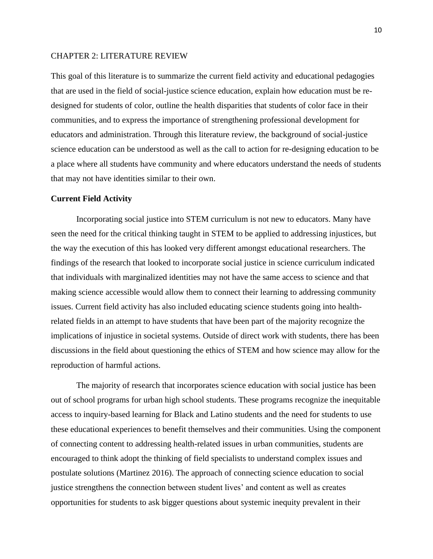#### CHAPTER 2: LITERATURE REVIEW

This goal of this literature is to summarize the current field activity and educational pedagogies that are used in the field of social-justice science education, explain how education must be redesigned for students of color, outline the health disparities that students of color face in their communities, and to express the importance of strengthening professional development for educators and administration. Through this literature review, the background of social-justice science education can be understood as well as the call to action for re-designing education to be a place where all students have community and where educators understand the needs of students that may not have identities similar to their own.

#### **Current Field Activity**

Incorporating social justice into STEM curriculum is not new to educators. Many have seen the need for the critical thinking taught in STEM to be applied to addressing injustices, but the way the execution of this has looked very different amongst educational researchers. The findings of the research that looked to incorporate social justice in science curriculum indicated that individuals with marginalized identities may not have the same access to science and that making science accessible would allow them to connect their learning to addressing community issues. Current field activity has also included educating science students going into healthrelated fields in an attempt to have students that have been part of the majority recognize the implications of injustice in societal systems. Outside of direct work with students, there has been discussions in the field about questioning the ethics of STEM and how science may allow for the reproduction of harmful actions.

The majority of research that incorporates science education with social justice has been out of school programs for urban high school students. These programs recognize the inequitable access to inquiry-based learning for Black and Latino students and the need for students to use these educational experiences to benefit themselves and their communities. Using the component of connecting content to addressing health-related issues in urban communities, students are encouraged to think adopt the thinking of field specialists to understand complex issues and postulate solutions (Martinez 2016). The approach of connecting science education to social justice strengthens the connection between student lives' and content as well as creates opportunities for students to ask bigger questions about systemic inequity prevalent in their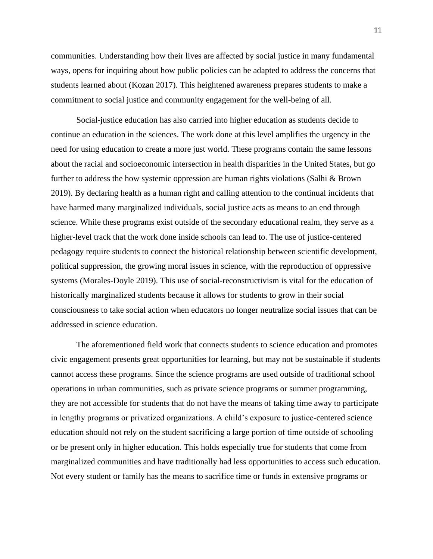communities. Understanding how their lives are affected by social justice in many fundamental ways, opens for inquiring about how public policies can be adapted to address the concerns that students learned about (Kozan 2017). This heightened awareness prepares students to make a commitment to social justice and community engagement for the well-being of all.

Social-justice education has also carried into higher education as students decide to continue an education in the sciences. The work done at this level amplifies the urgency in the need for using education to create a more just world. These programs contain the same lessons about the racial and socioeconomic intersection in health disparities in the United States, but go further to address the how systemic oppression are human rights violations (Salhi & Brown 2019). By declaring health as a human right and calling attention to the continual incidents that have harmed many marginalized individuals, social justice acts as means to an end through science. While these programs exist outside of the secondary educational realm, they serve as a higher-level track that the work done inside schools can lead to. The use of justice-centered pedagogy require students to connect the historical relationship between scientific development, political suppression, the growing moral issues in science, with the reproduction of oppressive systems (Morales-Doyle 2019). This use of social-reconstructivism is vital for the education of historically marginalized students because it allows for students to grow in their social consciousness to take social action when educators no longer neutralize social issues that can be addressed in science education.

The aforementioned field work that connects students to science education and promotes civic engagement presents great opportunities for learning, but may not be sustainable if students cannot access these programs. Since the science programs are used outside of traditional school operations in urban communities, such as private science programs or summer programming, they are not accessible for students that do not have the means of taking time away to participate in lengthy programs or privatized organizations. A child's exposure to justice-centered science education should not rely on the student sacrificing a large portion of time outside of schooling or be present only in higher education. This holds especially true for students that come from marginalized communities and have traditionally had less opportunities to access such education. Not every student or family has the means to sacrifice time or funds in extensive programs or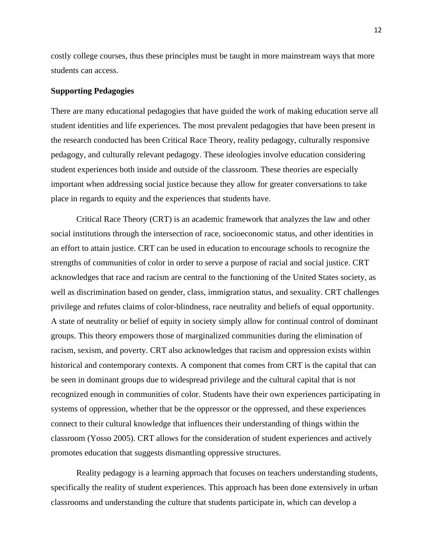costly college courses, thus these principles must be taught in more mainstream ways that more students can access.

#### **Supporting Pedagogies**

There are many educational pedagogies that have guided the work of making education serve all student identities and life experiences. The most prevalent pedagogies that have been present in the research conducted has been Critical Race Theory, reality pedagogy, culturally responsive pedagogy, and culturally relevant pedagogy. These ideologies involve education considering student experiences both inside and outside of the classroom. These theories are especially important when addressing social justice because they allow for greater conversations to take place in regards to equity and the experiences that students have.

Critical Race Theory (CRT) is an academic framework that analyzes the law and other social institutions through the intersection of race, socioeconomic status, and other identities in an effort to attain justice. CRT can be used in education to encourage schools to recognize the strengths of communities of color in order to serve a purpose of racial and social justice. CRT acknowledges that race and racism are central to the functioning of the United States society, as well as discrimination based on gender, class, immigration status, and sexuality. CRT challenges privilege and refutes claims of color-blindness, race neutrality and beliefs of equal opportunity. A state of neutrality or belief of equity in society simply allow for continual control of dominant groups. This theory empowers those of marginalized communities during the elimination of racism, sexism, and poverty. CRT also acknowledges that racism and oppression exists within historical and contemporary contexts. A component that comes from CRT is the capital that can be seen in dominant groups due to widespread privilege and the cultural capital that is not recognized enough in communities of color. Students have their own experiences participating in systems of oppression, whether that be the oppressor or the oppressed, and these experiences connect to their cultural knowledge that influences their understanding of things within the classroom (Yosso 2005). CRT allows for the consideration of student experiences and actively promotes education that suggests dismantling oppressive structures.

Reality pedagogy is a learning approach that focuses on teachers understanding students, specifically the reality of student experiences. This approach has been done extensively in urban classrooms and understanding the culture that students participate in, which can develop a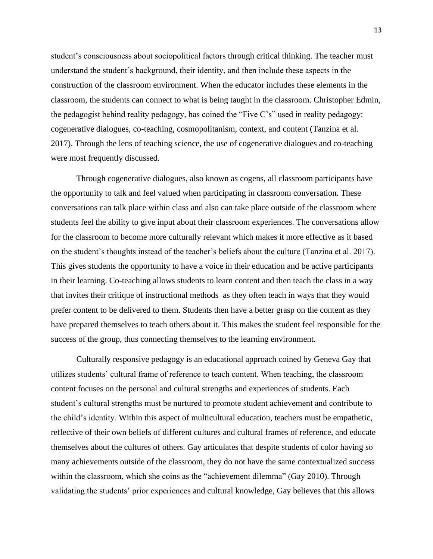student's consciousness about sociopolitical factors through critical thinking. The teacher must understand the student's background, their identity, and then include these aspects in the construction of the classroom environment. When the educator includes these elements in the classroom, the students can connect to what is being taught in the classroom. Christopher Edmin, the pedagogist behind reality pedagogy, has coined the "Five C's" used in reality pedagogy: cogenerative dialogues, co-teaching, cosmopolitanism, context, and content (Tanzina et al. 2017). Through the lens of teaching science, the use of cogenerative dialogues and co-teaching were most frequently discussed.

Through cogenerative dialogues, also known as cogens, all classroom participants have the opportunity to talk and feel valued when participating in classroom conversation. These conversations can talk place within class and also can take place outside of the classroom where students feel the ability to give input about their classroom experiences. The conversations allow for the classroom to become more culturally relevant which makes it more effective as it based on the student's thoughts instead of the teacher's beliefs about the culture (Tanzina et al. 2017). This gives students the opportunity to have a voice in their education and be active participants in their learning. Co-teaching allows students to learn content and then teach the class in a way that invites their critique of instructional methods as they often teach in ways that they would prefer content to be delivered to them. Students then have a better grasp on the content as they have prepared themselves to teach others about it. This makes the student feel responsible for the success of the group, thus connecting themselves to the learning environment.

Culturally responsive pedagogy is an educational approach coined by Geneva Gay that utilizes students' cultural frame of reference to teach content. When teaching, the classroom content focuses on the personal and cultural strengths and experiences of students. Each student's cultural strengths must be nurtured to promote student achievement and contribute to the child's identity. Within this aspect of multicultural education, teachers must be empathetic, reflective of their own beliefs of different cultures and cultural frames of reference, and educate themselves about the cultures of others. Gay articulates that despite students of color having so many achievements outside of the classroom, they do not have the same contextualized success within the classroom, which she coins as the "achievement dilemma" (Gay 2010). Through validating the students' prior experiences and cultural knowledge, Gay believes that this allows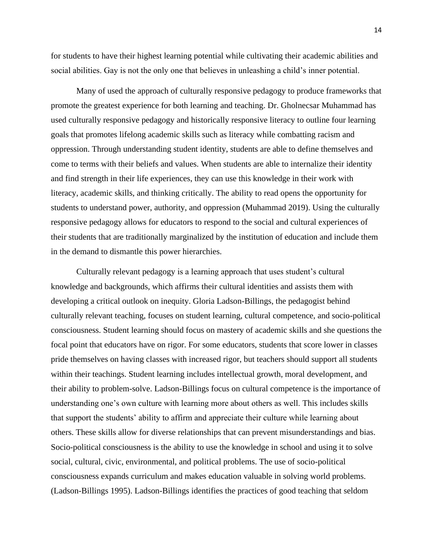for students to have their highest learning potential while cultivating their academic abilities and social abilities. Gay is not the only one that believes in unleashing a child's inner potential.

Many of used the approach of culturally responsive pedagogy to produce frameworks that promote the greatest experience for both learning and teaching. Dr. Gholnecsar Muhammad has used culturally responsive pedagogy and historically responsive literacy to outline four learning goals that promotes lifelong academic skills such as literacy while combatting racism and oppression. Through understanding student identity, students are able to define themselves and come to terms with their beliefs and values. When students are able to internalize their identity and find strength in their life experiences, they can use this knowledge in their work with literacy, academic skills, and thinking critically. The ability to read opens the opportunity for students to understand power, authority, and oppression (Muhammad 2019). Using the culturally responsive pedagogy allows for educators to respond to the social and cultural experiences of their students that are traditionally marginalized by the institution of education and include them in the demand to dismantle this power hierarchies.

Culturally relevant pedagogy is a learning approach that uses student's cultural knowledge and backgrounds, which affirms their cultural identities and assists them with developing a critical outlook on inequity. Gloria Ladson-Billings, the pedagogist behind culturally relevant teaching, focuses on student learning, cultural competence, and socio-political consciousness. Student learning should focus on mastery of academic skills and she questions the focal point that educators have on rigor. For some educators, students that score lower in classes pride themselves on having classes with increased rigor, but teachers should support all students within their teachings. Student learning includes intellectual growth, moral development, and their ability to problem-solve. Ladson-Billings focus on cultural competence is the importance of understanding one's own culture with learning more about others as well. This includes skills that support the students' ability to affirm and appreciate their culture while learning about others. These skills allow for diverse relationships that can prevent misunderstandings and bias. Socio-political consciousness is the ability to use the knowledge in school and using it to solve social, cultural, civic, environmental, and political problems. The use of socio-political consciousness expands curriculum and makes education valuable in solving world problems. (Ladson-Billings 1995). Ladson-Billings identifies the practices of good teaching that seldom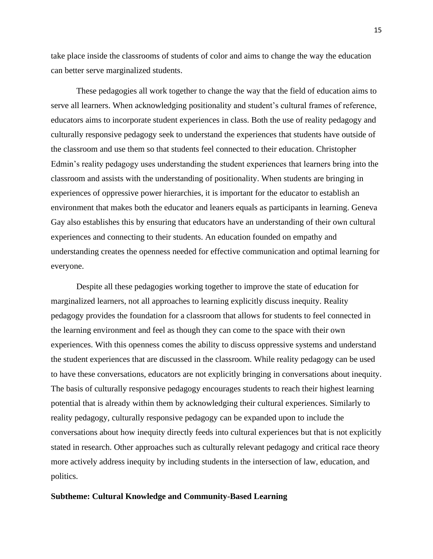take place inside the classrooms of students of color and aims to change the way the education can better serve marginalized students.

These pedagogies all work together to change the way that the field of education aims to serve all learners. When acknowledging positionality and student's cultural frames of reference, educators aims to incorporate student experiences in class. Both the use of reality pedagogy and culturally responsive pedagogy seek to understand the experiences that students have outside of the classroom and use them so that students feel connected to their education. Christopher Edmin's reality pedagogy uses understanding the student experiences that learners bring into the classroom and assists with the understanding of positionality. When students are bringing in experiences of oppressive power hierarchies, it is important for the educator to establish an environment that makes both the educator and leaners equals as participants in learning. Geneva Gay also establishes this by ensuring that educators have an understanding of their own cultural experiences and connecting to their students. An education founded on empathy and understanding creates the openness needed for effective communication and optimal learning for everyone.

Despite all these pedagogies working together to improve the state of education for marginalized learners, not all approaches to learning explicitly discuss inequity. Reality pedagogy provides the foundation for a classroom that allows for students to feel connected in the learning environment and feel as though they can come to the space with their own experiences. With this openness comes the ability to discuss oppressive systems and understand the student experiences that are discussed in the classroom. While reality pedagogy can be used to have these conversations, educators are not explicitly bringing in conversations about inequity. The basis of culturally responsive pedagogy encourages students to reach their highest learning potential that is already within them by acknowledging their cultural experiences. Similarly to reality pedagogy, culturally responsive pedagogy can be expanded upon to include the conversations about how inequity directly feeds into cultural experiences but that is not explicitly stated in research. Other approaches such as culturally relevant pedagogy and critical race theory more actively address inequity by including students in the intersection of law, education, and politics.

#### **Subtheme: Cultural Knowledge and Community-Based Learning**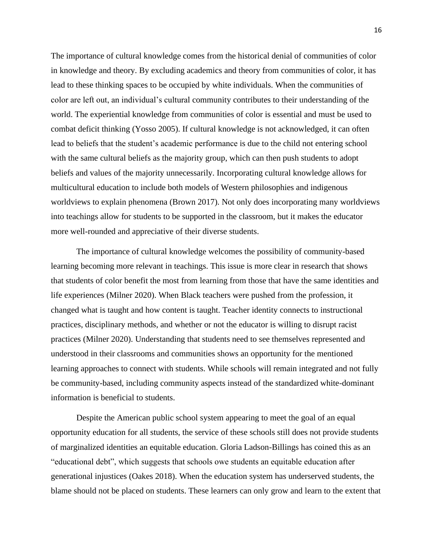The importance of cultural knowledge comes from the historical denial of communities of color in knowledge and theory. By excluding academics and theory from communities of color, it has lead to these thinking spaces to be occupied by white individuals. When the communities of color are left out, an individual's cultural community contributes to their understanding of the world. The experiential knowledge from communities of color is essential and must be used to combat deficit thinking (Yosso 2005). If cultural knowledge is not acknowledged, it can often lead to beliefs that the student's academic performance is due to the child not entering school with the same cultural beliefs as the majority group, which can then push students to adopt beliefs and values of the majority unnecessarily. Incorporating cultural knowledge allows for multicultural education to include both models of Western philosophies and indigenous worldviews to explain phenomena (Brown 2017). Not only does incorporating many worldviews into teachings allow for students to be supported in the classroom, but it makes the educator more well-rounded and appreciative of their diverse students.

The importance of cultural knowledge welcomes the possibility of community-based learning becoming more relevant in teachings. This issue is more clear in research that shows that students of color benefit the most from learning from those that have the same identities and life experiences (Milner 2020). When Black teachers were pushed from the profession, it changed what is taught and how content is taught. Teacher identity connects to instructional practices, disciplinary methods, and whether or not the educator is willing to disrupt racist practices (Milner 2020). Understanding that students need to see themselves represented and understood in their classrooms and communities shows an opportunity for the mentioned learning approaches to connect with students. While schools will remain integrated and not fully be community-based, including community aspects instead of the standardized white-dominant information is beneficial to students.

Despite the American public school system appearing to meet the goal of an equal opportunity education for all students, the service of these schools still does not provide students of marginalized identities an equitable education. Gloria Ladson-Billings has coined this as an "educational debt", which suggests that schools owe students an equitable education after generational injustices (Oakes 2018). When the education system has underserved students, the blame should not be placed on students. These learners can only grow and learn to the extent that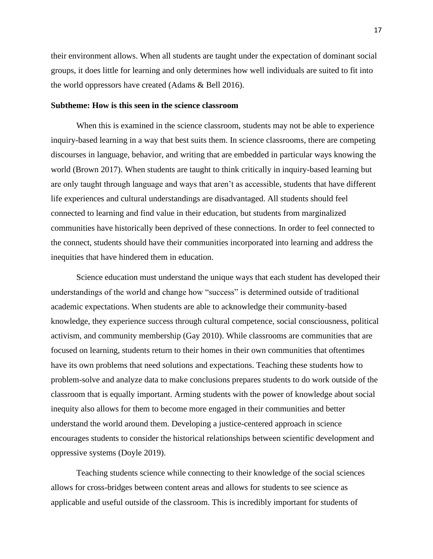their environment allows. When all students are taught under the expectation of dominant social groups, it does little for learning and only determines how well individuals are suited to fit into the world oppressors have created (Adams & Bell 2016).

#### **Subtheme: How is this seen in the science classroom**

When this is examined in the science classroom, students may not be able to experience inquiry-based learning in a way that best suits them. In science classrooms, there are competing discourses in language, behavior, and writing that are embedded in particular ways knowing the world (Brown 2017). When students are taught to think critically in inquiry-based learning but are only taught through language and ways that aren't as accessible, students that have different life experiences and cultural understandings are disadvantaged. All students should feel connected to learning and find value in their education, but students from marginalized communities have historically been deprived of these connections. In order to feel connected to the connect, students should have their communities incorporated into learning and address the inequities that have hindered them in education.

Science education must understand the unique ways that each student has developed their understandings of the world and change how "success" is determined outside of traditional academic expectations. When students are able to acknowledge their community-based knowledge, they experience success through cultural competence, social consciousness, political activism, and community membership (Gay 2010). While classrooms are communities that are focused on learning, students return to their homes in their own communities that oftentimes have its own problems that need solutions and expectations. Teaching these students how to problem-solve and analyze data to make conclusions prepares students to do work outside of the classroom that is equally important. Arming students with the power of knowledge about social inequity also allows for them to become more engaged in their communities and better understand the world around them. Developing a justice-centered approach in science encourages students to consider the historical relationships between scientific development and oppressive systems (Doyle 2019).

Teaching students science while connecting to their knowledge of the social sciences allows for cross-bridges between content areas and allows for students to see science as applicable and useful outside of the classroom. This is incredibly important for students of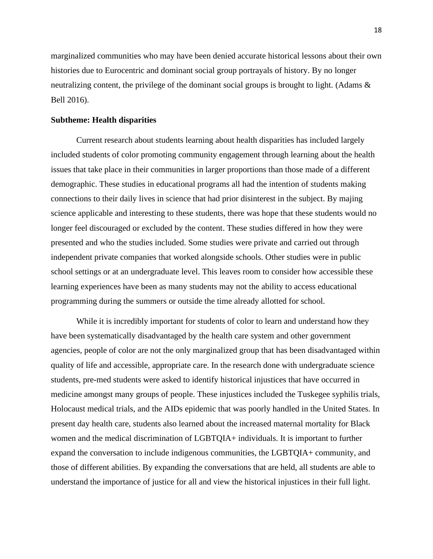marginalized communities who may have been denied accurate historical lessons about their own histories due to Eurocentric and dominant social group portrayals of history. By no longer neutralizing content, the privilege of the dominant social groups is brought to light. (Adams & Bell 2016).

#### **Subtheme: Health disparities**

Current research about students learning about health disparities has included largely included students of color promoting community engagement through learning about the health issues that take place in their communities in larger proportions than those made of a different demographic. These studies in educational programs all had the intention of students making connections to their daily lives in science that had prior disinterest in the subject. By majing science applicable and interesting to these students, there was hope that these students would no longer feel discouraged or excluded by the content. These studies differed in how they were presented and who the studies included. Some studies were private and carried out through independent private companies that worked alongside schools. Other studies were in public school settings or at an undergraduate level. This leaves room to consider how accessible these learning experiences have been as many students may not the ability to access educational programming during the summers or outside the time already allotted for school.

While it is incredibly important for students of color to learn and understand how they have been systematically disadvantaged by the health care system and other government agencies, people of color are not the only marginalized group that has been disadvantaged within quality of life and accessible, appropriate care. In the research done with undergraduate science students, pre-med students were asked to identify historical injustices that have occurred in medicine amongst many groups of people. These injustices included the Tuskegee syphilis trials, Holocaust medical trials, and the AIDs epidemic that was poorly handled in the United States. In present day health care, students also learned about the increased maternal mortality for Black women and the medical discrimination of LGBTQIA+ individuals. It is important to further expand the conversation to include indigenous communities, the LGBTQIA+ community, and those of different abilities. By expanding the conversations that are held, all students are able to understand the importance of justice for all and view the historical injustices in their full light.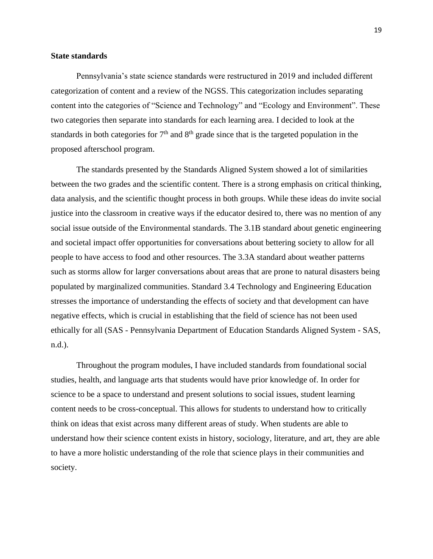#### **State standards**

Pennsylvania's state science standards were restructured in 2019 and included different categorization of content and a review of the NGSS. This categorization includes separating content into the categories of "Science and Technology" and "Ecology and Environment". These two categories then separate into standards for each learning area. I decided to look at the standards in both categories for  $7<sup>th</sup>$  and  $8<sup>th</sup>$  grade since that is the targeted population in the proposed afterschool program.

The standards presented by the Standards Aligned System showed a lot of similarities between the two grades and the scientific content. There is a strong emphasis on critical thinking, data analysis, and the scientific thought process in both groups. While these ideas do invite social justice into the classroom in creative ways if the educator desired to, there was no mention of any social issue outside of the Environmental standards. The 3.1B standard about genetic engineering and societal impact offer opportunities for conversations about bettering society to allow for all people to have access to food and other resources. The 3.3A standard about weather patterns such as storms allow for larger conversations about areas that are prone to natural disasters being populated by marginalized communities. Standard 3.4 Technology and Engineering Education stresses the importance of understanding the effects of society and that development can have negative effects, which is crucial in establishing that the field of science has not been used ethically for all (SAS - Pennsylvania Department of Education Standards Aligned System - SAS, n.d.).

Throughout the program modules, I have included standards from foundational social studies, health, and language arts that students would have prior knowledge of. In order for science to be a space to understand and present solutions to social issues, student learning content needs to be cross-conceptual. This allows for students to understand how to critically think on ideas that exist across many different areas of study. When students are able to understand how their science content exists in history, sociology, literature, and art, they are able to have a more holistic understanding of the role that science plays in their communities and society.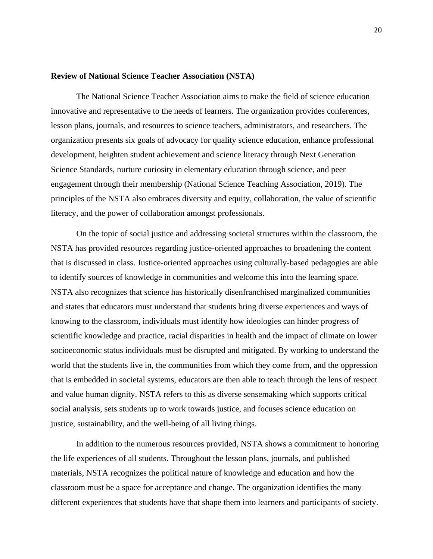#### **Review of National Science Teacher Association (NSTA)**

The National Science Teacher Association aims to make the field of science education innovative and representative to the needs of learners. The organization provides conferences, lesson plans, journals, and resources to science teachers, administrators, and researchers. The organization presents six goals of advocacy for quality science education, enhance professional development, heighten student achievement and science literacy through Next Generation Science Standards, nurture curiosity in elementary education through science, and peer engagement through their membership (National Science Teaching Association, 2019). The principles of the NSTA also embraces diversity and equity, collaboration, the value of scientific literacy, and the power of collaboration amongst professionals.

On the topic of social justice and addressing societal structures within the classroom, the NSTA has provided resources regarding justice-oriented approaches to broadening the content that is discussed in class. Justice-oriented approaches using culturally-based pedagogies are able to identify sources of knowledge in communities and welcome this into the learning space. NSTA also recognizes that science has historically disenfranchised marginalized communities and states that educators must understand that students bring diverse experiences and ways of knowing to the classroom, individuals must identify how ideologies can hinder progress of scientific knowledge and practice, racial disparities in health and the impact of climate on lower socioeconomic status individuals must be disrupted and mitigated. By working to understand the world that the students live in, the communities from which they come from, and the oppression that is embedded in societal systems, educators are then able to teach through the lens of respect and value human dignity. NSTA refers to this as diverse sensemaking which supports critical social analysis, sets students up to work towards justice, and focuses science education on justice, sustainability, and the well-being of all living things.

In addition to the numerous resources provided, NSTA shows a commitment to honoring the life experiences of all students. Throughout the lesson plans, journals, and published materials, NSTA recognizes the political nature of knowledge and education and how the classroom must be a space for acceptance and change. The organization identifies the many different experiences that students have that shape them into learners and participants of society.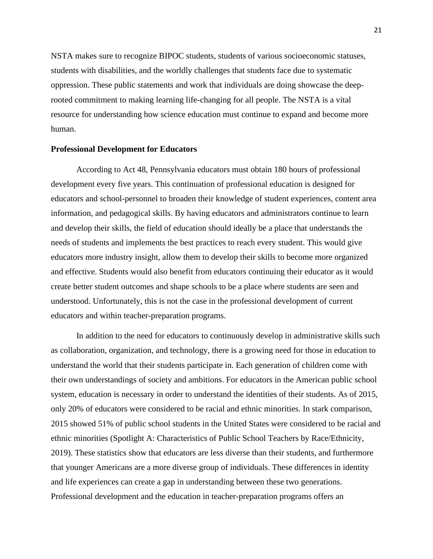NSTA makes sure to recognize BIPOC students, students of various socioeconomic statuses, students with disabilities, and the worldly challenges that students face due to systematic oppression. These public statements and work that individuals are doing showcase the deeprooted commitment to making learning life-changing for all people. The NSTA is a vital resource for understanding how science education must continue to expand and become more human.

#### **Professional Development for Educators**

According to Act 48, Pennsylvania educators must obtain 180 hours of professional development every five years. This continuation of professional education is designed for educators and school-personnel to broaden their knowledge of student experiences, content area information, and pedagogical skills. By having educators and administrators continue to learn and develop their skills, the field of education should ideally be a place that understands the needs of students and implements the best practices to reach every student. This would give educators more industry insight, allow them to develop their skills to become more organized and effective. Students would also benefit from educators continuing their educator as it would create better student outcomes and shape schools to be a place where students are seen and understood. Unfortunately, this is not the case in the professional development of current educators and within teacher-preparation programs.

In addition to the need for educators to continuously develop in administrative skills such as collaboration, organization, and technology, there is a growing need for those in education to understand the world that their students participate in. Each generation of children come with their own understandings of society and ambitions. For educators in the American public school system, education is necessary in order to understand the identities of their students. As of 2015, only 20% of educators were considered to be racial and ethnic minorities. In stark comparison, 2015 showed 51% of public school students in the United States were considered to be racial and ethnic minorities (Spotlight A: Characteristics of Public School Teachers by Race/Ethnicity, 2019). These statistics show that educators are less diverse than their students, and furthermore that younger Americans are a more diverse group of individuals. These differences in identity and life experiences can create a gap in understanding between these two generations. Professional development and the education in teacher-preparation programs offers an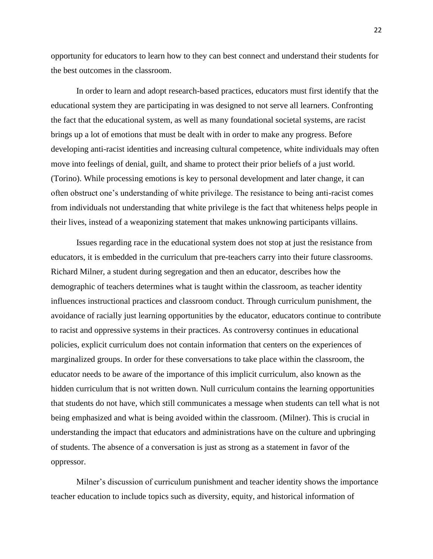opportunity for educators to learn how to they can best connect and understand their students for the best outcomes in the classroom.

In order to learn and adopt research-based practices, educators must first identify that the educational system they are participating in was designed to not serve all learners. Confronting the fact that the educational system, as well as many foundational societal systems, are racist brings up a lot of emotions that must be dealt with in order to make any progress. Before developing anti-racist identities and increasing cultural competence, white individuals may often move into feelings of denial, guilt, and shame to protect their prior beliefs of a just world. (Torino). While processing emotions is key to personal development and later change, it can often obstruct one's understanding of white privilege. The resistance to being anti-racist comes from individuals not understanding that white privilege is the fact that whiteness helps people in their lives, instead of a weaponizing statement that makes unknowing participants villains.

Issues regarding race in the educational system does not stop at just the resistance from educators, it is embedded in the curriculum that pre-teachers carry into their future classrooms. Richard Milner, a student during segregation and then an educator, describes how the demographic of teachers determines what is taught within the classroom, as teacher identity influences instructional practices and classroom conduct. Through curriculum punishment, the avoidance of racially just learning opportunities by the educator, educators continue to contribute to racist and oppressive systems in their practices. As controversy continues in educational policies, explicit curriculum does not contain information that centers on the experiences of marginalized groups. In order for these conversations to take place within the classroom, the educator needs to be aware of the importance of this implicit curriculum, also known as the hidden curriculum that is not written down. Null curriculum contains the learning opportunities that students do not have, which still communicates a message when students can tell what is not being emphasized and what is being avoided within the classroom. (Milner). This is crucial in understanding the impact that educators and administrations have on the culture and upbringing of students. The absence of a conversation is just as strong as a statement in favor of the oppressor.

Milner's discussion of curriculum punishment and teacher identity shows the importance teacher education to include topics such as diversity, equity, and historical information of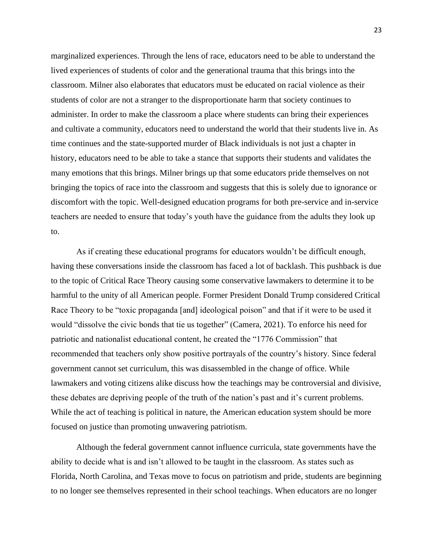marginalized experiences. Through the lens of race, educators need to be able to understand the lived experiences of students of color and the generational trauma that this brings into the classroom. Milner also elaborates that educators must be educated on racial violence as their students of color are not a stranger to the disproportionate harm that society continues to administer. In order to make the classroom a place where students can bring their experiences and cultivate a community, educators need to understand the world that their students live in. As time continues and the state-supported murder of Black individuals is not just a chapter in history, educators need to be able to take a stance that supports their students and validates the many emotions that this brings. Milner brings up that some educators pride themselves on not bringing the topics of race into the classroom and suggests that this is solely due to ignorance or discomfort with the topic. Well-designed education programs for both pre-service and in-service teachers are needed to ensure that today's youth have the guidance from the adults they look up to.

As if creating these educational programs for educators wouldn't be difficult enough, having these conversations inside the classroom has faced a lot of backlash. This pushback is due to the topic of Critical Race Theory causing some conservative lawmakers to determine it to be harmful to the unity of all American people. Former President Donald Trump considered Critical Race Theory to be "toxic propaganda [and] ideological poison" and that if it were to be used it would "dissolve the civic bonds that tie us together" (Camera, 2021). To enforce his need for patriotic and nationalist educational content, he created the "1776 Commission" that recommended that teachers only show positive portrayals of the country's history. Since federal government cannot set curriculum, this was disassembled in the change of office. While lawmakers and voting citizens alike discuss how the teachings may be controversial and divisive, these debates are depriving people of the truth of the nation's past and it's current problems. While the act of teaching is political in nature, the American education system should be more focused on justice than promoting unwavering patriotism.

Although the federal government cannot influence curricula, state governments have the ability to decide what is and isn't allowed to be taught in the classroom. As states such as Florida, North Carolina, and Texas move to focus on patriotism and pride, students are beginning to no longer see themselves represented in their school teachings. When educators are no longer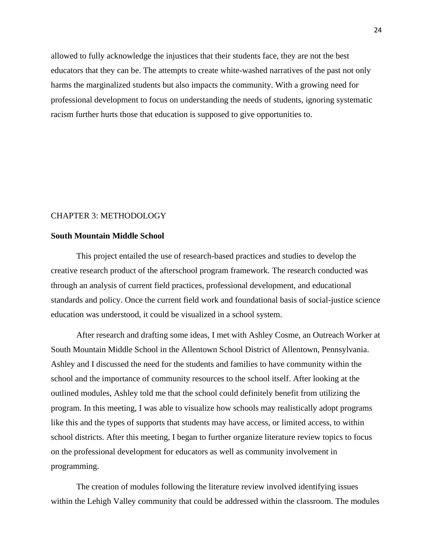allowed to fully acknowledge the injustices that their students face, they are not the best educators that they can be. The attempts to create white-washed narratives of the past not only harms the marginalized students but also impacts the community. With a growing need for professional development to focus on understanding the needs of students, ignoring systematic racism further hurts those that education is supposed to give opportunities to.

#### CHAPTER 3: METHODOLOGY

#### **South Mountain Middle School**

This project entailed the use of research-based practices and studies to develop the creative research product of the afterschool program framework. The research conducted was through an analysis of current field practices, professional development, and educational standards and policy. Once the current field work and foundational basis of social-justice science education was understood, it could be visualized in a school system.

After research and drafting some ideas, I met with Ashley Cosme, an Outreach Worker at South Mountain Middle School in the Allentown School District of Allentown, Pennsylvania. Ashley and I discussed the need for the students and families to have community within the school and the importance of community resources to the school itself. After looking at the outlined modules, Ashley told me that the school could definitely benefit from utilizing the program. In this meeting, I was able to visualize how schools may realistically adopt programs like this and the types of supports that students may have access, or limited access, to within school districts. After this meeting, I began to further organize literature review topics to focus on the professional development for educators as well as community involvement in programming.

The creation of modules following the literature review involved identifying issues within the Lehigh Valley community that could be addressed within the classroom. The modules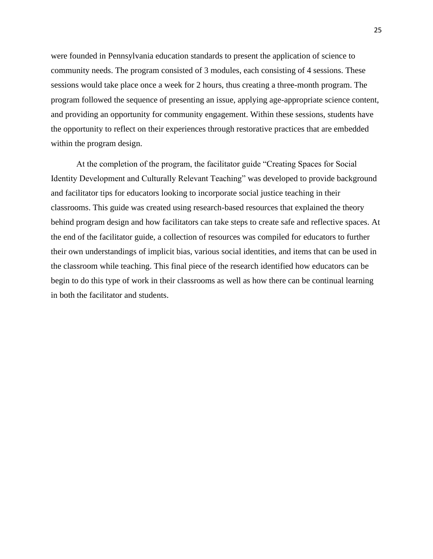were founded in Pennsylvania education standards to present the application of science to community needs. The program consisted of 3 modules, each consisting of 4 sessions. These sessions would take place once a week for 2 hours, thus creating a three-month program. The program followed the sequence of presenting an issue, applying age-appropriate science content, and providing an opportunity for community engagement. Within these sessions, students have the opportunity to reflect on their experiences through restorative practices that are embedded within the program design.

At the completion of the program, the facilitator guide "Creating Spaces for Social Identity Development and Culturally Relevant Teaching" was developed to provide background and facilitator tips for educators looking to incorporate social justice teaching in their classrooms. This guide was created using research-based resources that explained the theory behind program design and how facilitators can take steps to create safe and reflective spaces. At the end of the facilitator guide, a collection of resources was compiled for educators to further their own understandings of implicit bias, various social identities, and items that can be used in the classroom while teaching. This final piece of the research identified how educators can be begin to do this type of work in their classrooms as well as how there can be continual learning in both the facilitator and students.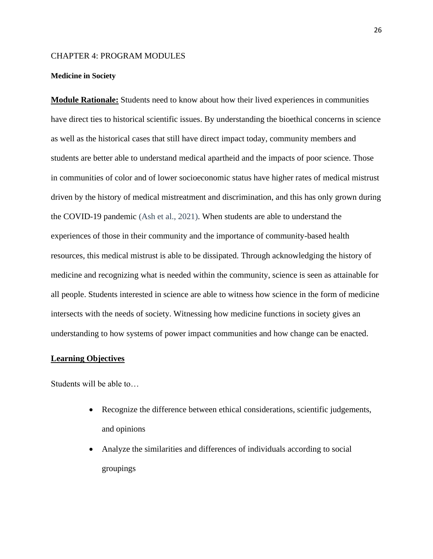#### CHAPTER 4: PROGRAM MODULES

#### **Medicine in Society**

**Module Rationale:** Students need to know about how their lived experiences in communities have direct ties to historical scientific issues. By understanding the bioethical concerns in science as well as the historical cases that still have direct impact today, community members and students are better able to understand medical apartheid and the impacts of poor science. Those in communities of color and of lower socioeconomic status have higher rates of medical mistrust driven by the history of medical mistreatment and discrimination, and this has only grown during the COVID-19 pandemic (Ash et al., 2021). When students are able to understand the experiences of those in their community and the importance of community-based health resources, this medical mistrust is able to be dissipated. Through acknowledging the history of medicine and recognizing what is needed within the community, science is seen as attainable for all people. Students interested in science are able to witness how science in the form of medicine intersects with the needs of society. Witnessing how medicine functions in society gives an understanding to how systems of power impact communities and how change can be enacted.

#### **Learning Objectives**

Students will be able to…

- Recognize the difference between ethical considerations, scientific judgements, and opinions
- Analyze the similarities and differences of individuals according to social groupings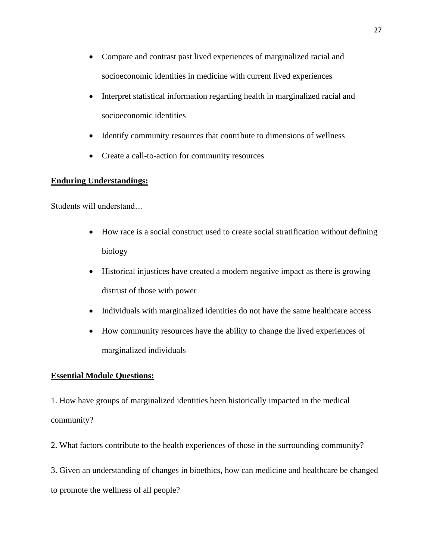- Compare and contrast past lived experiences of marginalized racial and socioeconomic identities in medicine with current lived experiences
- Interpret statistical information regarding health in marginalized racial and socioeconomic identities
- Identify community resources that contribute to dimensions of wellness
- Create a call-to-action for community resources

## **Enduring Understandings:**

Students will understand…

- How race is a social construct used to create social stratification without defining biology
- Historical injustices have created a modern negative impact as there is growing distrust of those with power
- Individuals with marginalized identities do not have the same healthcare access
- How community resources have the ability to change the lived experiences of marginalized individuals

### **Essential Module Questions:**

1. How have groups of marginalized identities been historically impacted in the medical community?

2. What factors contribute to the health experiences of those in the surrounding community?

3. Given an understanding of changes in bioethics, how can medicine and healthcare be changed to promote the wellness of all people?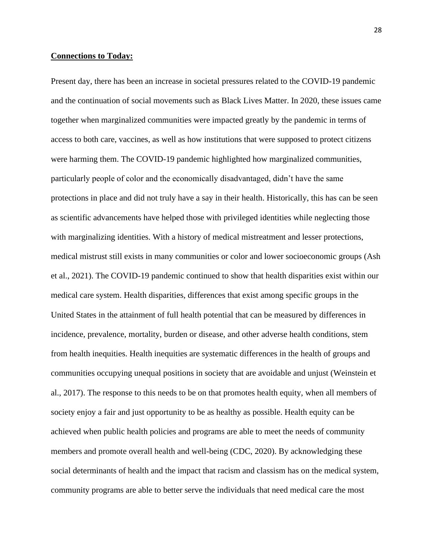#### **Connections to Today:**

Present day, there has been an increase in societal pressures related to the COVID-19 pandemic and the continuation of social movements such as Black Lives Matter. In 2020, these issues came together when marginalized communities were impacted greatly by the pandemic in terms of access to both care, vaccines, as well as how institutions that were supposed to protect citizens were harming them. The COVID-19 pandemic highlighted how marginalized communities, particularly people of color and the economically disadvantaged, didn't have the same protections in place and did not truly have a say in their health. Historically, this has can be seen as scientific advancements have helped those with privileged identities while neglecting those with marginalizing identities. With a history of medical mistreatment and lesser protections, medical mistrust still exists in many communities or color and lower socioeconomic groups (Ash et al., 2021). The COVID-19 pandemic continued to show that health disparities exist within our medical care system. Health disparities, differences that exist among specific groups in the United States in the attainment of full health potential that can be measured by differences in incidence, prevalence, mortality, burden or disease, and other adverse health conditions, stem from health inequities. Health inequities are systematic differences in the health of groups and communities occupying unequal positions in society that are avoidable and unjust (Weinstein et al., 2017). The response to this needs to be on that promotes health equity, when all members of society enjoy a fair and just opportunity to be as healthy as possible. Health equity can be achieved when public health policies and programs are able to meet the needs of community members and promote overall health and well-being (CDC, 2020). By acknowledging these social determinants of health and the impact that racism and classism has on the medical system, community programs are able to better serve the individuals that need medical care the most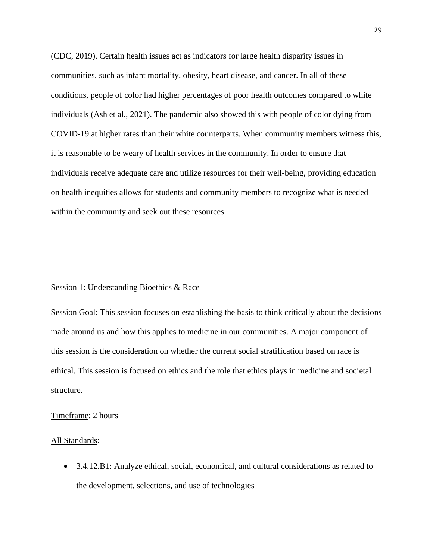(CDC, 2019). Certain health issues act as indicators for large health disparity issues in communities, such as infant mortality, obesity, heart disease, and cancer. In all of these conditions, people of color had higher percentages of poor health outcomes compared to white individuals (Ash et al., 2021). The pandemic also showed this with people of color dying from COVID-19 at higher rates than their white counterparts. When community members witness this, it is reasonable to be weary of health services in the community. In order to ensure that individuals receive adequate care and utilize resources for their well-being, providing education on health inequities allows for students and community members to recognize what is needed within the community and seek out these resources.

#### Session 1: Understanding Bioethics & Race

Session Goal: This session focuses on establishing the basis to think critically about the decisions made around us and how this applies to medicine in our communities. A major component of this session is the consideration on whether the current social stratification based on race is ethical. This session is focused on ethics and the role that ethics plays in medicine and societal structure.

#### Timeframe: 2 hours

#### All Standards:

• 3.4.12.B1: Analyze ethical, social, economical, and cultural considerations as related to the development, selections, and use of technologies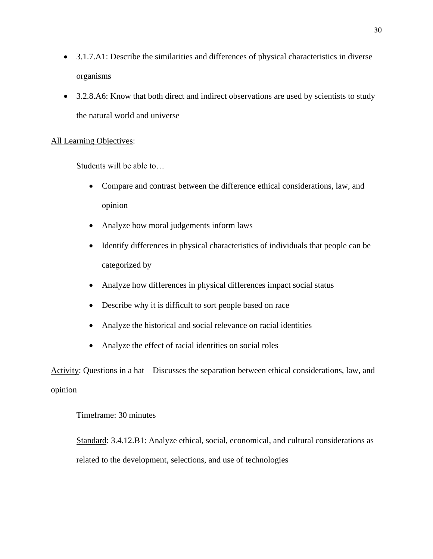- 3.1.7.A1: Describe the similarities and differences of physical characteristics in diverse organisms
- 3.2.8.A6: Know that both direct and indirect observations are used by scientists to study the natural world and universe

### All Learning Objectives:

Students will be able to…

- Compare and contrast between the difference ethical considerations, law, and opinion
- Analyze how moral judgements inform laws
- Identify differences in physical characteristics of individuals that people can be categorized by
- Analyze how differences in physical differences impact social status
- Describe why it is difficult to sort people based on race
- Analyze the historical and social relevance on racial identities
- Analyze the effect of racial identities on social roles

Activity: Questions in a hat – Discusses the separation between ethical considerations, law, and opinion

## Timeframe: 30 minutes

Standard: 3.4.12.B1: Analyze ethical, social, economical, and cultural considerations as related to the development, selections, and use of technologies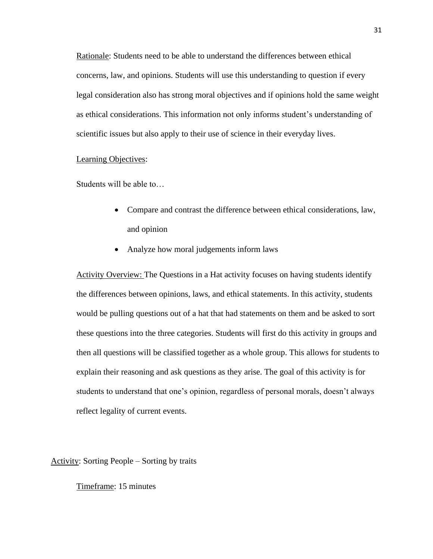Rationale: Students need to be able to understand the differences between ethical concerns, law, and opinions. Students will use this understanding to question if every legal consideration also has strong moral objectives and if opinions hold the same weight as ethical considerations. This information not only informs student's understanding of scientific issues but also apply to their use of science in their everyday lives.

#### Learning Objectives:

Students will be able to…

- Compare and contrast the difference between ethical considerations, law, and opinion
- Analyze how moral judgements inform laws

Activity Overview: The Questions in a Hat activity focuses on having students identify the differences between opinions, laws, and ethical statements. In this activity, students would be pulling questions out of a hat that had statements on them and be asked to sort these questions into the three categories. Students will first do this activity in groups and then all questions will be classified together as a whole group. This allows for students to explain their reasoning and ask questions as they arise. The goal of this activity is for students to understand that one's opinion, regardless of personal morals, doesn't always reflect legality of current events.

Activity: Sorting People – Sorting by traits

Timeframe: 15 minutes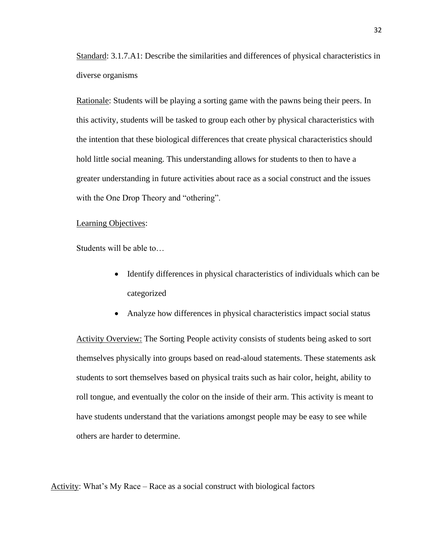Standard: 3.1.7.A1: Describe the similarities and differences of physical characteristics in diverse organisms

Rationale: Students will be playing a sorting game with the pawns being their peers. In this activity, students will be tasked to group each other by physical characteristics with the intention that these biological differences that create physical characteristics should hold little social meaning. This understanding allows for students to then to have a greater understanding in future activities about race as a social construct and the issues with the One Drop Theory and "othering".

#### Learning Objectives:

Students will be able to…

- Identify differences in physical characteristics of individuals which can be categorized
- Analyze how differences in physical characteristics impact social status

Activity Overview: The Sorting People activity consists of students being asked to sort themselves physically into groups based on read-aloud statements. These statements ask students to sort themselves based on physical traits such as hair color, height, ability to roll tongue, and eventually the color on the inside of their arm. This activity is meant to have students understand that the variations amongst people may be easy to see while others are harder to determine.

Activity: What's My Race – Race as a social construct with biological factors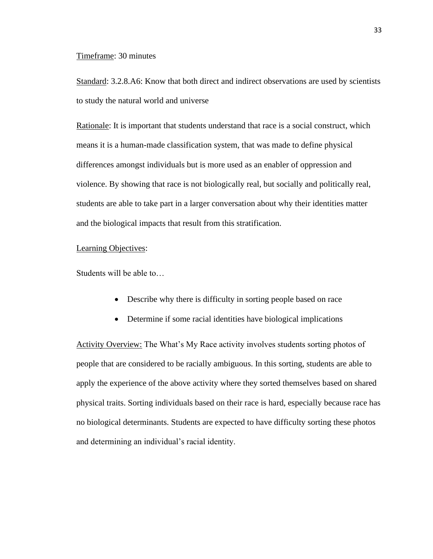#### Timeframe: 30 minutes

Standard: 3.2.8.A6: Know that both direct and indirect observations are used by scientists to study the natural world and universe

Rationale: It is important that students understand that race is a social construct, which means it is a human-made classification system, that was made to define physical differences amongst individuals but is more used as an enabler of oppression and violence. By showing that race is not biologically real, but socially and politically real, students are able to take part in a larger conversation about why their identities matter and the biological impacts that result from this stratification.

#### Learning Objectives:

Students will be able to…

- Describe why there is difficulty in sorting people based on race
- Determine if some racial identities have biological implications

Activity Overview: The What's My Race activity involves students sorting photos of people that are considered to be racially ambiguous. In this sorting, students are able to apply the experience of the above activity where they sorted themselves based on shared physical traits. Sorting individuals based on their race is hard, especially because race has no biological determinants. Students are expected to have difficulty sorting these photos and determining an individual's racial identity.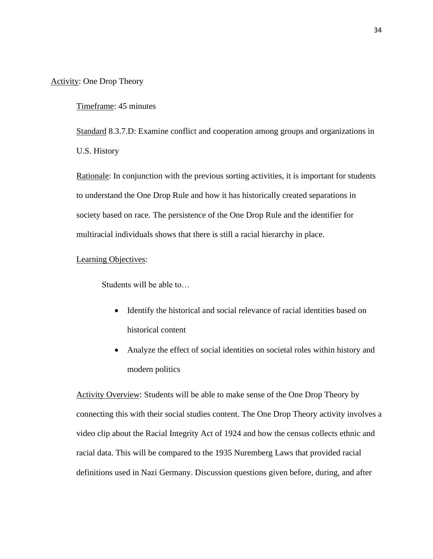#### Activity: One Drop Theory

Timeframe: 45 minutes

Standard 8.3.7.D: Examine conflict and cooperation among groups and organizations in U.S. History

Rationale: In conjunction with the previous sorting activities, it is important for students to understand the One Drop Rule and how it has historically created separations in society based on race. The persistence of the One Drop Rule and the identifier for multiracial individuals shows that there is still a racial hierarchy in place.

#### Learning Objectives:

Students will be able to…

- Identify the historical and social relevance of racial identities based on historical content
- Analyze the effect of social identities on societal roles within history and modern politics

Activity Overview: Students will be able to make sense of the One Drop Theory by connecting this with their social studies content. The One Drop Theory activity involves a video clip about the Racial Integrity Act of 1924 and how the census collects ethnic and racial data. This will be compared to the 1935 Nuremberg Laws that provided racial definitions used in Nazi Germany. Discussion questions given before, during, and after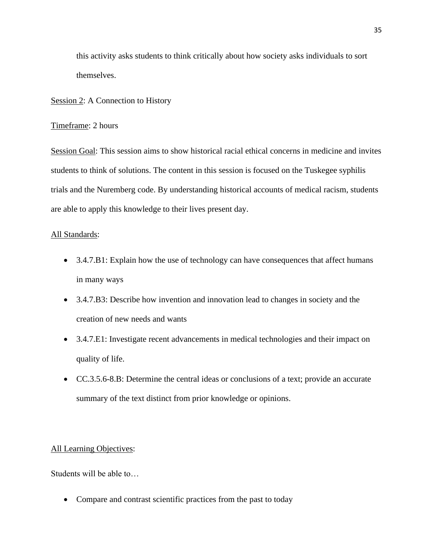this activity asks students to think critically about how society asks individuals to sort themselves.

# Session 2: A Connection to History

# Timeframe: 2 hours

Session Goal: This session aims to show historical racial ethical concerns in medicine and invites students to think of solutions. The content in this session is focused on the Tuskegee syphilis trials and the Nuremberg code. By understanding historical accounts of medical racism, students are able to apply this knowledge to their lives present day.

#### All Standards:

- 3.4.7.B1: Explain how the use of technology can have consequences that affect humans in many ways
- 3.4.7.B3: Describe how invention and innovation lead to changes in society and the creation of new needs and wants
- 3.4.7.E1: Investigate recent advancements in medical technologies and their impact on quality of life.
- CC.3.5.6-8.B: Determine the central ideas or conclusions of a text; provide an accurate summary of the text distinct from prior knowledge or opinions.

#### All Learning Objectives:

Students will be able to…

• Compare and contrast scientific practices from the past to today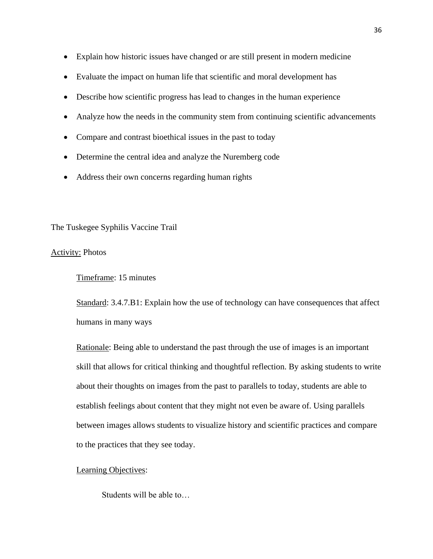- Explain how historic issues have changed or are still present in modern medicine
- Evaluate the impact on human life that scientific and moral development has
- Describe how scientific progress has lead to changes in the human experience
- Analyze how the needs in the community stem from continuing scientific advancements
- Compare and contrast bioethical issues in the past to today
- Determine the central idea and analyze the Nuremberg code
- Address their own concerns regarding human rights

#### The Tuskegee Syphilis Vaccine Trail

### Activity: Photos

Timeframe: 15 minutes

Standard: 3.4.7.B1: Explain how the use of technology can have consequences that affect humans in many ways

Rationale: Being able to understand the past through the use of images is an important skill that allows for critical thinking and thoughtful reflection. By asking students to write about their thoughts on images from the past to parallels to today, students are able to establish feelings about content that they might not even be aware of. Using parallels between images allows students to visualize history and scientific practices and compare to the practices that they see today.

# Learning Objectives: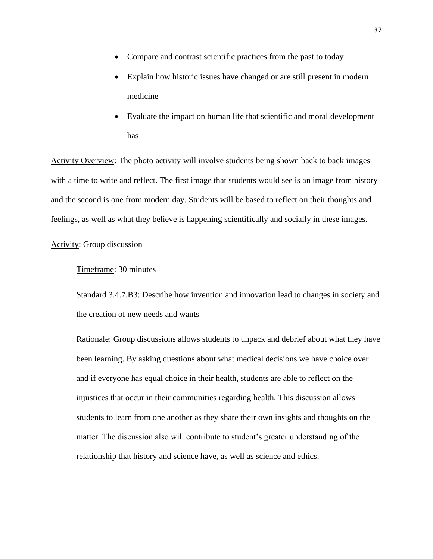- Compare and contrast scientific practices from the past to today
- Explain how historic issues have changed or are still present in modern medicine
- Evaluate the impact on human life that scientific and moral development has

Activity Overview: The photo activity will involve students being shown back to back images with a time to write and reflect. The first image that students would see is an image from history and the second is one from modern day. Students will be based to reflect on their thoughts and feelings, as well as what they believe is happening scientifically and socially in these images.

# Activity: Group discussion

# Timeframe: 30 minutes

Standard 3.4.7.B3: Describe how invention and innovation lead to changes in society and the creation of new needs and wants

Rationale: Group discussions allows students to unpack and debrief about what they have been learning. By asking questions about what medical decisions we have choice over and if everyone has equal choice in their health, students are able to reflect on the injustices that occur in their communities regarding health. This discussion allows students to learn from one another as they share their own insights and thoughts on the matter. The discussion also will contribute to student's greater understanding of the relationship that history and science have, as well as science and ethics.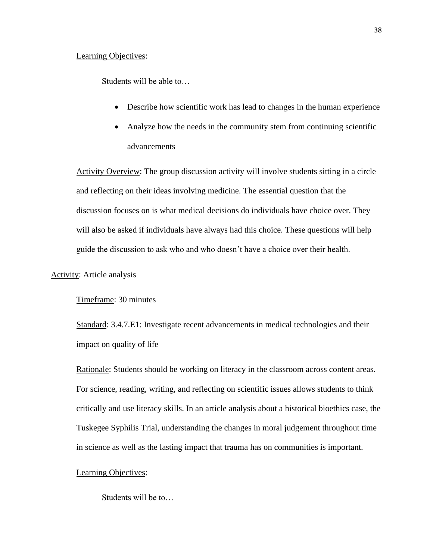#### Learning Objectives:

Students will be able to…

- Describe how scientific work has lead to changes in the human experience
- Analyze how the needs in the community stem from continuing scientific advancements

Activity Overview: The group discussion activity will involve students sitting in a circle and reflecting on their ideas involving medicine. The essential question that the discussion focuses on is what medical decisions do individuals have choice over. They will also be asked if individuals have always had this choice. These questions will help guide the discussion to ask who and who doesn't have a choice over their health.

#### Activity: Article analysis

Timeframe: 30 minutes

Standard: 3.4.7.E1: Investigate recent advancements in medical technologies and their impact on quality of life

Rationale: Students should be working on literacy in the classroom across content areas. For science, reading, writing, and reflecting on scientific issues allows students to think critically and use literacy skills. In an article analysis about a historical bioethics case, the Tuskegee Syphilis Trial, understanding the changes in moral judgement throughout time in science as well as the lasting impact that trauma has on communities is important.

### Learning Objectives:

Students will be to…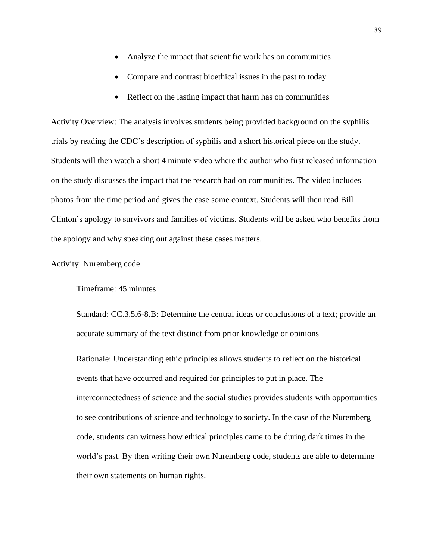- Analyze the impact that scientific work has on communities
- Compare and contrast bioethical issues in the past to today
- Reflect on the lasting impact that harm has on communities

Activity Overview: The analysis involves students being provided background on the syphilis trials by reading the CDC's description of syphilis and a short historical piece on the study. Students will then watch a short 4 minute video where the author who first released information on the study discusses the impact that the research had on communities. The video includes photos from the time period and gives the case some context. Students will then read Bill Clinton's apology to survivors and families of victims. Students will be asked who benefits from the apology and why speaking out against these cases matters.

# Activity: Nuremberg code

#### Timeframe: 45 minutes

Standard: CC.3.5.6-8.B: Determine the central ideas or conclusions of a text; provide an accurate summary of the text distinct from prior knowledge or opinions

Rationale: Understanding ethic principles allows students to reflect on the historical events that have occurred and required for principles to put in place. The interconnectedness of science and the social studies provides students with opportunities to see contributions of science and technology to society. In the case of the Nuremberg code, students can witness how ethical principles came to be during dark times in the world's past. By then writing their own Nuremberg code, students are able to determine their own statements on human rights.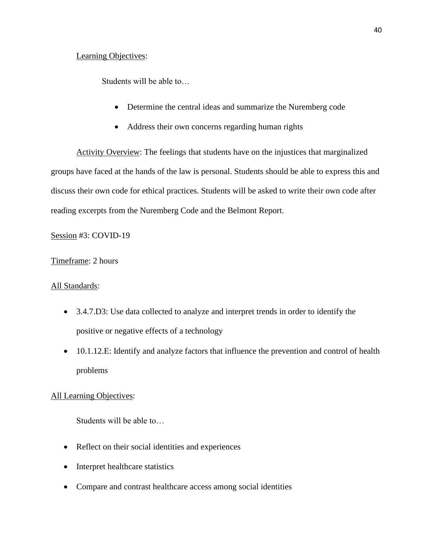# Learning Objectives:

Students will be able to…

- Determine the central ideas and summarize the Nuremberg code
- Address their own concerns regarding human rights

Activity Overview: The feelings that students have on the injustices that marginalized groups have faced at the hands of the law is personal. Students should be able to express this and discuss their own code for ethical practices. Students will be asked to write their own code after reading excerpts from the Nuremberg Code and the Belmont Report.

Session #3: COVID-19

# Timeframe: 2 hours

### All Standards:

- 3.4.7.D3: Use data collected to analyze and interpret trends in order to identify the positive or negative effects of a technology
- 10.1.12.E: Identify and analyze factors that influence the prevention and control of health problems

# All Learning Objectives:

- Reflect on their social identities and experiences
- Interpret healthcare statistics
- Compare and contrast healthcare access among social identities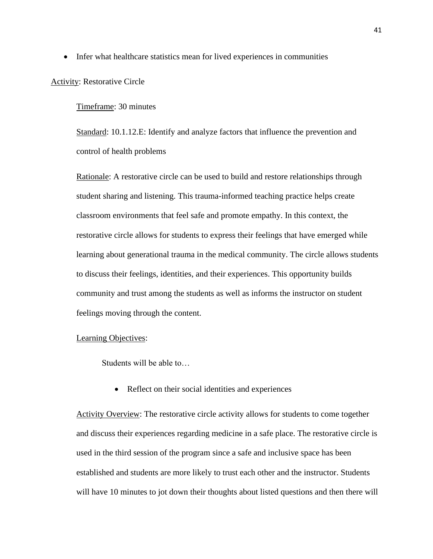• Infer what healthcare statistics mean for lived experiences in communities

#### Activity: Restorative Circle

#### Timeframe: 30 minutes

Standard: 10.1.12.E: Identify and analyze factors that influence the prevention and control of health problems

Rationale: A restorative circle can be used to build and restore relationships through student sharing and listening. This trauma-informed teaching practice helps create classroom environments that feel safe and promote empathy. In this context, the restorative circle allows for students to express their feelings that have emerged while learning about generational trauma in the medical community. The circle allows students to discuss their feelings, identities, and their experiences. This opportunity builds community and trust among the students as well as informs the instructor on student feelings moving through the content.

#### Learning Objectives:

Students will be able to…

• Reflect on their social identities and experiences

Activity Overview: The restorative circle activity allows for students to come together and discuss their experiences regarding medicine in a safe place. The restorative circle is used in the third session of the program since a safe and inclusive space has been established and students are more likely to trust each other and the instructor. Students will have 10 minutes to jot down their thoughts about listed questions and then there will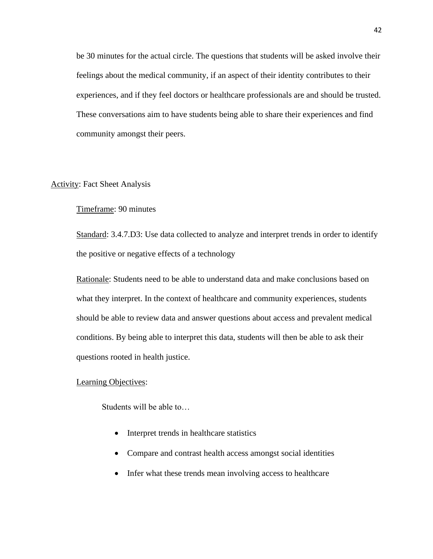be 30 minutes for the actual circle. The questions that students will be asked involve their feelings about the medical community, if an aspect of their identity contributes to their experiences, and if they feel doctors or healthcare professionals are and should be trusted. These conversations aim to have students being able to share their experiences and find community amongst their peers.

# Activity: Fact Sheet Analysis

# Timeframe: 90 minutes

Standard: 3.4.7.D3: Use data collected to analyze and interpret trends in order to identify the positive or negative effects of a technology

Rationale: Students need to be able to understand data and make conclusions based on what they interpret. In the context of healthcare and community experiences, students should be able to review data and answer questions about access and prevalent medical conditions. By being able to interpret this data, students will then be able to ask their questions rooted in health justice.

#### Learning Objectives:

- Interpret trends in healthcare statistics
- Compare and contrast health access amongst social identities
- Infer what these trends mean involving access to healthcare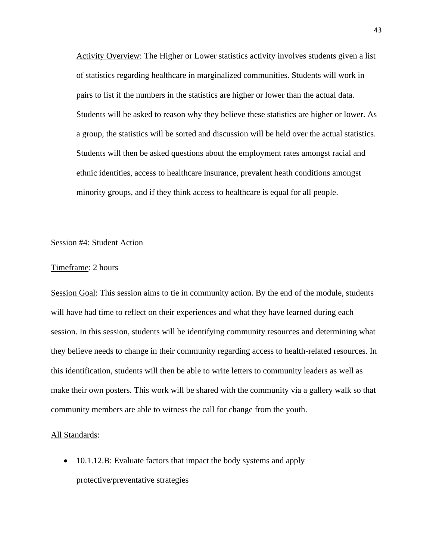Activity Overview: The Higher or Lower statistics activity involves students given a list of statistics regarding healthcare in marginalized communities. Students will work in pairs to list if the numbers in the statistics are higher or lower than the actual data. Students will be asked to reason why they believe these statistics are higher or lower. As a group, the statistics will be sorted and discussion will be held over the actual statistics. Students will then be asked questions about the employment rates amongst racial and ethnic identities, access to healthcare insurance, prevalent heath conditions amongst minority groups, and if they think access to healthcare is equal for all people.

#### Session #4: Student Action

#### Timeframe: 2 hours

Session Goal: This session aims to tie in community action. By the end of the module, students will have had time to reflect on their experiences and what they have learned during each session. In this session, students will be identifying community resources and determining what they believe needs to change in their community regarding access to health-related resources. In this identification, students will then be able to write letters to community leaders as well as make their own posters. This work will be shared with the community via a gallery walk so that community members are able to witness the call for change from the youth.

#### All Standards:

• 10.1.12.B: Evaluate factors that impact the body systems and apply protective/preventative strategies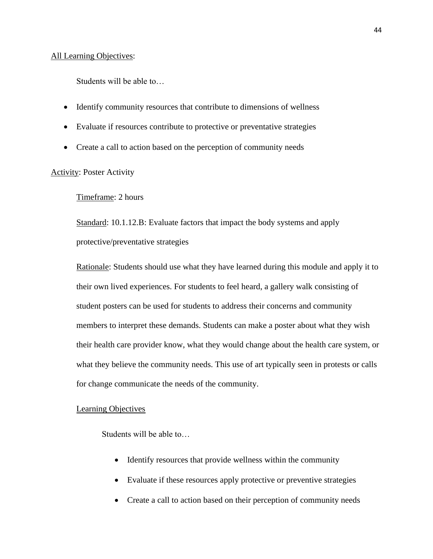#### All Learning Objectives:

Students will be able to…

- Identify community resources that contribute to dimensions of wellness
- Evaluate if resources contribute to protective or preventative strategies
- Create a call to action based on the perception of community needs

# Activity: Poster Activity

# Timeframe: 2 hours

Standard: 10.1.12.B: Evaluate factors that impact the body systems and apply protective/preventative strategies

Rationale: Students should use what they have learned during this module and apply it to their own lived experiences. For students to feel heard, a gallery walk consisting of student posters can be used for students to address their concerns and community members to interpret these demands. Students can make a poster about what they wish their health care provider know, what they would change about the health care system, or what they believe the community needs. This use of art typically seen in protests or calls for change communicate the needs of the community.

#### Learning Objectives

- Identify resources that provide wellness within the community
- Evaluate if these resources apply protective or preventive strategies
- Create a call to action based on their perception of community needs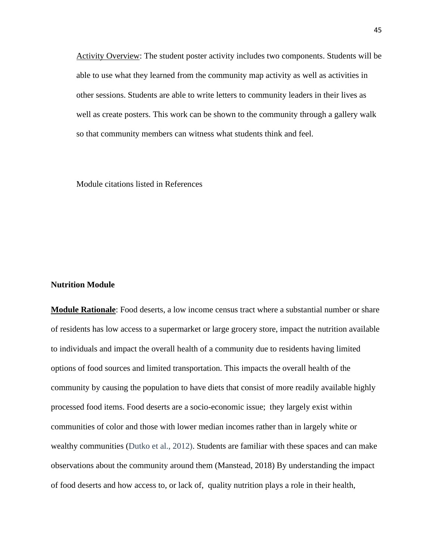Activity Overview: The student poster activity includes two components. Students will be able to use what they learned from the community map activity as well as activities in other sessions. Students are able to write letters to community leaders in their lives as well as create posters. This work can be shown to the community through a gallery walk so that community members can witness what students think and feel.

Module citations listed in References

## **Nutrition Module**

**Module Rationale**: Food deserts, a low income census tract where a substantial number or share of residents has low access to a supermarket or large grocery store, impact the nutrition available to individuals and impact the overall health of a community due to residents having limited options of food sources and limited transportation. This impacts the overall health of the community by causing the population to have diets that consist of more readily available highly processed food items. Food deserts are a socio-economic issue; they largely exist within communities of color and those with lower median incomes rather than in largely white or wealthy communities (Dutko et al., 2012). Students are familiar with these spaces and can make observations about the community around them (Manstead, 2018) By understanding the impact of food deserts and how access to, or lack of, quality nutrition plays a role in their health,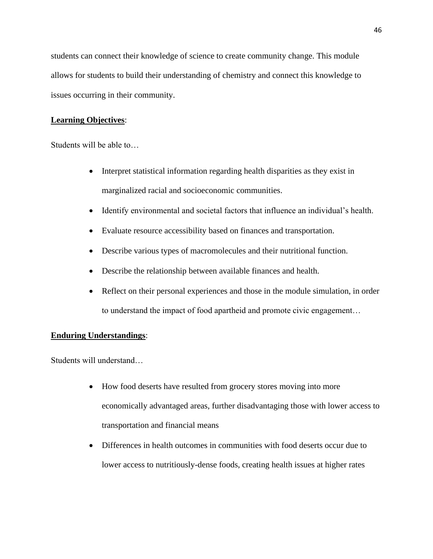students can connect their knowledge of science to create community change. This module allows for students to build their understanding of chemistry and connect this knowledge to issues occurring in their community.

# **Learning Objectives**:

Students will be able to…

- Interpret statistical information regarding health disparities as they exist in marginalized racial and socioeconomic communities.
- Identify environmental and societal factors that influence an individual's health.
- Evaluate resource accessibility based on finances and transportation.
- Describe various types of macromolecules and their nutritional function.
- Describe the relationship between available finances and health.
- Reflect on their personal experiences and those in the module simulation, in order to understand the impact of food apartheid and promote civic engagement…

# **Enduring Understandings**:

Students will understand…

- How food deserts have resulted from grocery stores moving into more economically advantaged areas, further disadvantaging those with lower access to transportation and financial means
- Differences in health outcomes in communities with food deserts occur due to lower access to nutritiously-dense foods, creating health issues at higher rates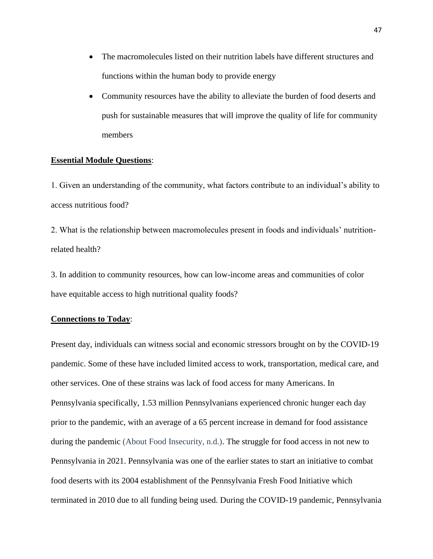- The macromolecules listed on their nutrition labels have different structures and functions within the human body to provide energy
- Community resources have the ability to alleviate the burden of food deserts and push for sustainable measures that will improve the quality of life for community members

### **Essential Module Questions**:

1. Given an understanding of the community, what factors contribute to an individual's ability to access nutritious food?

2. What is the relationship between macromolecules present in foods and individuals' nutritionrelated health?

3. In addition to community resources, how can low-income areas and communities of color have equitable access to high nutritional quality foods?

## **Connections to Today**:

Present day, individuals can witness social and economic stressors brought on by the COVID-19 pandemic. Some of these have included limited access to work, transportation, medical care, and other services. One of these strains was lack of food access for many Americans. In Pennsylvania specifically, 1.53 million Pennsylvanians experienced chronic hunger each day prior to the pandemic, with an average of a 65 percent increase in demand for food assistance during the pandemic (About Food Insecurity, n.d.). The struggle for food access in not new to Pennsylvania in 2021. Pennsylvania was one of the earlier states to start an initiative to combat food deserts with its 2004 establishment of the Pennsylvania Fresh Food Initiative which terminated in 2010 due to all funding being used. During the COVID-19 pandemic, Pennsylvania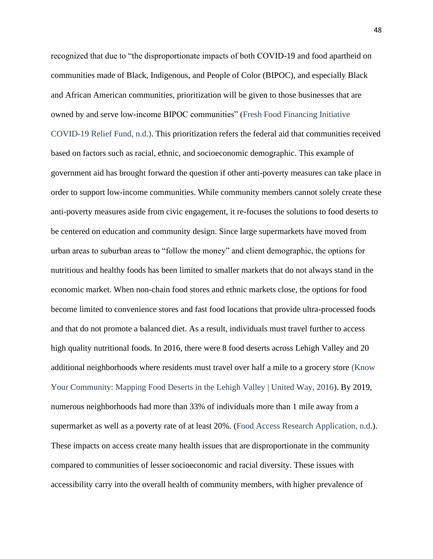recognized that due to "the disproportionate impacts of both COVID-19 and food apartheid on communities made of Black, Indigenous, and People of Color (BIPOC), and especially Black and African American communities, prioritization will be given to those businesses that are owned by and serve low-income BIPOC communities" (Fresh Food Financing Initiative COVID-19 Relief Fund, n.d.). This prioritization refers the federal aid that communities received based on factors such as racial, ethnic, and socioeconomic demographic. This example of government aid has brought forward the question if other anti-poverty measures can take place in order to support low-income communities. While community members cannot solely create these anti-poverty measures aside from civic engagement, it re-focuses the solutions to food deserts to be centered on education and community design. Since large supermarkets have moved from urban areas to suburban areas to "follow the money" and client demographic, the options for nutritious and healthy foods has been limited to smaller markets that do not always stand in the economic market. When non-chain food stores and ethnic markets close, the options for food become limited to convenience stores and fast food locations that provide ultra-processed foods and that do not promote a balanced diet. As a result, individuals must travel further to access high quality nutritional foods. In 2016, there were 8 food deserts across Lehigh Valley and 20 additional neighborhoods where residents must travel over half a mile to a grocery store (Know Your Community: Mapping Food Deserts in the Lehigh Valley | United Way, 2016). By 2019, numerous neighborhoods had more than 33% of individuals more than 1 mile away from a supermarket as well as a poverty rate of at least 20%. (Food Access Research Application, n.d.). These impacts on access create many health issues that are disproportionate in the community compared to communities of lesser socioeconomic and racial diversity. These issues with accessibility carry into the overall health of community members, with higher prevalence of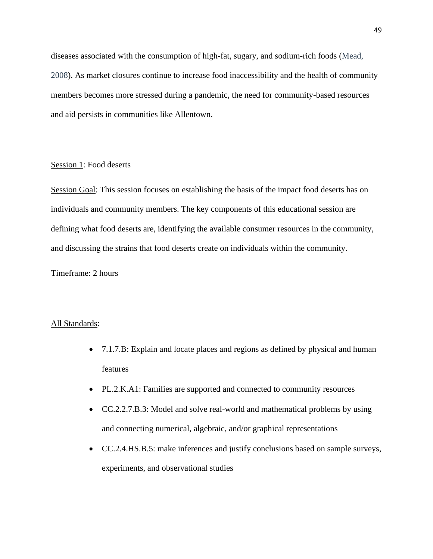diseases associated with the consumption of high-fat, sugary, and sodium-rich foods (Mead, 2008). As market closures continue to increase food inaccessibility and the health of community members becomes more stressed during a pandemic, the need for community-based resources and aid persists in communities like Allentown.

# Session 1: Food deserts

Session Goal: This session focuses on establishing the basis of the impact food deserts has on individuals and community members. The key components of this educational session are defining what food deserts are, identifying the available consumer resources in the community, and discussing the strains that food deserts create on individuals within the community.

### Timeframe: 2 hours

#### All Standards:

- 7.1.7.B: Explain and locate places and regions as defined by physical and human features
- PL.2.K.A1: Families are supported and connected to community resources
- CC.2.2.7.B.3: Model and solve real-world and mathematical problems by using and connecting numerical, algebraic, and/or graphical representations
- CC.2.4.HS.B.5: make inferences and justify conclusions based on sample surveys, experiments, and observational studies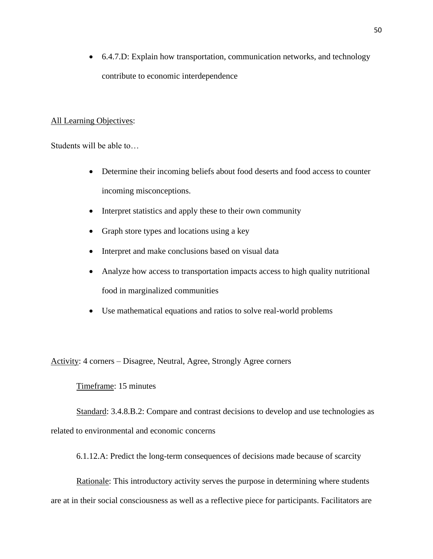• 6.4.7.D: Explain how transportation, communication networks, and technology contribute to economic interdependence

# All Learning Objectives:

Students will be able to…

- Determine their incoming beliefs about food deserts and food access to counter incoming misconceptions.
- Interpret statistics and apply these to their own community
- Graph store types and locations using a key
- Interpret and make conclusions based on visual data
- Analyze how access to transportation impacts access to high quality nutritional food in marginalized communities
- Use mathematical equations and ratios to solve real-world problems

Activity: 4 corners – Disagree, Neutral, Agree, Strongly Agree corners

### Timeframe: 15 minutes

Standard: 3.4.8.B.2: Compare and contrast decisions to develop and use technologies as related to environmental and economic concerns

6.1.12.A: Predict the long-term consequences of decisions made because of scarcity

Rationale: This introductory activity serves the purpose in determining where students are at in their social consciousness as well as a reflective piece for participants. Facilitators are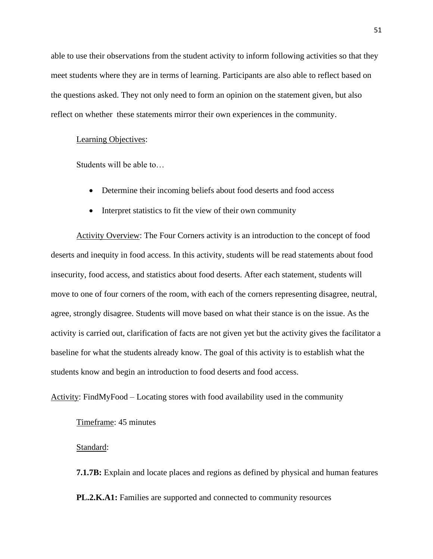able to use their observations from the student activity to inform following activities so that they meet students where they are in terms of learning. Participants are also able to reflect based on the questions asked. They not only need to form an opinion on the statement given, but also reflect on whether these statements mirror their own experiences in the community.

#### Learning Objectives:

Students will be able to…

- Determine their incoming beliefs about food deserts and food access
- Interpret statistics to fit the view of their own community

Activity Overview: The Four Corners activity is an introduction to the concept of food deserts and inequity in food access. In this activity, students will be read statements about food insecurity, food access, and statistics about food deserts. After each statement, students will move to one of four corners of the room, with each of the corners representing disagree, neutral, agree, strongly disagree. Students will move based on what their stance is on the issue. As the activity is carried out, clarification of facts are not given yet but the activity gives the facilitator a baseline for what the students already know. The goal of this activity is to establish what the students know and begin an introduction to food deserts and food access.

Activity: FindMyFood – Locating stores with food availability used in the community

Timeframe: 45 minutes

### Standard:

**7.1.7B:** Explain and locate places and regions as defined by physical and human features **PL.2.K.A1:** Families are supported and connected to community resources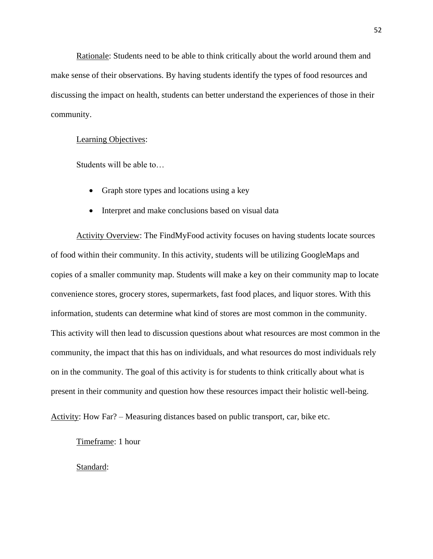Rationale: Students need to be able to think critically about the world around them and make sense of their observations. By having students identify the types of food resources and discussing the impact on health, students can better understand the experiences of those in their community.

### Learning Objectives:

Students will be able to…

- Graph store types and locations using a key
- Interpret and make conclusions based on visual data

Activity Overview: The FindMyFood activity focuses on having students locate sources of food within their community. In this activity, students will be utilizing GoogleMaps and copies of a smaller community map. Students will make a key on their community map to locate convenience stores, grocery stores, supermarkets, fast food places, and liquor stores. With this information, students can determine what kind of stores are most common in the community. This activity will then lead to discussion questions about what resources are most common in the community, the impact that this has on individuals, and what resources do most individuals rely on in the community. The goal of this activity is for students to think critically about what is present in their community and question how these resources impact their holistic well-being.

Activity: How Far? – Measuring distances based on public transport, car, bike etc.

Timeframe: 1 hour

Standard: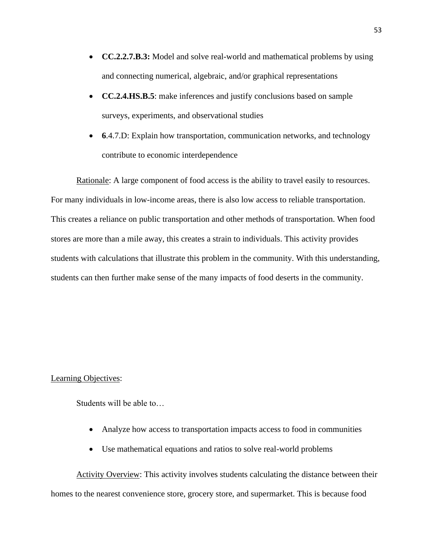- **CC.2.2.7.B.3:** Model and solve real-world and mathematical problems by using and connecting numerical, algebraic, and/or graphical representations
- **CC.2.4.HS.B.5**: make inferences and justify conclusions based on sample surveys, experiments, and observational studies
- **6**.4.7.D: Explain how transportation, communication networks, and technology contribute to economic interdependence

Rationale: A large component of food access is the ability to travel easily to resources. For many individuals in low-income areas, there is also low access to reliable transportation. This creates a reliance on public transportation and other methods of transportation. When food stores are more than a mile away, this creates a strain to individuals. This activity provides students with calculations that illustrate this problem in the community. With this understanding, students can then further make sense of the many impacts of food deserts in the community.

### Learning Objectives:

Students will be able to…

- Analyze how access to transportation impacts access to food in communities
- Use mathematical equations and ratios to solve real-world problems

Activity Overview: This activity involves students calculating the distance between their homes to the nearest convenience store, grocery store, and supermarket. This is because food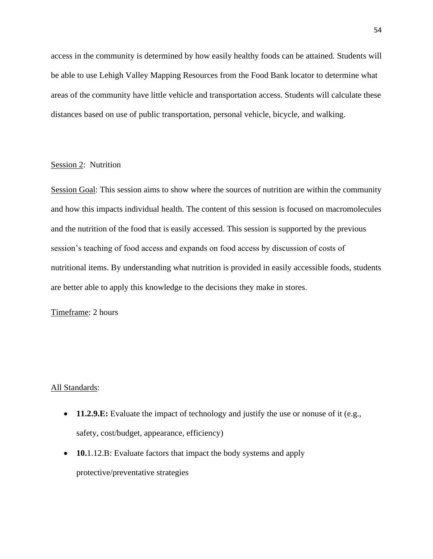access in the community is determined by how easily healthy foods can be attained. Students will be able to use Lehigh Valley Mapping Resources from the Food Bank locator to determine what areas of the community have little vehicle and transportation access. Students will calculate these distances based on use of public transportation, personal vehicle, bicycle, and walking.

# Session 2: Nutrition

Session Goal: This session aims to show where the sources of nutrition are within the community and how this impacts individual health. The content of this session is focused on macromolecules and the nutrition of the food that is easily accessed. This session is supported by the previous session's teaching of food access and expands on food access by discussion of costs of nutritional items. By understanding what nutrition is provided in easily accessible foods, students are better able to apply this knowledge to the decisions they make in stores.

#### Timeframe: 2 hours

### All Standards:

- **11.2.9.E:** Evaluate the impact of technology and justify the use or nonuse of it (e.g., safety, cost/budget, appearance, efficiency)
- **10.**1.12.B: Evaluate factors that impact the body systems and apply protective/preventative strategies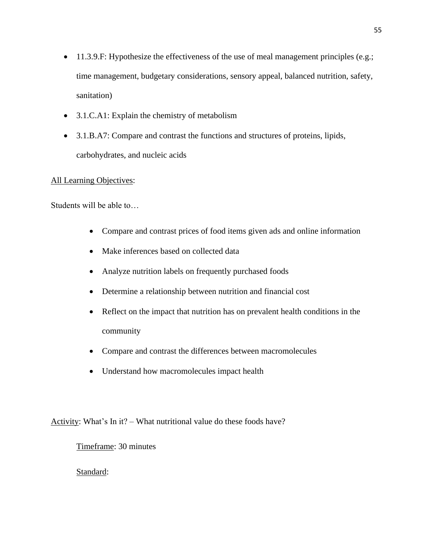- 11.3.9.F: Hypothesize the effectiveness of the use of meal management principles (e.g.; time management, budgetary considerations, sensory appeal, balanced nutrition, safety, sanitation)
- 3.1.C.A1: Explain the chemistry of metabolism
- 3.1.B.A7: Compare and contrast the functions and structures of proteins, lipids, carbohydrates, and nucleic acids

# All Learning Objectives:

Students will be able to…

- Compare and contrast prices of food items given ads and online information
- Make inferences based on collected data
- Analyze nutrition labels on frequently purchased foods
- Determine a relationship between nutrition and financial cost
- Reflect on the impact that nutrition has on prevalent health conditions in the community
- Compare and contrast the differences between macromolecules
- Understand how macromolecules impact health

Activity: What's In it? – What nutritional value do these foods have?

Timeframe: 30 minutes

Standard: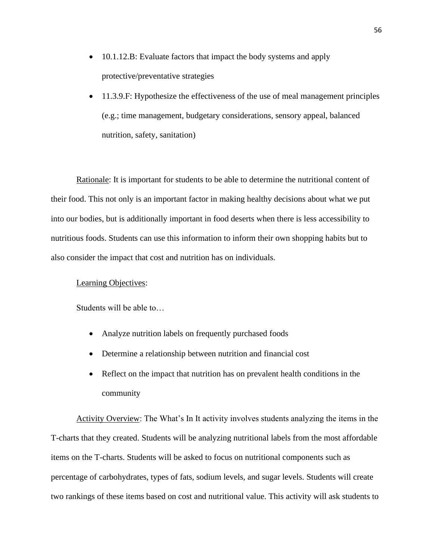- 10.1.12.B: Evaluate factors that impact the body systems and apply protective/preventative strategies
- 11.3.9.F: Hypothesize the effectiveness of the use of meal management principles (e.g.; time management, budgetary considerations, sensory appeal, balanced nutrition, safety, sanitation)

Rationale: It is important for students to be able to determine the nutritional content of their food. This not only is an important factor in making healthy decisions about what we put into our bodies, but is additionally important in food deserts when there is less accessibility to nutritious foods. Students can use this information to inform their own shopping habits but to also consider the impact that cost and nutrition has on individuals.

#### Learning Objectives:

Students will be able to…

- Analyze nutrition labels on frequently purchased foods
- Determine a relationship between nutrition and financial cost
- Reflect on the impact that nutrition has on prevalent health conditions in the community

Activity Overview: The What's In It activity involves students analyzing the items in the T-charts that they created. Students will be analyzing nutritional labels from the most affordable items on the T-charts. Students will be asked to focus on nutritional components such as percentage of carbohydrates, types of fats, sodium levels, and sugar levels. Students will create two rankings of these items based on cost and nutritional value. This activity will ask students to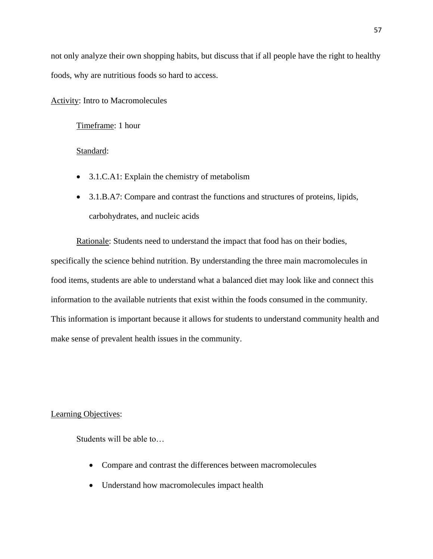not only analyze their own shopping habits, but discuss that if all people have the right to healthy foods, why are nutritious foods so hard to access.

Activity: Intro to Macromolecules

Timeframe: 1 hour

#### Standard:

- 3.1.C.A1: Explain the chemistry of metabolism
- 3.1.B.A7: Compare and contrast the functions and structures of proteins, lipids, carbohydrates, and nucleic acids

Rationale: Students need to understand the impact that food has on their bodies, specifically the science behind nutrition. By understanding the three main macromolecules in food items, students are able to understand what a balanced diet may look like and connect this information to the available nutrients that exist within the foods consumed in the community. This information is important because it allows for students to understand community health and make sense of prevalent health issues in the community.

### Learning Objectives:

- Compare and contrast the differences between macromolecules
- Understand how macromolecules impact health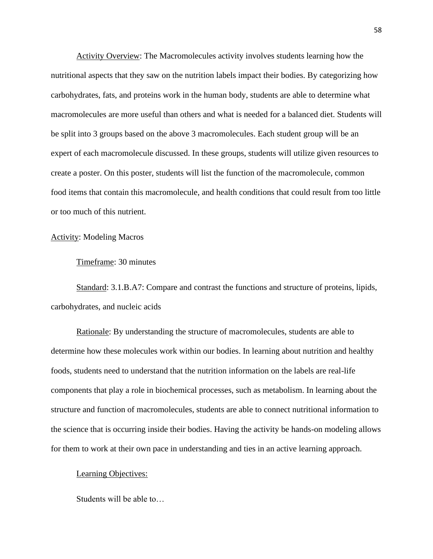Activity Overview: The Macromolecules activity involves students learning how the nutritional aspects that they saw on the nutrition labels impact their bodies. By categorizing how carbohydrates, fats, and proteins work in the human body, students are able to determine what macromolecules are more useful than others and what is needed for a balanced diet. Students will be split into 3 groups based on the above 3 macromolecules. Each student group will be an expert of each macromolecule discussed. In these groups, students will utilize given resources to create a poster. On this poster, students will list the function of the macromolecule, common food items that contain this macromolecule, and health conditions that could result from too little or too much of this nutrient.

# Activity: Modeling Macros

#### Timeframe: 30 minutes

Standard: 3.1.B.A7: Compare and contrast the functions and structure of proteins, lipids, carbohydrates, and nucleic acids

Rationale: By understanding the structure of macromolecules, students are able to determine how these molecules work within our bodies. In learning about nutrition and healthy foods, students need to understand that the nutrition information on the labels are real-life components that play a role in biochemical processes, such as metabolism. In learning about the structure and function of macromolecules, students are able to connect nutritional information to the science that is occurring inside their bodies. Having the activity be hands-on modeling allows for them to work at their own pace in understanding and ties in an active learning approach.

#### Learning Objectives: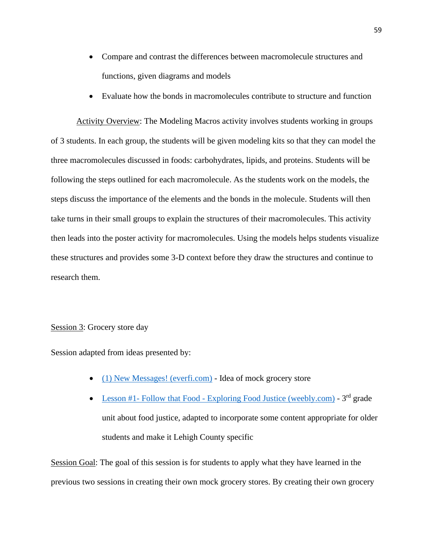- Compare and contrast the differences between macromolecule structures and functions, given diagrams and models
- Evaluate how the bonds in macromolecules contribute to structure and function

Activity Overview: The Modeling Macros activity involves students working in groups of 3 students. In each group, the students will be given modeling kits so that they can model the three macromolecules discussed in foods: carbohydrates, lipids, and proteins. Students will be following the steps outlined for each macromolecule. As the students work on the models, the steps discuss the importance of the elements and the bonds in the molecule. Students will then take turns in their small groups to explain the structures of their macromolecules. This activity then leads into the poster activity for macromolecules. Using the models helps students visualize these structures and provides some 3-D context before they draw the structures and continue to research them.

# Session 3: Grocery store day

Session adapted from ideas presented by:

- [\(1\) New Messages! \(everfi.com\)](https://everfi.com/blog/k-12/food-desert-lesson/) Idea of mock grocery store
- Lesson #1- Follow that Food [Exploring Food Justice \(weebly.com\)](https://exploringfoodjustice.weebly.com/lesson-1--follow-that-food.html)  $3<sup>rd</sup>$  grade unit about food justice, adapted to incorporate some content appropriate for older students and make it Lehigh County specific

Session Goal: The goal of this session is for students to apply what they have learned in the previous two sessions in creating their own mock grocery stores. By creating their own grocery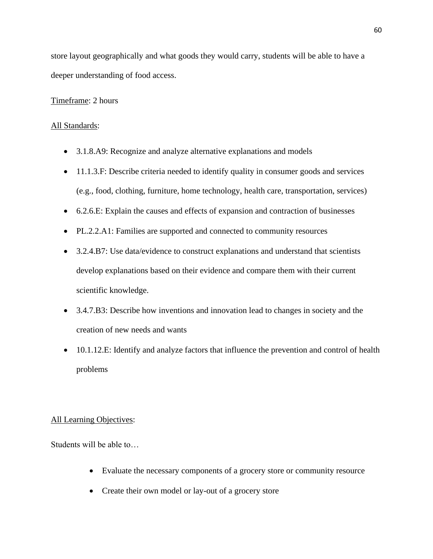store layout geographically and what goods they would carry, students will be able to have a deeper understanding of food access.

# Timeframe: 2 hours

# All Standards:

- 3.1.8.A9: Recognize and analyze alternative explanations and models
- 11.1.3.F: Describe criteria needed to identify quality in consumer goods and services (e.g., food, clothing, furniture, home technology, health care, transportation, services)
- 6.2.6.E: Explain the causes and effects of expansion and contraction of businesses
- PL.2.2.A1: Families are supported and connected to community resources
- 3.2.4.B7: Use data/evidence to construct explanations and understand that scientists develop explanations based on their evidence and compare them with their current scientific knowledge.
- 3.4.7.B3: Describe how inventions and innovation lead to changes in society and the creation of new needs and wants
- 10.1.12.E: Identify and analyze factors that influence the prevention and control of health problems

### All Learning Objectives:

- Evaluate the necessary components of a grocery store or community resource
- Create their own model or lay-out of a grocery store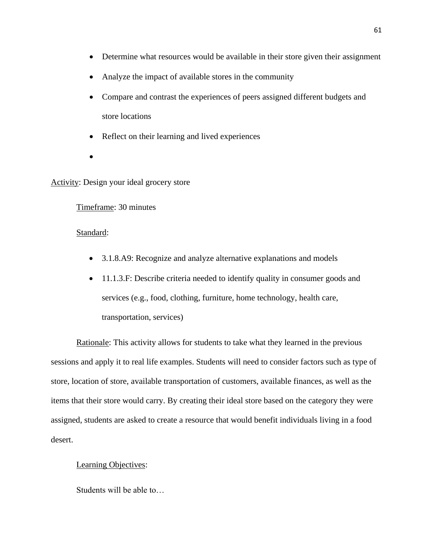- Determine what resources would be available in their store given their assignment
- Analyze the impact of available stores in the community
- Compare and contrast the experiences of peers assigned different budgets and store locations
- Reflect on their learning and lived experiences
- •

# Activity: Design your ideal grocery store

# Timeframe: 30 minutes

# Standard:

- 3.1.8.A9: Recognize and analyze alternative explanations and models
- 11.1.3.F: Describe criteria needed to identify quality in consumer goods and services (e.g., food, clothing, furniture, home technology, health care, transportation, services)

Rationale: This activity allows for students to take what they learned in the previous sessions and apply it to real life examples. Students will need to consider factors such as type of store, location of store, available transportation of customers, available finances, as well as the items that their store would carry. By creating their ideal store based on the category they were assigned, students are asked to create a resource that would benefit individuals living in a food desert.

### Learning Objectives: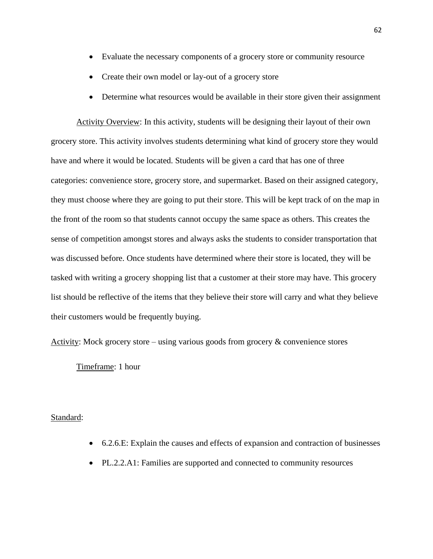- Evaluate the necessary components of a grocery store or community resource
- Create their own model or lay-out of a grocery store
- Determine what resources would be available in their store given their assignment

Activity Overview: In this activity, students will be designing their layout of their own grocery store. This activity involves students determining what kind of grocery store they would have and where it would be located. Students will be given a card that has one of three categories: convenience store, grocery store, and supermarket. Based on their assigned category, they must choose where they are going to put their store. This will be kept track of on the map in the front of the room so that students cannot occupy the same space as others. This creates the sense of competition amongst stores and always asks the students to consider transportation that was discussed before. Once students have determined where their store is located, they will be tasked with writing a grocery shopping list that a customer at their store may have. This grocery list should be reflective of the items that they believe their store will carry and what they believe their customers would be frequently buying.

Activity: Mock grocery store – using various goods from grocery & convenience stores

Timeframe: 1 hour

# Standard:

- 6.2.6.E: Explain the causes and effects of expansion and contraction of businesses
- PL.2.2.A1: Families are supported and connected to community resources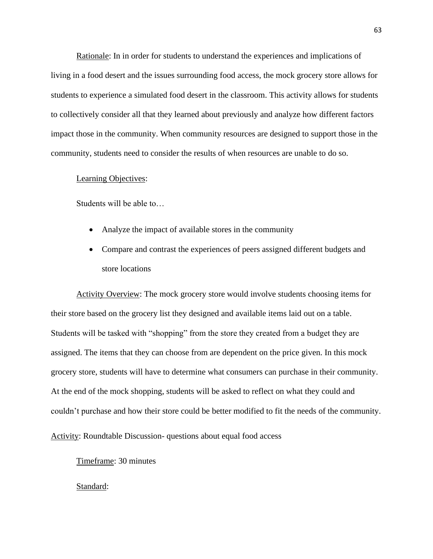Rationale: In in order for students to understand the experiences and implications of living in a food desert and the issues surrounding food access, the mock grocery store allows for students to experience a simulated food desert in the classroom. This activity allows for students to collectively consider all that they learned about previously and analyze how different factors impact those in the community. When community resources are designed to support those in the community, students need to consider the results of when resources are unable to do so.

#### Learning Objectives:

Students will be able to…

- Analyze the impact of available stores in the community
- Compare and contrast the experiences of peers assigned different budgets and store locations

Activity Overview: The mock grocery store would involve students choosing items for their store based on the grocery list they designed and available items laid out on a table. Students will be tasked with "shopping" from the store they created from a budget they are assigned. The items that they can choose from are dependent on the price given. In this mock grocery store, students will have to determine what consumers can purchase in their community. At the end of the mock shopping, students will be asked to reflect on what they could and couldn't purchase and how their store could be better modified to fit the needs of the community.

Activity: Roundtable Discussion- questions about equal food access

Timeframe: 30 minutes

Standard: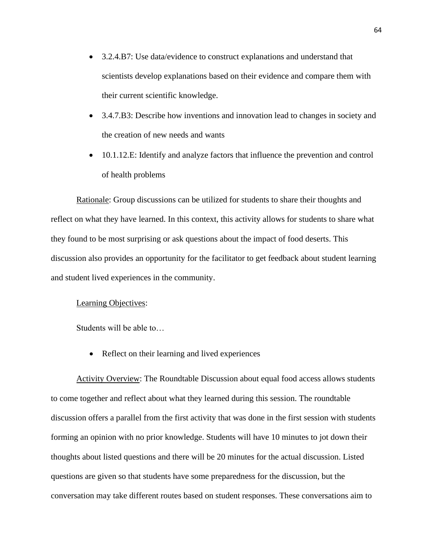- 3.2.4.B7: Use data/evidence to construct explanations and understand that scientists develop explanations based on their evidence and compare them with their current scientific knowledge.
- 3.4.7.B3: Describe how inventions and innovation lead to changes in society and the creation of new needs and wants
- 10.1.12.E: Identify and analyze factors that influence the prevention and control of health problems

Rationale: Group discussions can be utilized for students to share their thoughts and reflect on what they have learned. In this context, this activity allows for students to share what they found to be most surprising or ask questions about the impact of food deserts. This discussion also provides an opportunity for the facilitator to get feedback about student learning and student lived experiences in the community.

# Learning Objectives:

Students will be able to…

• Reflect on their learning and lived experiences

Activity Overview: The Roundtable Discussion about equal food access allows students to come together and reflect about what they learned during this session. The roundtable discussion offers a parallel from the first activity that was done in the first session with students forming an opinion with no prior knowledge. Students will have 10 minutes to jot down their thoughts about listed questions and there will be 20 minutes for the actual discussion. Listed questions are given so that students have some preparedness for the discussion, but the conversation may take different routes based on student responses. These conversations aim to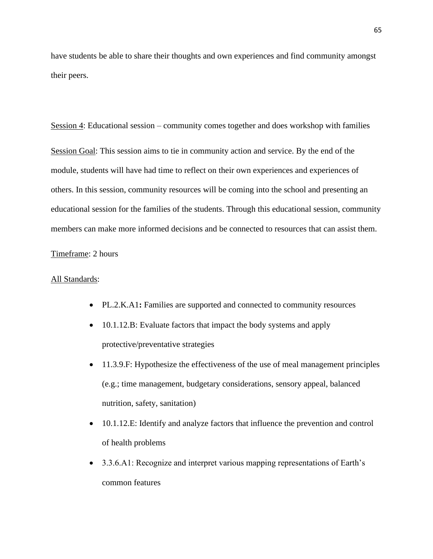have students be able to share their thoughts and own experiences and find community amongst their peers.

Session 4: Educational session – community comes together and does workshop with families Session Goal: This session aims to tie in community action and service. By the end of the module, students will have had time to reflect on their own experiences and experiences of others. In this session, community resources will be coming into the school and presenting an educational session for the families of the students. Through this educational session, community members can make more informed decisions and be connected to resources that can assist them.

### Timeframe: 2 hours

#### All Standards:

- PL.2.K.A1**:** Families are supported and connected to community resources
- 10.1.12.B: Evaluate factors that impact the body systems and apply protective/preventative strategies
- 11.3.9.F: Hypothesize the effectiveness of the use of meal management principles (e.g.; time management, budgetary considerations, sensory appeal, balanced nutrition, safety, sanitation)
- 10.1.12.E: Identify and analyze factors that influence the prevention and control of health problems
- 3.3.6.A1: Recognize and interpret various mapping representations of Earth's common features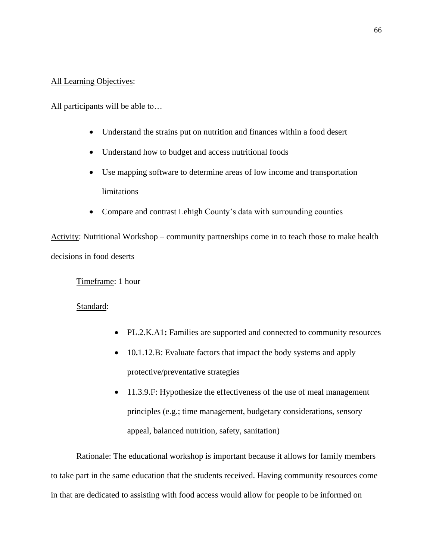# All Learning Objectives:

All participants will be able to…

- Understand the strains put on nutrition and finances within a food desert
- Understand how to budget and access nutritional foods
- Use mapping software to determine areas of low income and transportation limitations
- Compare and contrast Lehigh County's data with surrounding counties

Activity: Nutritional Workshop – community partnerships come in to teach those to make health decisions in food deserts

Timeframe: 1 hour

Standard:

- PL.2.K.A1**:** Families are supported and connected to community resources
- 10**.**1.12.B: Evaluate factors that impact the body systems and apply protective/preventative strategies
- 11.3.9.F: Hypothesize the effectiveness of the use of meal management principles (e.g.; time management, budgetary considerations, sensory appeal, balanced nutrition, safety, sanitation)

Rationale: The educational workshop is important because it allows for family members to take part in the same education that the students received. Having community resources come in that are dedicated to assisting with food access would allow for people to be informed on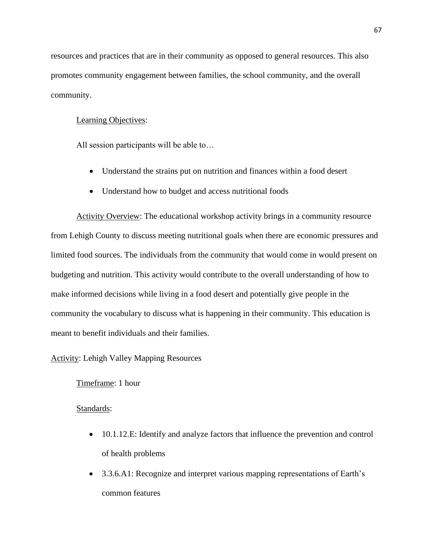resources and practices that are in their community as opposed to general resources. This also promotes community engagement between families, the school community, and the overall community.

## Learning Objectives:

All session participants will be able to…

- Understand the strains put on nutrition and finances within a food desert
- Understand how to budget and access nutritional foods

Activity Overview: The educational workshop activity brings in a community resource from Lehigh County to discuss meeting nutritional goals when there are economic pressures and limited food sources. The individuals from the community that would come in would present on budgeting and nutrition. This activity would contribute to the overall understanding of how to make informed decisions while living in a food desert and potentially give people in the community the vocabulary to discuss what is happening in their community. This education is meant to benefit individuals and their families.

# Activity: Lehigh Valley Mapping Resources

# Timeframe: 1 hour

# Standards:

- 10.1.12.E: Identify and analyze factors that influence the prevention and control of health problems
- 3.3.6.A1: Recognize and interpret various mapping representations of Earth's common features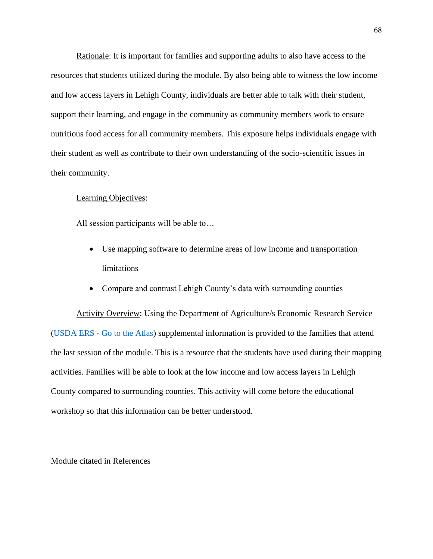Rationale: It is important for families and supporting adults to also have access to the resources that students utilized during the module. By also being able to witness the low income and low access layers in Lehigh County, individuals are better able to talk with their student, support their learning, and engage in the community as community members work to ensure nutritious food access for all community members. This exposure helps individuals engage with their student as well as contribute to their own understanding of the socio-scientific issues in their community.

#### Learning Objectives:

All session participants will be able to…

- Use mapping software to determine areas of low income and transportation limitations
- Compare and contrast Lehigh County's data with surrounding counties

Activity Overview: Using the Department of Agriculture/s Economic Research Service (USDA ERS - [Go to the Atlas\)](https://www.ers.usda.gov/data-products/food-access-research-atlas/go-to-the-atlas/) supplemental information is provided to the families that attend the last session of the module. This is a resource that the students have used during their mapping activities. Families will be able to look at the low income and low access layers in Lehigh County compared to surrounding counties. This activity will come before the educational workshop so that this information can be better understood.

Module citated in References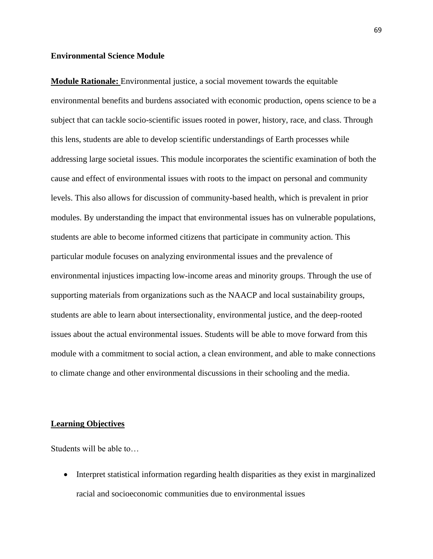#### **Environmental Science Module**

**Module Rationale:** Environmental justice, a social movement towards the equitable environmental benefits and burdens associated with economic production, opens science to be a subject that can tackle socio-scientific issues rooted in power, history, race, and class. Through this lens, students are able to develop scientific understandings of Earth processes while addressing large societal issues. This module incorporates the scientific examination of both the cause and effect of environmental issues with roots to the impact on personal and community levels. This also allows for discussion of community-based health, which is prevalent in prior modules. By understanding the impact that environmental issues has on vulnerable populations, students are able to become informed citizens that participate in community action. This particular module focuses on analyzing environmental issues and the prevalence of environmental injustices impacting low-income areas and minority groups. Through the use of supporting materials from organizations such as the NAACP and local sustainability groups, students are able to learn about intersectionality, environmental justice, and the deep-rooted issues about the actual environmental issues. Students will be able to move forward from this module with a commitment to social action, a clean environment, and able to make connections to climate change and other environmental discussions in their schooling and the media.

#### **Learning Objectives**

Students will be able to…

• Interpret statistical information regarding health disparities as they exist in marginalized racial and socioeconomic communities due to environmental issues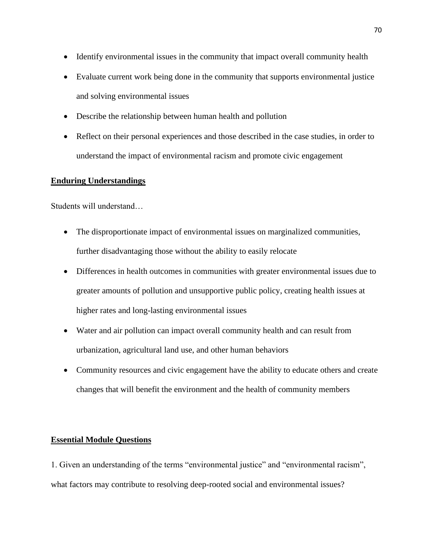- Identify environmental issues in the community that impact overall community health
- Evaluate current work being done in the community that supports environmental justice and solving environmental issues
- Describe the relationship between human health and pollution
- Reflect on their personal experiences and those described in the case studies, in order to understand the impact of environmental racism and promote civic engagement

# **Enduring Understandings**

Students will understand…

- The disproportionate impact of environmental issues on marginalized communities, further disadvantaging those without the ability to easily relocate
- Differences in health outcomes in communities with greater environmental issues due to greater amounts of pollution and unsupportive public policy, creating health issues at higher rates and long-lasting environmental issues
- Water and air pollution can impact overall community health and can result from urbanization, agricultural land use, and other human behaviors
- Community resources and civic engagement have the ability to educate others and create changes that will benefit the environment and the health of community members

# **Essential Module Questions**

1. Given an understanding of the terms "environmental justice" and "environmental racism", what factors may contribute to resolving deep-rooted social and environmental issues?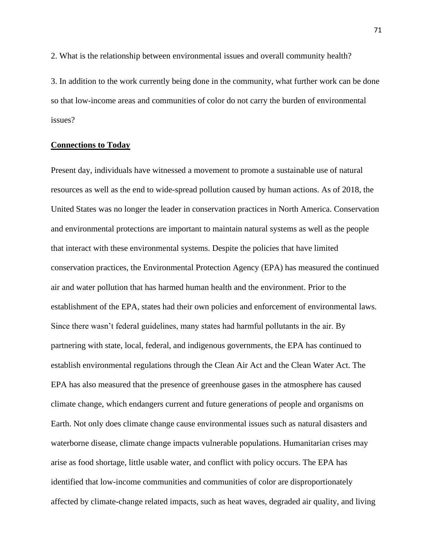2. What is the relationship between environmental issues and overall community health?

3. In addition to the work currently being done in the community, what further work can be done so that low-income areas and communities of color do not carry the burden of environmental issues?

# **Connections to Today**

Present day, individuals have witnessed a movement to promote a sustainable use of natural resources as well as the end to wide-spread pollution caused by human actions. As of 2018, the United States was no longer the leader in conservation practices in North America. Conservation and environmental protections are important to maintain natural systems as well as the people that interact with these environmental systems. Despite the policies that have limited conservation practices, the Environmental Protection Agency (EPA) has measured the continued air and water pollution that has harmed human health and the environment. Prior to the establishment of the EPA, states had their own policies and enforcement of environmental laws. Since there wasn't federal guidelines, many states had harmful pollutants in the air. By partnering with state, local, federal, and indigenous governments, the EPA has continued to establish environmental regulations through the Clean Air Act and the Clean Water Act. The EPA has also measured that the presence of greenhouse gases in the atmosphere has caused climate change, which endangers current and future generations of people and organisms on Earth. Not only does climate change cause environmental issues such as natural disasters and waterborne disease, climate change impacts vulnerable populations. Humanitarian crises may arise as food shortage, little usable water, and conflict with policy occurs. The EPA has identified that low-income communities and communities of color are disproportionately affected by climate-change related impacts, such as heat waves, degraded air quality, and living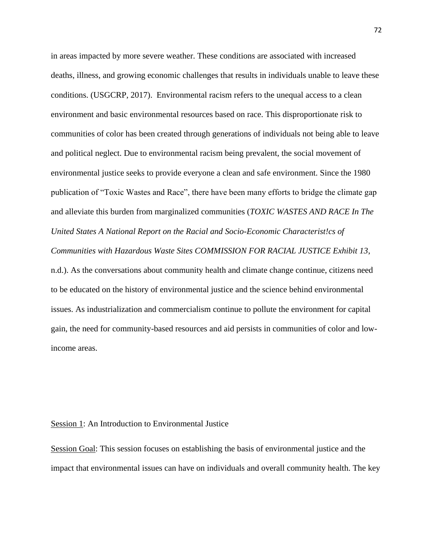in areas impacted by more severe weather. These conditions are associated with increased deaths, illness, and growing economic challenges that results in individuals unable to leave these conditions. (USGCRP, 2017). Environmental racism refers to the unequal access to a clean environment and basic environmental resources based on race. This disproportionate risk to communities of color has been created through generations of individuals not being able to leave and political neglect. Due to environmental racism being prevalent, the social movement of environmental justice seeks to provide everyone a clean and safe environment. Since the 1980 publication of "Toxic Wastes and Race", there have been many efforts to bridge the climate gap and alleviate this burden from marginalized communities (*TOXIC WASTES AND RACE In The United States A National Report on the Racial and Socio-Economic Characterist!cs of Communities with Hazardous Waste Sites COMMISSION FOR RACIAL JUSTICE Exhibit 13*, n.d.). As the conversations about community health and climate change continue, citizens need to be educated on the history of environmental justice and the science behind environmental issues. As industrialization and commercialism continue to pollute the environment for capital gain, the need for community-based resources and aid persists in communities of color and lowincome areas.

## Session 1: An Introduction to Environmental Justice

Session Goal: This session focuses on establishing the basis of environmental justice and the impact that environmental issues can have on individuals and overall community health. The key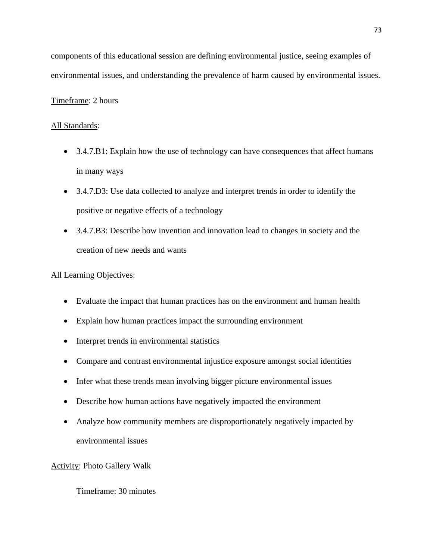components of this educational session are defining environmental justice, seeing examples of environmental issues, and understanding the prevalence of harm caused by environmental issues.

# Timeframe: 2 hours

# All Standards:

- 3.4.7.B1: Explain how the use of technology can have consequences that affect humans in many ways
- 3.4.7.D3: Use data collected to analyze and interpret trends in order to identify the positive or negative effects of a technology
- 3.4.7.B3: Describe how invention and innovation lead to changes in society and the creation of new needs and wants

# All Learning Objectives:

- Evaluate the impact that human practices has on the environment and human health
- Explain how human practices impact the surrounding environment
- Interpret trends in environmental statistics
- Compare and contrast environmental injustice exposure amongst social identities
- Infer what these trends mean involving bigger picture environmental issues
- Describe how human actions have negatively impacted the environment
- Analyze how community members are disproportionately negatively impacted by environmental issues

# Activity: Photo Gallery Walk

# Timeframe: 30 minutes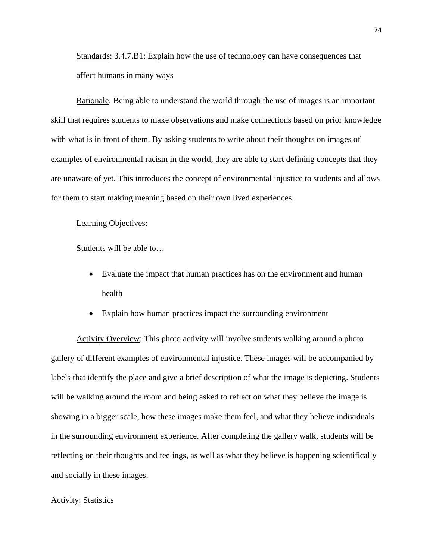Standards: 3.4.7.B1: Explain how the use of technology can have consequences that affect humans in many ways

Rationale: Being able to understand the world through the use of images is an important skill that requires students to make observations and make connections based on prior knowledge with what is in front of them. By asking students to write about their thoughts on images of examples of environmental racism in the world, they are able to start defining concepts that they are unaware of yet. This introduces the concept of environmental injustice to students and allows for them to start making meaning based on their own lived experiences.

#### Learning Objectives:

Students will be able to…

- Evaluate the impact that human practices has on the environment and human health
- Explain how human practices impact the surrounding environment

Activity Overview: This photo activity will involve students walking around a photo gallery of different examples of environmental injustice. These images will be accompanied by labels that identify the place and give a brief description of what the image is depicting. Students will be walking around the room and being asked to reflect on what they believe the image is showing in a bigger scale, how these images make them feel, and what they believe individuals in the surrounding environment experience. After completing the gallery walk, students will be reflecting on their thoughts and feelings, as well as what they believe is happening scientifically and socially in these images.

## **Activity: Statistics**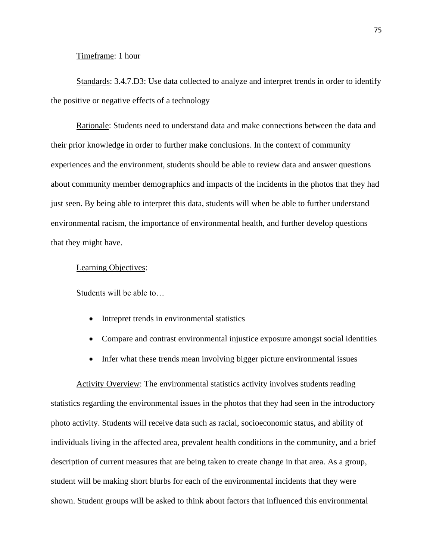## Timeframe: 1 hour

Standards: 3.4.7.D3: Use data collected to analyze and interpret trends in order to identify the positive or negative effects of a technology

Rationale: Students need to understand data and make connections between the data and their prior knowledge in order to further make conclusions. In the context of community experiences and the environment, students should be able to review data and answer questions about community member demographics and impacts of the incidents in the photos that they had just seen. By being able to interpret this data, students will when be able to further understand environmental racism, the importance of environmental health, and further develop questions that they might have.

### Learning Objectives:

Students will be able to…

- Intrepret trends in environmental statistics
- Compare and contrast environmental injustice exposure amongst social identities
- Infer what these trends mean involving bigger picture environmental issues

Activity Overview: The environmental statistics activity involves students reading statistics regarding the environmental issues in the photos that they had seen in the introductory photo activity. Students will receive data such as racial, socioeconomic status, and ability of individuals living in the affected area, prevalent health conditions in the community, and a brief description of current measures that are being taken to create change in that area. As a group, student will be making short blurbs for each of the environmental incidents that they were shown. Student groups will be asked to think about factors that influenced this environmental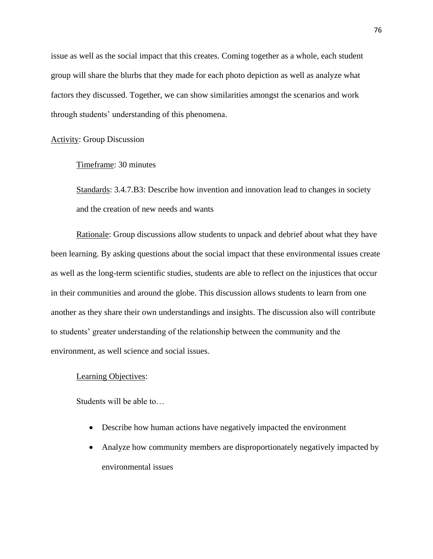issue as well as the social impact that this creates. Coming together as a whole, each student group will share the blurbs that they made for each photo depiction as well as analyze what factors they discussed. Together, we can show similarities amongst the scenarios and work through students' understanding of this phenomena.

# Activity: Group Discussion

# Timeframe: 30 minutes

Standards: 3.4.7.B3: Describe how invention and innovation lead to changes in society and the creation of new needs and wants

Rationale: Group discussions allow students to unpack and debrief about what they have been learning. By asking questions about the social impact that these environmental issues create as well as the long-term scientific studies, students are able to reflect on the injustices that occur in their communities and around the globe. This discussion allows students to learn from one another as they share their own understandings and insights. The discussion also will contribute to students' greater understanding of the relationship between the community and the environment, as well science and social issues.

## Learning Objectives:

Students will be able to…

- Describe how human actions have negatively impacted the environment
- Analyze how community members are disproportionately negatively impacted by environmental issues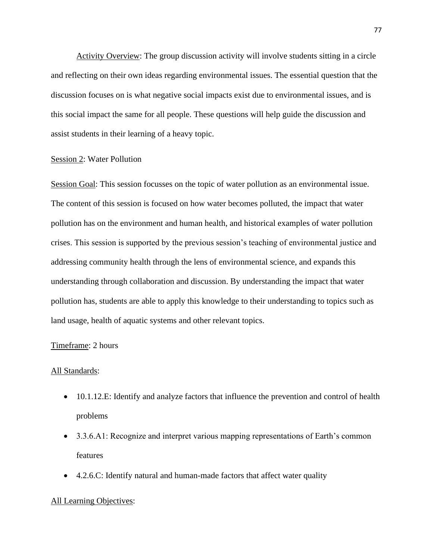Activity Overview: The group discussion activity will involve students sitting in a circle and reflecting on their own ideas regarding environmental issues. The essential question that the discussion focuses on is what negative social impacts exist due to environmental issues, and is this social impact the same for all people. These questions will help guide the discussion and assist students in their learning of a heavy topic.

## Session 2: Water Pollution

Session Goal: This session focusses on the topic of water pollution as an environmental issue. The content of this session is focused on how water becomes polluted, the impact that water pollution has on the environment and human health, and historical examples of water pollution crises. This session is supported by the previous session's teaching of environmental justice and addressing community health through the lens of environmental science, and expands this understanding through collaboration and discussion. By understanding the impact that water pollution has, students are able to apply this knowledge to their understanding to topics such as land usage, health of aquatic systems and other relevant topics.

## Timeframe: 2 hours

#### All Standards:

- 10.1.12.E: Identify and analyze factors that influence the prevention and control of health problems
- 3.3.6.A1: Recognize and interpret various mapping representations of Earth's common features
- 4.2.6.C: Identify natural and human-made factors that affect water quality

#### All Learning Objectives: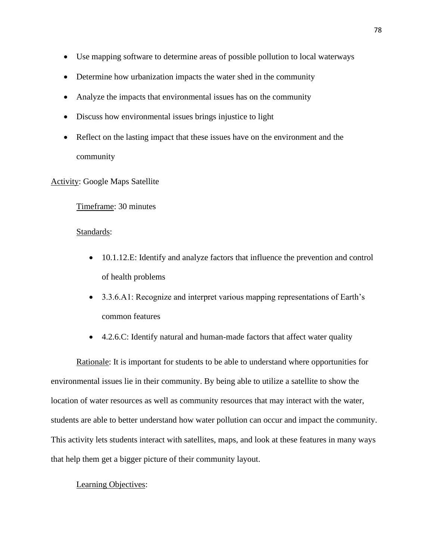- Use mapping software to determine areas of possible pollution to local waterways
- Determine how urbanization impacts the water shed in the community
- Analyze the impacts that environmental issues has on the community
- Discuss how environmental issues brings injustice to light
- Reflect on the lasting impact that these issues have on the environment and the community

Activity: Google Maps Satellite

Timeframe: 30 minutes

# Standards:

- 10.1.12.E: Identify and analyze factors that influence the prevention and control of health problems
- 3.3.6.A1: Recognize and interpret various mapping representations of Earth's common features
- 4.2.6.C: Identify natural and human-made factors that affect water quality

Rationale: It is important for students to be able to understand where opportunities for environmental issues lie in their community. By being able to utilize a satellite to show the location of water resources as well as community resources that may interact with the water, students are able to better understand how water pollution can occur and impact the community. This activity lets students interact with satellites, maps, and look at these features in many ways that help them get a bigger picture of their community layout.

## Learning Objectives: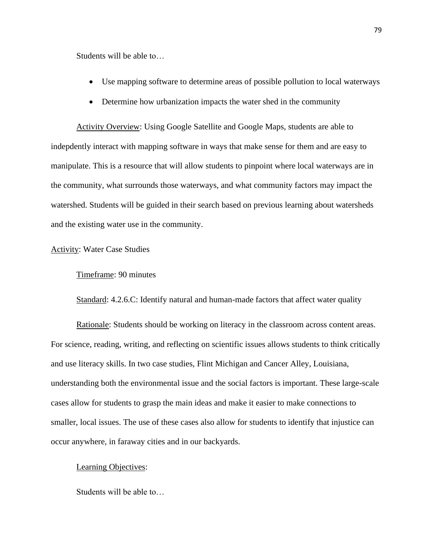Students will be able to…

- Use mapping software to determine areas of possible pollution to local waterways
- Determine how urbanization impacts the water shed in the community

Activity Overview: Using Google Satellite and Google Maps, students are able to indepdently interact with mapping software in ways that make sense for them and are easy to manipulate. This is a resource that will allow students to pinpoint where local waterways are in the community, what surrounds those waterways, and what community factors may impact the watershed. Students will be guided in their search based on previous learning about watersheds and the existing water use in the community.

## Activity: Water Case Studies

### Timeframe: 90 minutes

Standard: 4.2.6.C: Identify natural and human-made factors that affect water quality

Rationale: Students should be working on literacy in the classroom across content areas. For science, reading, writing, and reflecting on scientific issues allows students to think critically and use literacy skills. In two case studies, Flint Michigan and Cancer Alley, Louisiana, understanding both the environmental issue and the social factors is important. These large-scale cases allow for students to grasp the main ideas and make it easier to make connections to smaller, local issues. The use of these cases also allow for students to identify that injustice can occur anywhere, in faraway cities and in our backyards.

#### Learning Objectives:

Students will be able to…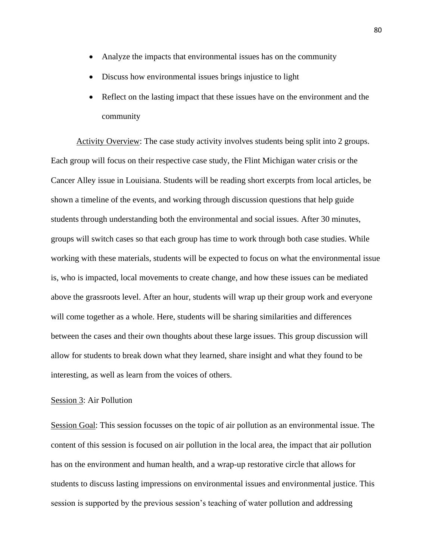- Analyze the impacts that environmental issues has on the community
- Discuss how environmental issues brings injustice to light
- Reflect on the lasting impact that these issues have on the environment and the community

Activity Overview: The case study activity involves students being split into 2 groups. Each group will focus on their respective case study, the Flint Michigan water crisis or the Cancer Alley issue in Louisiana. Students will be reading short excerpts from local articles, be shown a timeline of the events, and working through discussion questions that help guide students through understanding both the environmental and social issues. After 30 minutes, groups will switch cases so that each group has time to work through both case studies. While working with these materials, students will be expected to focus on what the environmental issue is, who is impacted, local movements to create change, and how these issues can be mediated above the grassroots level. After an hour, students will wrap up their group work and everyone will come together as a whole. Here, students will be sharing similarities and differences between the cases and their own thoughts about these large issues. This group discussion will allow for students to break down what they learned, share insight and what they found to be interesting, as well as learn from the voices of others.

## Session 3: Air Pollution

Session Goal: This session focusses on the topic of air pollution as an environmental issue. The content of this session is focused on air pollution in the local area, the impact that air pollution has on the environment and human health, and a wrap-up restorative circle that allows for students to discuss lasting impressions on environmental issues and environmental justice. This session is supported by the previous session's teaching of water pollution and addressing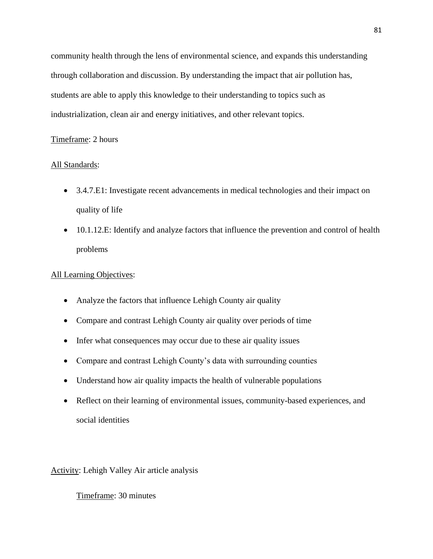community health through the lens of environmental science, and expands this understanding through collaboration and discussion. By understanding the impact that air pollution has, students are able to apply this knowledge to their understanding to topics such as industrialization, clean air and energy initiatives, and other relevant topics.

# Timeframe: 2 hours

# All Standards:

- 3.4.7.E1: Investigate recent advancements in medical technologies and their impact on quality of life
- 10.1.12.E: Identify and analyze factors that influence the prevention and control of health problems

# All Learning Objectives:

- Analyze the factors that influence Lehigh County air quality
- Compare and contrast Lehigh County air quality over periods of time
- Infer what consequences may occur due to these air quality issues
- Compare and contrast Lehigh County's data with surrounding counties
- Understand how air quality impacts the health of vulnerable populations
- Reflect on their learning of environmental issues, community-based experiences, and social identities

Activity: Lehigh Valley Air article analysis

Timeframe: 30 minutes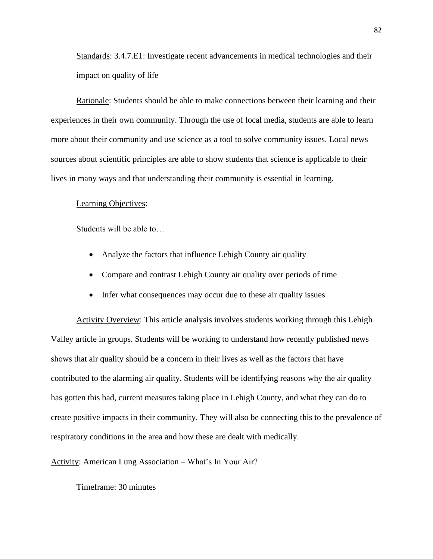Standards: 3.4.7.E1: Investigate recent advancements in medical technologies and their impact on quality of life

Rationale: Students should be able to make connections between their learning and their experiences in their own community. Through the use of local media, students are able to learn more about their community and use science as a tool to solve community issues. Local news sources about scientific principles are able to show students that science is applicable to their lives in many ways and that understanding their community is essential in learning.

## Learning Objectives:

Students will be able to…

- Analyze the factors that influence Lehigh County air quality
- Compare and contrast Lehigh County air quality over periods of time
- Infer what consequences may occur due to these air quality issues

Activity Overview: This article analysis involves students working through this Lehigh Valley article in groups. Students will be working to understand how recently published news shows that air quality should be a concern in their lives as well as the factors that have contributed to the alarming air quality. Students will be identifying reasons why the air quality has gotten this bad, current measures taking place in Lehigh County, and what they can do to create positive impacts in their community. They will also be connecting this to the prevalence of respiratory conditions in the area and how these are dealt with medically.

Activity: American Lung Association – What's In Your Air?

Timeframe: 30 minutes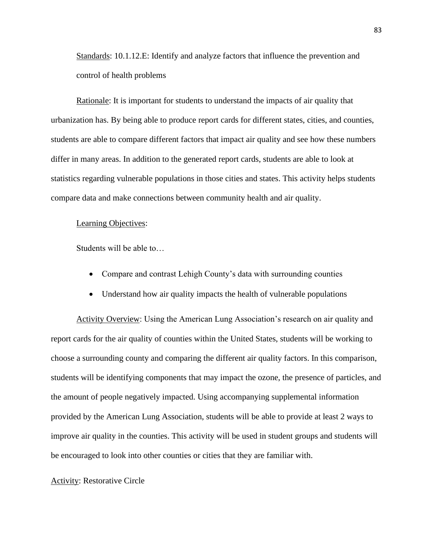Standards: 10.1.12.E: Identify and analyze factors that influence the prevention and control of health problems

Rationale: It is important for students to understand the impacts of air quality that urbanization has. By being able to produce report cards for different states, cities, and counties, students are able to compare different factors that impact air quality and see how these numbers differ in many areas. In addition to the generated report cards, students are able to look at statistics regarding vulnerable populations in those cities and states. This activity helps students compare data and make connections between community health and air quality.

## Learning Objectives:

Students will be able to…

- Compare and contrast Lehigh County's data with surrounding counties
- Understand how air quality impacts the health of vulnerable populations

Activity Overview: Using the American Lung Association's research on air quality and report cards for the air quality of counties within the United States, students will be working to choose a surrounding county and comparing the different air quality factors. In this comparison, students will be identifying components that may impact the ozone, the presence of particles, and the amount of people negatively impacted. Using accompanying supplemental information provided by the American Lung Association, students will be able to provide at least 2 ways to improve air quality in the counties. This activity will be used in student groups and students will be encouraged to look into other counties or cities that they are familiar with.

#### Activity: Restorative Circle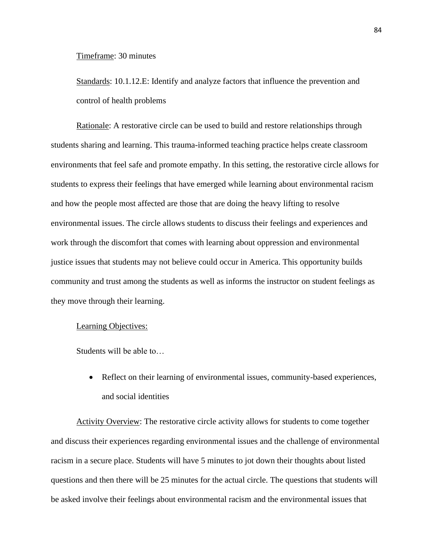Timeframe: 30 minutes

Standards: 10.1.12.E: Identify and analyze factors that influence the prevention and control of health problems

Rationale: A restorative circle can be used to build and restore relationships through students sharing and learning. This trauma-informed teaching practice helps create classroom environments that feel safe and promote empathy. In this setting, the restorative circle allows for students to express their feelings that have emerged while learning about environmental racism and how the people most affected are those that are doing the heavy lifting to resolve environmental issues. The circle allows students to discuss their feelings and experiences and work through the discomfort that comes with learning about oppression and environmental justice issues that students may not believe could occur in America. This opportunity builds community and trust among the students as well as informs the instructor on student feelings as they move through their learning.

## Learning Objectives:

Students will be able to…

• Reflect on their learning of environmental issues, community-based experiences, and social identities

Activity Overview: The restorative circle activity allows for students to come together and discuss their experiences regarding environmental issues and the challenge of environmental racism in a secure place. Students will have 5 minutes to jot down their thoughts about listed questions and then there will be 25 minutes for the actual circle. The questions that students will be asked involve their feelings about environmental racism and the environmental issues that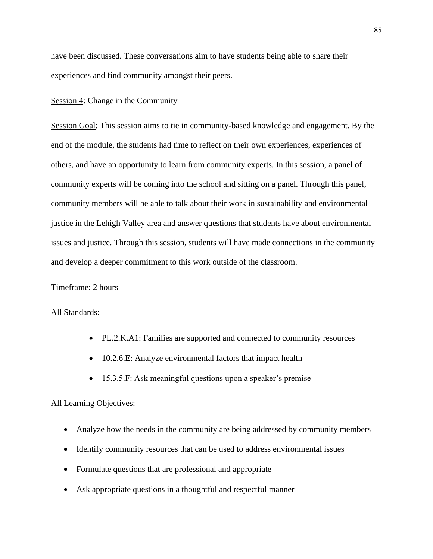have been discussed. These conversations aim to have students being able to share their experiences and find community amongst their peers.

## Session 4: Change in the Community

Session Goal: This session aims to tie in community-based knowledge and engagement. By the end of the module, the students had time to reflect on their own experiences, experiences of others, and have an opportunity to learn from community experts. In this session, a panel of community experts will be coming into the school and sitting on a panel. Through this panel, community members will be able to talk about their work in sustainability and environmental justice in the Lehigh Valley area and answer questions that students have about environmental issues and justice. Through this session, students will have made connections in the community and develop a deeper commitment to this work outside of the classroom.

## Timeframe: 2 hours

## All Standards:

- PL.2.K.A1: Families are supported and connected to community resources
- 10.2.6.E: Analyze environmental factors that impact health
- 15.3.5.F: Ask meaningful questions upon a speaker's premise

#### All Learning Objectives:

- Analyze how the needs in the community are being addressed by community members
- Identify community resources that can be used to address environmental issues
- Formulate questions that are professional and appropriate
- Ask appropriate questions in a thoughtful and respectful manner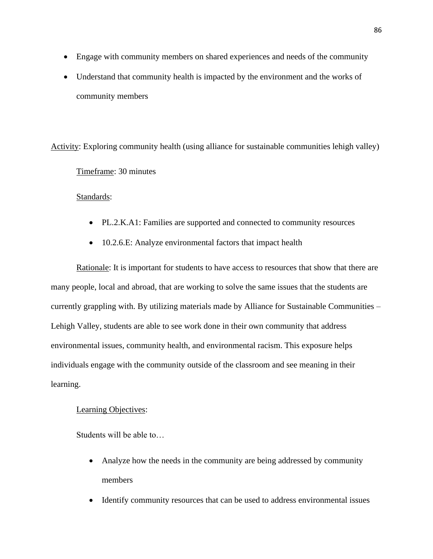- Engage with community members on shared experiences and needs of the community
- Understand that community health is impacted by the environment and the works of community members

Activity: Exploring community health (using alliance for sustainable communities lehigh valley)

Timeframe: 30 minutes

Standards:

- PL.2.K.A1: Families are supported and connected to community resources
- 10.2.6.E: Analyze environmental factors that impact health

Rationale: It is important for students to have access to resources that show that there are many people, local and abroad, that are working to solve the same issues that the students are currently grappling with. By utilizing materials made by Alliance for Sustainable Communities – Lehigh Valley, students are able to see work done in their own community that address environmental issues, community health, and environmental racism. This exposure helps individuals engage with the community outside of the classroom and see meaning in their learning.

# Learning Objectives:

Students will be able to…

- Analyze how the needs in the community are being addressed by community members
- Identify community resources that can be used to address environmental issues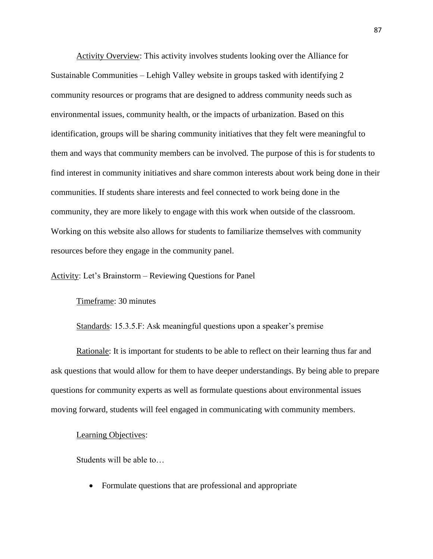Activity Overview: This activity involves students looking over the Alliance for Sustainable Communities – Lehigh Valley website in groups tasked with identifying 2 community resources or programs that are designed to address community needs such as environmental issues, community health, or the impacts of urbanization. Based on this identification, groups will be sharing community initiatives that they felt were meaningful to them and ways that community members can be involved. The purpose of this is for students to find interest in community initiatives and share common interests about work being done in their communities. If students share interests and feel connected to work being done in the community, they are more likely to engage with this work when outside of the classroom. Working on this website also allows for students to familiarize themselves with community resources before they engage in the community panel.

## Activity: Let's Brainstorm – Reviewing Questions for Panel

## Timeframe: 30 minutes

Standards: 15.3.5.F: Ask meaningful questions upon a speaker's premise

Rationale: It is important for students to be able to reflect on their learning thus far and ask questions that would allow for them to have deeper understandings. By being able to prepare questions for community experts as well as formulate questions about environmental issues moving forward, students will feel engaged in communicating with community members.

### Learning Objectives:

Students will be able to…

• Formulate questions that are professional and appropriate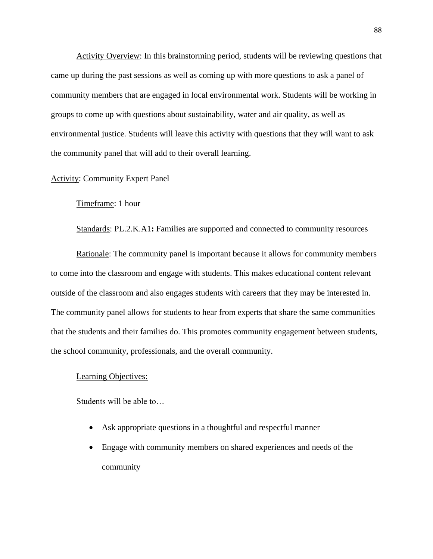Activity Overview: In this brainstorming period, students will be reviewing questions that came up during the past sessions as well as coming up with more questions to ask a panel of community members that are engaged in local environmental work. Students will be working in groups to come up with questions about sustainability, water and air quality, as well as environmental justice. Students will leave this activity with questions that they will want to ask the community panel that will add to their overall learning.

## Activity: Community Expert Panel

## Timeframe: 1 hour

Standards: PL.2.K.A1**:** Families are supported and connected to community resources

Rationale: The community panel is important because it allows for community members to come into the classroom and engage with students. This makes educational content relevant outside of the classroom and also engages students with careers that they may be interested in. The community panel allows for students to hear from experts that share the same communities that the students and their families do. This promotes community engagement between students, the school community, professionals, and the overall community.

## Learning Objectives:

Students will be able to…

- Ask appropriate questions in a thoughtful and respectful manner
- Engage with community members on shared experiences and needs of the community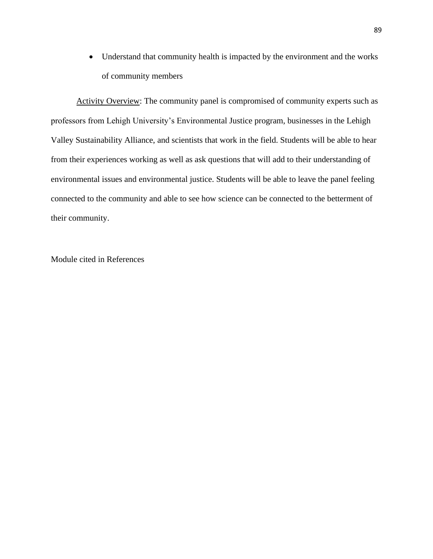• Understand that community health is impacted by the environment and the works of community members

Activity Overview: The community panel is compromised of community experts such as professors from Lehigh University's Environmental Justice program, businesses in the Lehigh Valley Sustainability Alliance, and scientists that work in the field. Students will be able to hear from their experiences working as well as ask questions that will add to their understanding of environmental issues and environmental justice. Students will be able to leave the panel feeling connected to the community and able to see how science can be connected to the betterment of their community.

Module cited in References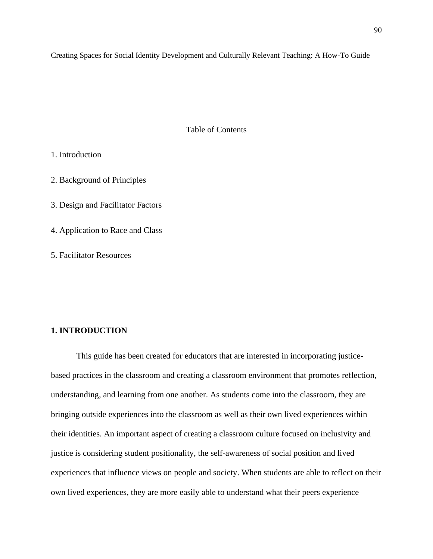Creating Spaces for Social Identity Development and Culturally Relevant Teaching: A How-To Guide

Table of Contents

1. Introduction

2. Background of Principles

3. Design and Facilitator Factors

4. Application to Race and Class

5. Facilitator Resources

# **1. INTRODUCTION**

This guide has been created for educators that are interested in incorporating justicebased practices in the classroom and creating a classroom environment that promotes reflection, understanding, and learning from one another. As students come into the classroom, they are bringing outside experiences into the classroom as well as their own lived experiences within their identities. An important aspect of creating a classroom culture focused on inclusivity and justice is considering student positionality, the self-awareness of social position and lived experiences that influence views on people and society. When students are able to reflect on their own lived experiences, they are more easily able to understand what their peers experience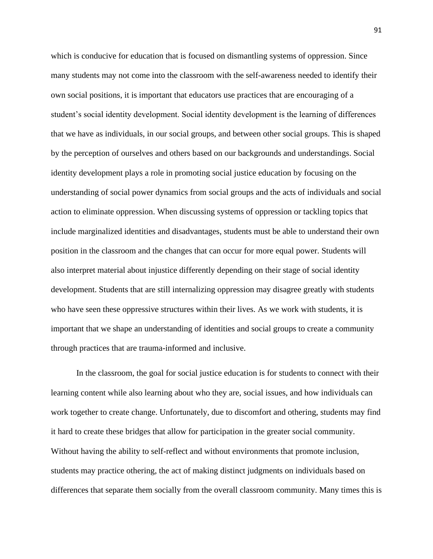which is conducive for education that is focused on dismantling systems of oppression. Since many students may not come into the classroom with the self-awareness needed to identify their own social positions, it is important that educators use practices that are encouraging of a student's social identity development. Social identity development is the learning of differences that we have as individuals, in our social groups, and between other social groups. This is shaped by the perception of ourselves and others based on our backgrounds and understandings. Social identity development plays a role in promoting social justice education by focusing on the understanding of social power dynamics from social groups and the acts of individuals and social action to eliminate oppression. When discussing systems of oppression or tackling topics that include marginalized identities and disadvantages, students must be able to understand their own position in the classroom and the changes that can occur for more equal power. Students will also interpret material about injustice differently depending on their stage of social identity development. Students that are still internalizing oppression may disagree greatly with students who have seen these oppressive structures within their lives. As we work with students, it is important that we shape an understanding of identities and social groups to create a community through practices that are trauma-informed and inclusive.

In the classroom, the goal for social justice education is for students to connect with their learning content while also learning about who they are, social issues, and how individuals can work together to create change. Unfortunately, due to discomfort and othering, students may find it hard to create these bridges that allow for participation in the greater social community. Without having the ability to self-reflect and without environments that promote inclusion, students may practice othering, the act of making distinct judgments on individuals based on differences that separate them socially from the overall classroom community. Many times this is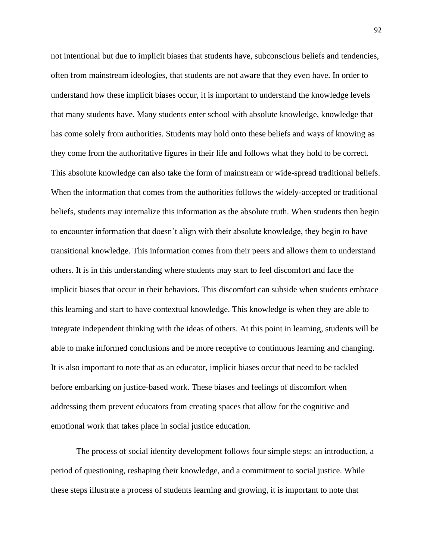not intentional but due to implicit biases that students have, subconscious beliefs and tendencies, often from mainstream ideologies, that students are not aware that they even have. In order to understand how these implicit biases occur, it is important to understand the knowledge levels that many students have. Many students enter school with absolute knowledge, knowledge that has come solely from authorities. Students may hold onto these beliefs and ways of knowing as they come from the authoritative figures in their life and follows what they hold to be correct. This absolute knowledge can also take the form of mainstream or wide-spread traditional beliefs. When the information that comes from the authorities follows the widely-accepted or traditional beliefs, students may internalize this information as the absolute truth. When students then begin to encounter information that doesn't align with their absolute knowledge, they begin to have transitional knowledge. This information comes from their peers and allows them to understand others. It is in this understanding where students may start to feel discomfort and face the implicit biases that occur in their behaviors. This discomfort can subside when students embrace this learning and start to have contextual knowledge. This knowledge is when they are able to integrate independent thinking with the ideas of others. At this point in learning, students will be able to make informed conclusions and be more receptive to continuous learning and changing. It is also important to note that as an educator, implicit biases occur that need to be tackled before embarking on justice-based work. These biases and feelings of discomfort when addressing them prevent educators from creating spaces that allow for the cognitive and emotional work that takes place in social justice education.

The process of social identity development follows four simple steps: an introduction, a period of questioning, reshaping their knowledge, and a commitment to social justice. While these steps illustrate a process of students learning and growing, it is important to note that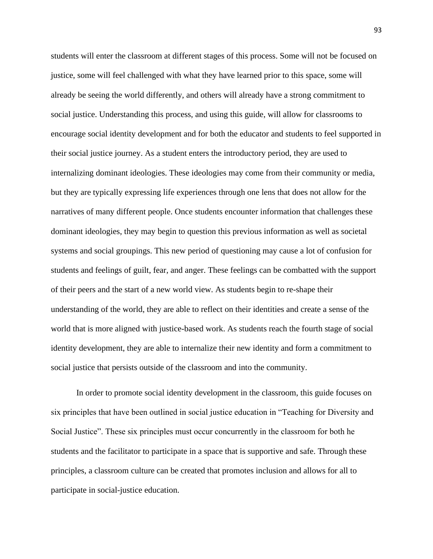students will enter the classroom at different stages of this process. Some will not be focused on justice, some will feel challenged with what they have learned prior to this space, some will already be seeing the world differently, and others will already have a strong commitment to social justice. Understanding this process, and using this guide, will allow for classrooms to encourage social identity development and for both the educator and students to feel supported in their social justice journey. As a student enters the introductory period, they are used to internalizing dominant ideologies. These ideologies may come from their community or media, but they are typically expressing life experiences through one lens that does not allow for the narratives of many different people. Once students encounter information that challenges these dominant ideologies, they may begin to question this previous information as well as societal systems and social groupings. This new period of questioning may cause a lot of confusion for students and feelings of guilt, fear, and anger. These feelings can be combatted with the support of their peers and the start of a new world view. As students begin to re-shape their understanding of the world, they are able to reflect on their identities and create a sense of the world that is more aligned with justice-based work. As students reach the fourth stage of social identity development, they are able to internalize their new identity and form a commitment to social justice that persists outside of the classroom and into the community.

In order to promote social identity development in the classroom, this guide focuses on six principles that have been outlined in social justice education in "Teaching for Diversity and Social Justice". These six principles must occur concurrently in the classroom for both he students and the facilitator to participate in a space that is supportive and safe. Through these principles, a classroom culture can be created that promotes inclusion and allows for all to participate in social-justice education.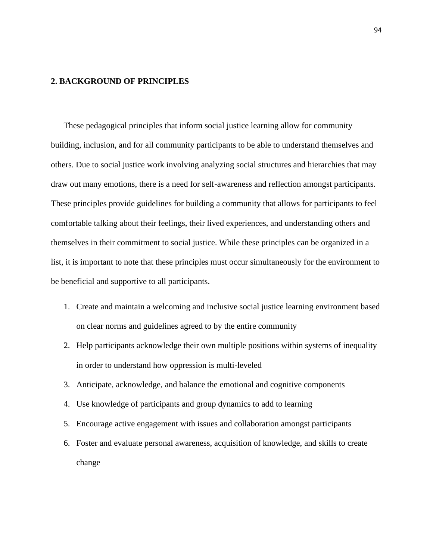## **2. BACKGROUND OF PRINCIPLES**

These pedagogical principles that inform social justice learning allow for community building, inclusion, and for all community participants to be able to understand themselves and others. Due to social justice work involving analyzing social structures and hierarchies that may draw out many emotions, there is a need for self-awareness and reflection amongst participants. These principles provide guidelines for building a community that allows for participants to feel comfortable talking about their feelings, their lived experiences, and understanding others and themselves in their commitment to social justice. While these principles can be organized in a list, it is important to note that these principles must occur simultaneously for the environment to be beneficial and supportive to all participants.

- 1. Create and maintain a welcoming and inclusive social justice learning environment based on clear norms and guidelines agreed to by the entire community
- 2. Help participants acknowledge their own multiple positions within systems of inequality in order to understand how oppression is multi-leveled
- 3. Anticipate, acknowledge, and balance the emotional and cognitive components
- 4. Use knowledge of participants and group dynamics to add to learning
- 5. Encourage active engagement with issues and collaboration amongst participants
- 6. Foster and evaluate personal awareness, acquisition of knowledge, and skills to create change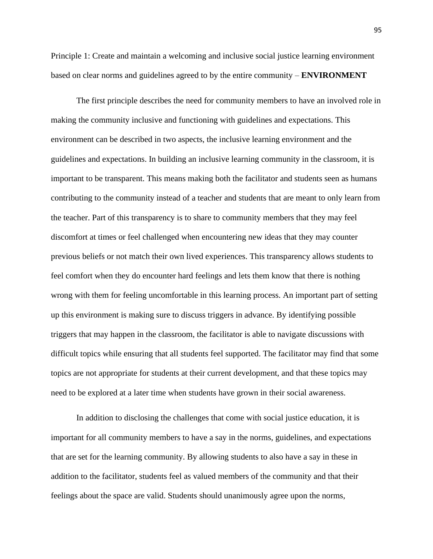Principle 1: Create and maintain a welcoming and inclusive social justice learning environment based on clear norms and guidelines agreed to by the entire community – **ENVIRONMENT**

The first principle describes the need for community members to have an involved role in making the community inclusive and functioning with guidelines and expectations. This environment can be described in two aspects, the inclusive learning environment and the guidelines and expectations. In building an inclusive learning community in the classroom, it is important to be transparent. This means making both the facilitator and students seen as humans contributing to the community instead of a teacher and students that are meant to only learn from the teacher. Part of this transparency is to share to community members that they may feel discomfort at times or feel challenged when encountering new ideas that they may counter previous beliefs or not match their own lived experiences. This transparency allows students to feel comfort when they do encounter hard feelings and lets them know that there is nothing wrong with them for feeling uncomfortable in this learning process. An important part of setting up this environment is making sure to discuss triggers in advance. By identifying possible triggers that may happen in the classroom, the facilitator is able to navigate discussions with difficult topics while ensuring that all students feel supported. The facilitator may find that some topics are not appropriate for students at their current development, and that these topics may need to be explored at a later time when students have grown in their social awareness.

In addition to disclosing the challenges that come with social justice education, it is important for all community members to have a say in the norms, guidelines, and expectations that are set for the learning community. By allowing students to also have a say in these in addition to the facilitator, students feel as valued members of the community and that their feelings about the space are valid. Students should unanimously agree upon the norms,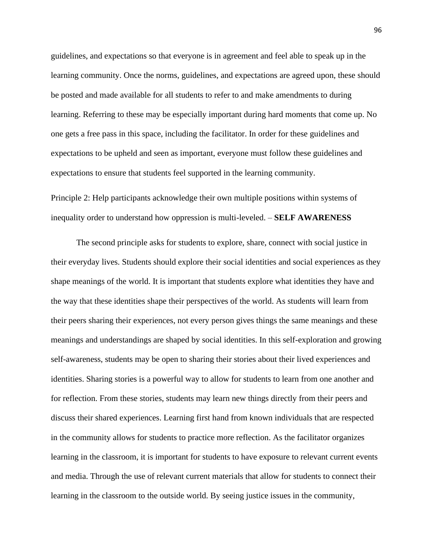guidelines, and expectations so that everyone is in agreement and feel able to speak up in the learning community. Once the norms, guidelines, and expectations are agreed upon, these should be posted and made available for all students to refer to and make amendments to during learning. Referring to these may be especially important during hard moments that come up. No one gets a free pass in this space, including the facilitator. In order for these guidelines and expectations to be upheld and seen as important, everyone must follow these guidelines and expectations to ensure that students feel supported in the learning community.

Principle 2: Help participants acknowledge their own multiple positions within systems of inequality order to understand how oppression is multi-leveled. – **SELF AWARENESS**

The second principle asks for students to explore, share, connect with social justice in their everyday lives. Students should explore their social identities and social experiences as they shape meanings of the world. It is important that students explore what identities they have and the way that these identities shape their perspectives of the world. As students will learn from their peers sharing their experiences, not every person gives things the same meanings and these meanings and understandings are shaped by social identities. In this self-exploration and growing self-awareness, students may be open to sharing their stories about their lived experiences and identities. Sharing stories is a powerful way to allow for students to learn from one another and for reflection. From these stories, students may learn new things directly from their peers and discuss their shared experiences. Learning first hand from known individuals that are respected in the community allows for students to practice more reflection. As the facilitator organizes learning in the classroom, it is important for students to have exposure to relevant current events and media. Through the use of relevant current materials that allow for students to connect their learning in the classroom to the outside world. By seeing justice issues in the community,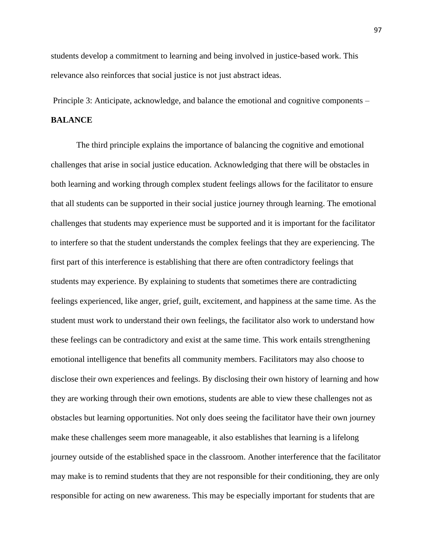students develop a commitment to learning and being involved in justice-based work. This relevance also reinforces that social justice is not just abstract ideas.

Principle 3: Anticipate, acknowledge, and balance the emotional and cognitive components –

# **BALANCE**

The third principle explains the importance of balancing the cognitive and emotional challenges that arise in social justice education. Acknowledging that there will be obstacles in both learning and working through complex student feelings allows for the facilitator to ensure that all students can be supported in their social justice journey through learning. The emotional challenges that students may experience must be supported and it is important for the facilitator to interfere so that the student understands the complex feelings that they are experiencing. The first part of this interference is establishing that there are often contradictory feelings that students may experience. By explaining to students that sometimes there are contradicting feelings experienced, like anger, grief, guilt, excitement, and happiness at the same time. As the student must work to understand their own feelings, the facilitator also work to understand how these feelings can be contradictory and exist at the same time. This work entails strengthening emotional intelligence that benefits all community members. Facilitators may also choose to disclose their own experiences and feelings. By disclosing their own history of learning and how they are working through their own emotions, students are able to view these challenges not as obstacles but learning opportunities. Not only does seeing the facilitator have their own journey make these challenges seem more manageable, it also establishes that learning is a lifelong journey outside of the established space in the classroom. Another interference that the facilitator may make is to remind students that they are not responsible for their conditioning, they are only responsible for acting on new awareness. This may be especially important for students that are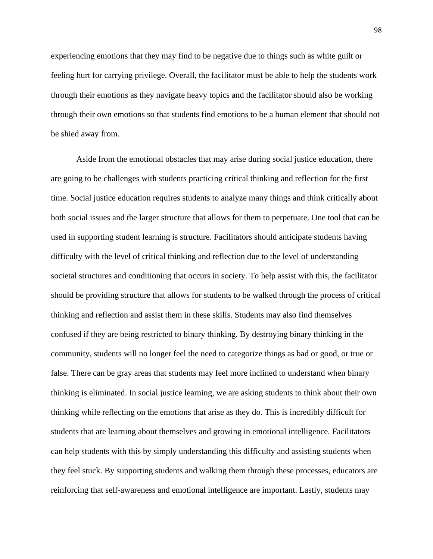experiencing emotions that they may find to be negative due to things such as white guilt or feeling hurt for carrying privilege. Overall, the facilitator must be able to help the students work through their emotions as they navigate heavy topics and the facilitator should also be working through their own emotions so that students find emotions to be a human element that should not be shied away from.

Aside from the emotional obstacles that may arise during social justice education, there are going to be challenges with students practicing critical thinking and reflection for the first time. Social justice education requires students to analyze many things and think critically about both social issues and the larger structure that allows for them to perpetuate. One tool that can be used in supporting student learning is structure. Facilitators should anticipate students having difficulty with the level of critical thinking and reflection due to the level of understanding societal structures and conditioning that occurs in society. To help assist with this, the facilitator should be providing structure that allows for students to be walked through the process of critical thinking and reflection and assist them in these skills. Students may also find themselves confused if they are being restricted to binary thinking. By destroying binary thinking in the community, students will no longer feel the need to categorize things as bad or good, or true or false. There can be gray areas that students may feel more inclined to understand when binary thinking is eliminated. In social justice learning, we are asking students to think about their own thinking while reflecting on the emotions that arise as they do. This is incredibly difficult for students that are learning about themselves and growing in emotional intelligence. Facilitators can help students with this by simply understanding this difficulty and assisting students when they feel stuck. By supporting students and walking them through these processes, educators are reinforcing that self-awareness and emotional intelligence are important. Lastly, students may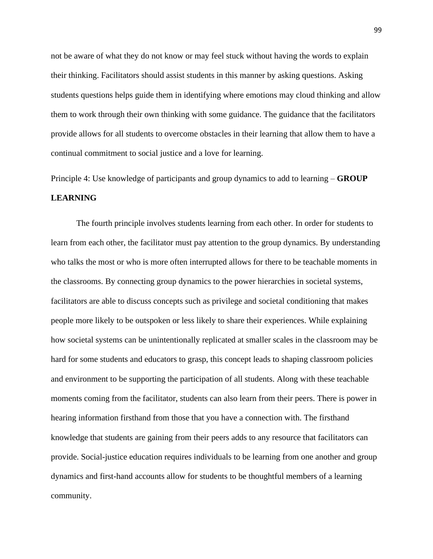not be aware of what they do not know or may feel stuck without having the words to explain their thinking. Facilitators should assist students in this manner by asking questions. Asking students questions helps guide them in identifying where emotions may cloud thinking and allow them to work through their own thinking with some guidance. The guidance that the facilitators provide allows for all students to overcome obstacles in their learning that allow them to have a continual commitment to social justice and a love for learning.

Principle 4: Use knowledge of participants and group dynamics to add to learning – **GROUP LEARNING**

The fourth principle involves students learning from each other. In order for students to learn from each other, the facilitator must pay attention to the group dynamics. By understanding who talks the most or who is more often interrupted allows for there to be teachable moments in the classrooms. By connecting group dynamics to the power hierarchies in societal systems, facilitators are able to discuss concepts such as privilege and societal conditioning that makes people more likely to be outspoken or less likely to share their experiences. While explaining how societal systems can be unintentionally replicated at smaller scales in the classroom may be hard for some students and educators to grasp, this concept leads to shaping classroom policies and environment to be supporting the participation of all students. Along with these teachable moments coming from the facilitator, students can also learn from their peers. There is power in hearing information firsthand from those that you have a connection with. The firsthand knowledge that students are gaining from their peers adds to any resource that facilitators can provide. Social-justice education requires individuals to be learning from one another and group dynamics and first-hand accounts allow for students to be thoughtful members of a learning community.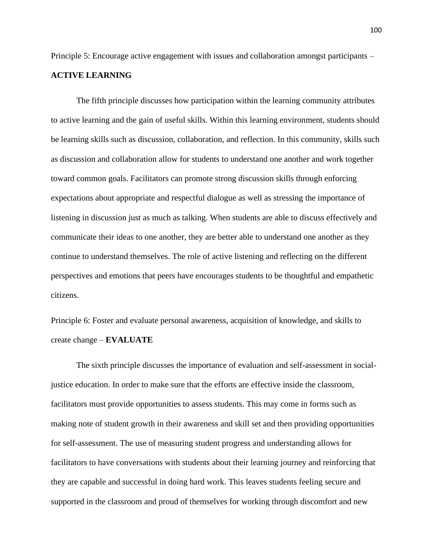Principle 5: Encourage active engagement with issues and collaboration amongst participants –

# **ACTIVE LEARNING**

The fifth principle discusses how participation within the learning community attributes to active learning and the gain of useful skills. Within this learning environment, students should be learning skills such as discussion, collaboration, and reflection. In this community, skills such as discussion and collaboration allow for students to understand one another and work together toward common goals. Facilitators can promote strong discussion skills through enforcing expectations about appropriate and respectful dialogue as well as stressing the importance of listening in discussion just as much as talking. When students are able to discuss effectively and communicate their ideas to one another, they are better able to understand one another as they continue to understand themselves. The role of active listening and reflecting on the different perspectives and emotions that peers have encourages students to be thoughtful and empathetic citizens.

Principle 6: Foster and evaluate personal awareness, acquisition of knowledge, and skills to create change – **EVALUATE**

The sixth principle discusses the importance of evaluation and self-assessment in socialjustice education. In order to make sure that the efforts are effective inside the classroom, facilitators must provide opportunities to assess students. This may come in forms such as making note of student growth in their awareness and skill set and then providing opportunities for self-assessment. The use of measuring student progress and understanding allows for facilitators to have conversations with students about their learning journey and reinforcing that they are capable and successful in doing hard work. This leaves students feeling secure and supported in the classroom and proud of themselves for working through discomfort and new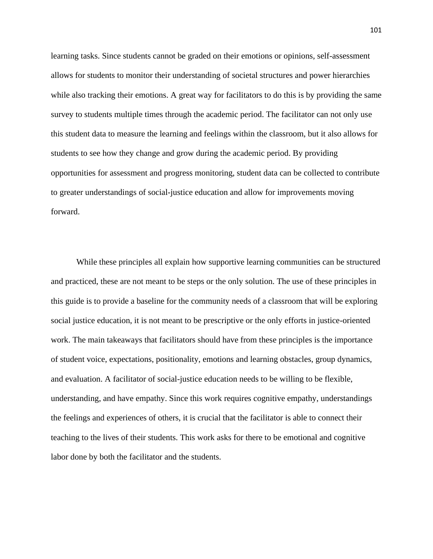learning tasks. Since students cannot be graded on their emotions or opinions, self-assessment allows for students to monitor their understanding of societal structures and power hierarchies while also tracking their emotions. A great way for facilitators to do this is by providing the same survey to students multiple times through the academic period. The facilitator can not only use this student data to measure the learning and feelings within the classroom, but it also allows for students to see how they change and grow during the academic period. By providing opportunities for assessment and progress monitoring, student data can be collected to contribute to greater understandings of social-justice education and allow for improvements moving forward.

While these principles all explain how supportive learning communities can be structured and practiced, these are not meant to be steps or the only solution. The use of these principles in this guide is to provide a baseline for the community needs of a classroom that will be exploring social justice education, it is not meant to be prescriptive or the only efforts in justice-oriented work. The main takeaways that facilitators should have from these principles is the importance of student voice, expectations, positionality, emotions and learning obstacles, group dynamics, and evaluation. A facilitator of social-justice education needs to be willing to be flexible, understanding, and have empathy. Since this work requires cognitive empathy, understandings the feelings and experiences of others, it is crucial that the facilitator is able to connect their teaching to the lives of their students. This work asks for there to be emotional and cognitive labor done by both the facilitator and the students.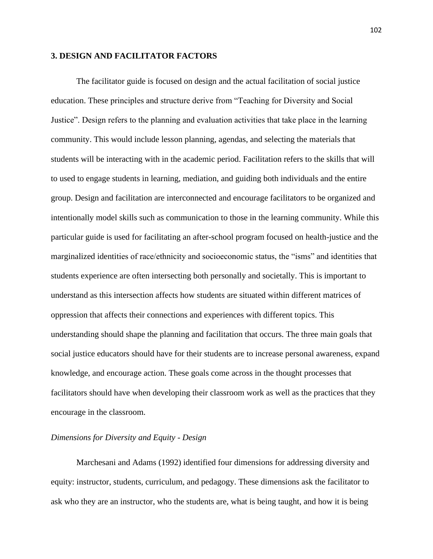## **3. DESIGN AND FACILITATOR FACTORS**

The facilitator guide is focused on design and the actual facilitation of social justice education. These principles and structure derive from "Teaching for Diversity and Social Justice". Design refers to the planning and evaluation activities that take place in the learning community. This would include lesson planning, agendas, and selecting the materials that students will be interacting with in the academic period. Facilitation refers to the skills that will to used to engage students in learning, mediation, and guiding both individuals and the entire group. Design and facilitation are interconnected and encourage facilitators to be organized and intentionally model skills such as communication to those in the learning community. While this particular guide is used for facilitating an after-school program focused on health-justice and the marginalized identities of race/ethnicity and socioeconomic status, the "isms" and identities that students experience are often intersecting both personally and societally. This is important to understand as this intersection affects how students are situated within different matrices of oppression that affects their connections and experiences with different topics. This understanding should shape the planning and facilitation that occurs. The three main goals that social justice educators should have for their students are to increase personal awareness, expand knowledge, and encourage action. These goals come across in the thought processes that facilitators should have when developing their classroom work as well as the practices that they encourage in the classroom.

# *Dimensions for Diversity and Equity - Design*

Marchesani and Adams (1992) identified four dimensions for addressing diversity and equity: instructor, students, curriculum, and pedagogy. These dimensions ask the facilitator to ask who they are an instructor, who the students are, what is being taught, and how it is being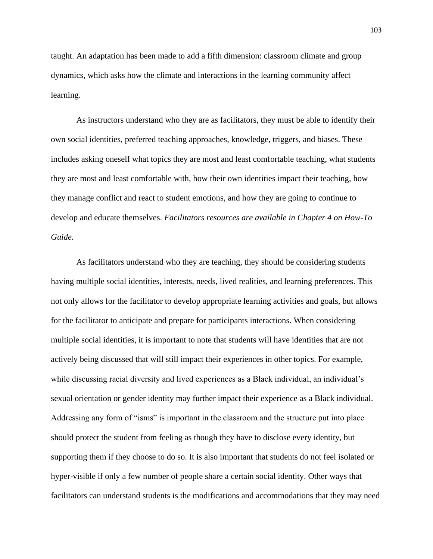taught. An adaptation has been made to add a fifth dimension: classroom climate and group dynamics, which asks how the climate and interactions in the learning community affect learning.

As instructors understand who they are as facilitators, they must be able to identify their own social identities, preferred teaching approaches, knowledge, triggers, and biases. These includes asking oneself what topics they are most and least comfortable teaching, what students they are most and least comfortable with, how their own identities impact their teaching, how they manage conflict and react to student emotions, and how they are going to continue to develop and educate themselves. *Facilitators resources are available in Chapter 4 on How-To Guide.*

As facilitators understand who they are teaching, they should be considering students having multiple social identities, interests, needs, lived realities, and learning preferences. This not only allows for the facilitator to develop appropriate learning activities and goals, but allows for the facilitator to anticipate and prepare for participants interactions. When considering multiple social identities, it is important to note that students will have identities that are not actively being discussed that will still impact their experiences in other topics. For example, while discussing racial diversity and lived experiences as a Black individual, an individual's sexual orientation or gender identity may further impact their experience as a Black individual. Addressing any form of "isms" is important in the classroom and the structure put into place should protect the student from feeling as though they have to disclose every identity, but supporting them if they choose to do so. It is also important that students do not feel isolated or hyper-visible if only a few number of people share a certain social identity. Other ways that facilitators can understand students is the modifications and accommodations that they may need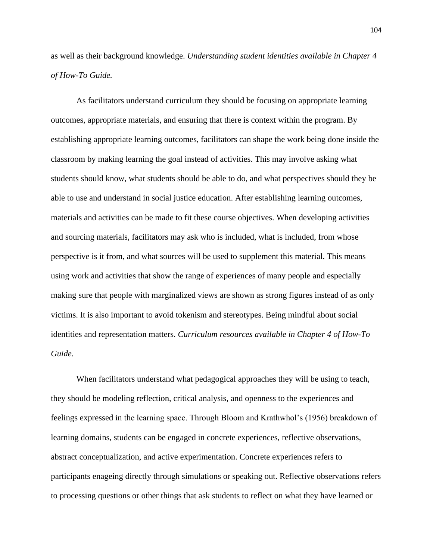as well as their background knowledge. *Understanding student identities available in Chapter 4 of How-To Guide.*

As facilitators understand curriculum they should be focusing on appropriate learning outcomes, appropriate materials, and ensuring that there is context within the program. By establishing appropriate learning outcomes, facilitators can shape the work being done inside the classroom by making learning the goal instead of activities. This may involve asking what students should know, what students should be able to do, and what perspectives should they be able to use and understand in social justice education. After establishing learning outcomes, materials and activities can be made to fit these course objectives. When developing activities and sourcing materials, facilitators may ask who is included, what is included, from whose perspective is it from, and what sources will be used to supplement this material. This means using work and activities that show the range of experiences of many people and especially making sure that people with marginalized views are shown as strong figures instead of as only victims. It is also important to avoid tokenism and stereotypes. Being mindful about social identities and representation matters. *Curriculum resources available in Chapter 4 of How-To Guide.*

When facilitators understand what pedagogical approaches they will be using to teach, they should be modeling reflection, critical analysis, and openness to the experiences and feelings expressed in the learning space. Through Bloom and Krathwhol's (1956) breakdown of learning domains, students can be engaged in concrete experiences, reflective observations, abstract conceptualization, and active experimentation. Concrete experiences refers to participants enageing directly through simulations or speaking out. Reflective observations refers to processing questions or other things that ask students to reflect on what they have learned or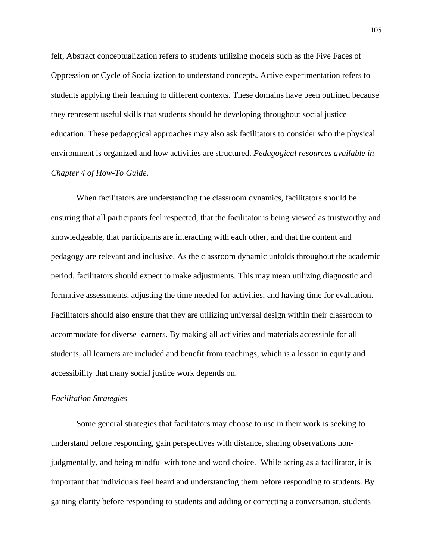felt, Abstract conceptualization refers to students utilizing models such as the Five Faces of Oppression or Cycle of Socialization to understand concepts. Active experimentation refers to students applying their learning to different contexts. These domains have been outlined because they represent useful skills that students should be developing throughout social justice education. These pedagogical approaches may also ask facilitators to consider who the physical environment is organized and how activities are structured. *Pedagogical resources available in Chapter 4 of How-To Guide.*

When facilitators are understanding the classroom dynamics, facilitators should be ensuring that all participants feel respected, that the facilitator is being viewed as trustworthy and knowledgeable, that participants are interacting with each other, and that the content and pedagogy are relevant and inclusive. As the classroom dynamic unfolds throughout the academic period, facilitators should expect to make adjustments. This may mean utilizing diagnostic and formative assessments, adjusting the time needed for activities, and having time for evaluation. Facilitators should also ensure that they are utilizing universal design within their classroom to accommodate for diverse learners. By making all activities and materials accessible for all students, all learners are included and benefit from teachings, which is a lesson in equity and accessibility that many social justice work depends on.

#### *Facilitation Strategies*

Some general strategies that facilitators may choose to use in their work is seeking to understand before responding, gain perspectives with distance, sharing observations nonjudgmentally, and being mindful with tone and word choice. While acting as a facilitator, it is important that individuals feel heard and understanding them before responding to students. By gaining clarity before responding to students and adding or correcting a conversation, students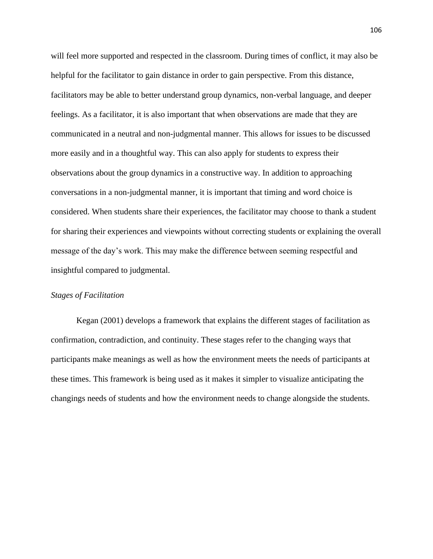will feel more supported and respected in the classroom. During times of conflict, it may also be helpful for the facilitator to gain distance in order to gain perspective. From this distance, facilitators may be able to better understand group dynamics, non-verbal language, and deeper feelings. As a facilitator, it is also important that when observations are made that they are communicated in a neutral and non-judgmental manner. This allows for issues to be discussed more easily and in a thoughtful way. This can also apply for students to express their observations about the group dynamics in a constructive way. In addition to approaching conversations in a non-judgmental manner, it is important that timing and word choice is considered. When students share their experiences, the facilitator may choose to thank a student for sharing their experiences and viewpoints without correcting students or explaining the overall message of the day's work. This may make the difference between seeming respectful and insightful compared to judgmental.

# *Stages of Facilitation*

Kegan (2001) develops a framework that explains the different stages of facilitation as confirmation, contradiction, and continuity. These stages refer to the changing ways that participants make meanings as well as how the environment meets the needs of participants at these times. This framework is being used as it makes it simpler to visualize anticipating the changings needs of students and how the environment needs to change alongside the students.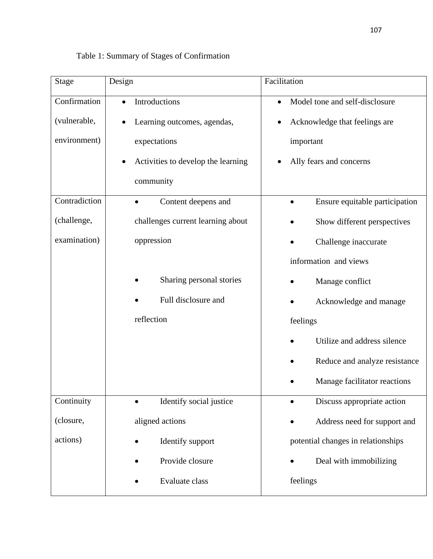| <b>Stage</b>  | Design                             | Facilitation                                |
|---------------|------------------------------------|---------------------------------------------|
| Confirmation  | Introductions<br>$\bullet$         | Model tone and self-disclosure<br>$\bullet$ |
| (vulnerable,  | Learning outcomes, agendas,        | Acknowledge that feelings are<br>$\bullet$  |
| environment)  | expectations                       | important                                   |
|               | Activities to develop the learning | Ally fears and concerns                     |
|               | community                          |                                             |
| Contradiction | Content deepens and<br>$\bullet$   | Ensure equitable participation<br>$\bullet$ |
| (challenge,   | challenges current learning about  | Show different perspectives                 |
| examination)  | oppression                         | Challenge inaccurate                        |
|               |                                    | information and views                       |
|               | Sharing personal stories           | Manage conflict                             |
|               | Full disclosure and                | Acknowledge and manage                      |
|               | reflection                         | feelings                                    |
|               |                                    | Utilize and address silence                 |
|               |                                    | Reduce and analyze resistance               |
|               |                                    | Manage facilitator reactions                |
| Continuity    | Identify social justice            | Discuss appropriate action                  |
| (closure,     | aligned actions                    | Address need for support and                |
| actions)      | Identify support                   | potential changes in relationships          |
|               | Provide closure                    | Deal with immobilizing                      |
|               | Evaluate class                     | feelings                                    |

# Table 1: Summary of Stages of Confirmation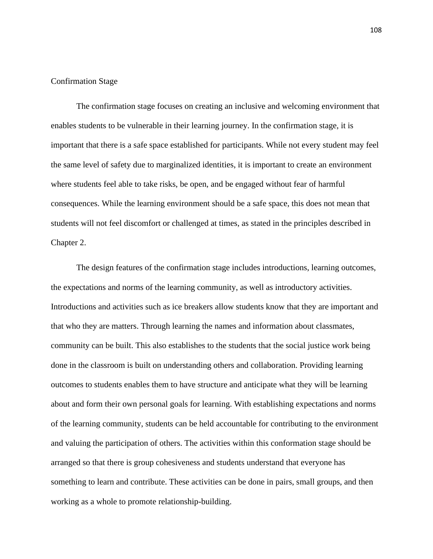# Confirmation Stage

The confirmation stage focuses on creating an inclusive and welcoming environment that enables students to be vulnerable in their learning journey. In the confirmation stage, it is important that there is a safe space established for participants. While not every student may feel the same level of safety due to marginalized identities, it is important to create an environment where students feel able to take risks, be open, and be engaged without fear of harmful consequences. While the learning environment should be a safe space, this does not mean that students will not feel discomfort or challenged at times, as stated in the principles described in Chapter 2.

The design features of the confirmation stage includes introductions, learning outcomes, the expectations and norms of the learning community, as well as introductory activities. Introductions and activities such as ice breakers allow students know that they are important and that who they are matters. Through learning the names and information about classmates, community can be built. This also establishes to the students that the social justice work being done in the classroom is built on understanding others and collaboration. Providing learning outcomes to students enables them to have structure and anticipate what they will be learning about and form their own personal goals for learning. With establishing expectations and norms of the learning community, students can be held accountable for contributing to the environment and valuing the participation of others. The activities within this conformation stage should be arranged so that there is group cohesiveness and students understand that everyone has something to learn and contribute. These activities can be done in pairs, small groups, and then working as a whole to promote relationship-building.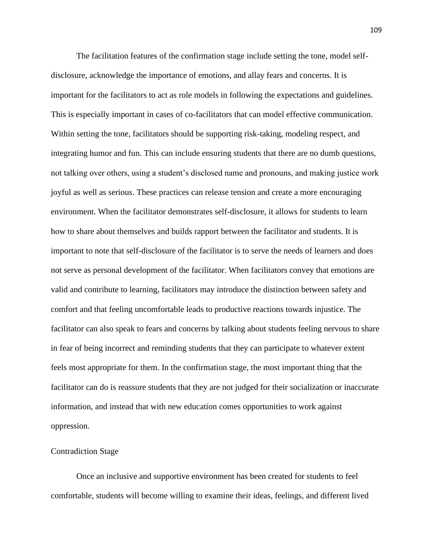The facilitation features of the confirmation stage include setting the tone, model selfdisclosure, acknowledge the importance of emotions, and allay fears and concerns. It is important for the facilitators to act as role models in following the expectations and guidelines. This is especially important in cases of co-facilitators that can model effective communication. Within setting the tone, facilitators should be supporting risk-taking, modeling respect, and integrating humor and fun. This can include ensuring students that there are no dumb questions, not talking over others, using a student's disclosed name and pronouns, and making justice work joyful as well as serious. These practices can release tension and create a more encouraging environment. When the facilitator demonstrates self-disclosure, it allows for students to learn how to share about themselves and builds rapport between the facilitator and students. It is important to note that self-disclosure of the facilitator is to serve the needs of learners and does not serve as personal development of the facilitator. When facilitators convey that emotions are valid and contribute to learning, facilitators may introduce the distinction between safety and comfort and that feeling uncomfortable leads to productive reactions towards injustice. The facilitator can also speak to fears and concerns by talking about students feeling nervous to share in fear of being incorrect and reminding students that they can participate to whatever extent feels most appropriate for them. In the confirmation stage, the most important thing that the facilitator can do is reassure students that they are not judged for their socialization or inaccurate information, and instead that with new education comes opportunities to work against oppression.

# Contradiction Stage

Once an inclusive and supportive environment has been created for students to feel comfortable, students will become willing to examine their ideas, feelings, and different lived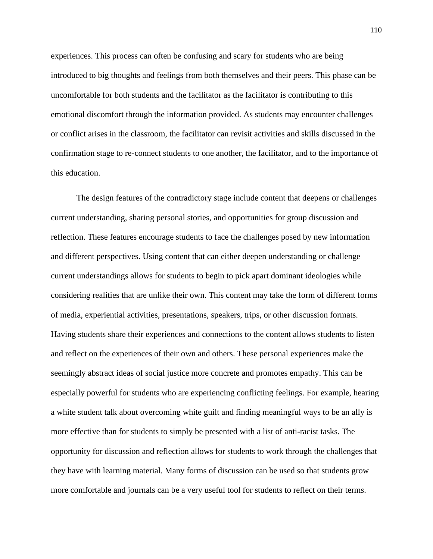experiences. This process can often be confusing and scary for students who are being introduced to big thoughts and feelings from both themselves and their peers. This phase can be uncomfortable for both students and the facilitator as the facilitator is contributing to this emotional discomfort through the information provided. As students may encounter challenges or conflict arises in the classroom, the facilitator can revisit activities and skills discussed in the confirmation stage to re-connect students to one another, the facilitator, and to the importance of this education.

The design features of the contradictory stage include content that deepens or challenges current understanding, sharing personal stories, and opportunities for group discussion and reflection. These features encourage students to face the challenges posed by new information and different perspectives. Using content that can either deepen understanding or challenge current understandings allows for students to begin to pick apart dominant ideologies while considering realities that are unlike their own. This content may take the form of different forms of media, experiential activities, presentations, speakers, trips, or other discussion formats. Having students share their experiences and connections to the content allows students to listen and reflect on the experiences of their own and others. These personal experiences make the seemingly abstract ideas of social justice more concrete and promotes empathy. This can be especially powerful for students who are experiencing conflicting feelings. For example, hearing a white student talk about overcoming white guilt and finding meaningful ways to be an ally is more effective than for students to simply be presented with a list of anti-racist tasks. The opportunity for discussion and reflection allows for students to work through the challenges that they have with learning material. Many forms of discussion can be used so that students grow more comfortable and journals can be a very useful tool for students to reflect on their terms.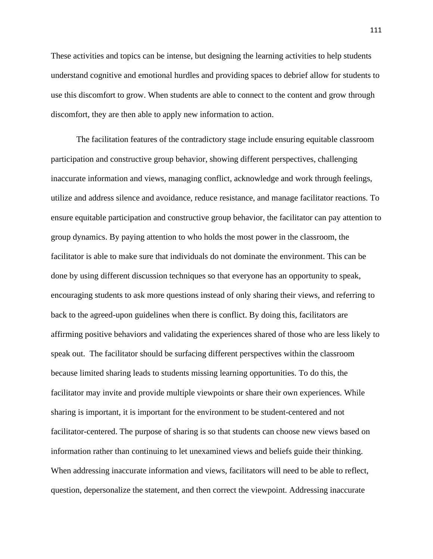These activities and topics can be intense, but designing the learning activities to help students understand cognitive and emotional hurdles and providing spaces to debrief allow for students to use this discomfort to grow. When students are able to connect to the content and grow through discomfort, they are then able to apply new information to action.

The facilitation features of the contradictory stage include ensuring equitable classroom participation and constructive group behavior, showing different perspectives, challenging inaccurate information and views, managing conflict, acknowledge and work through feelings, utilize and address silence and avoidance, reduce resistance, and manage facilitator reactions. To ensure equitable participation and constructive group behavior, the facilitator can pay attention to group dynamics. By paying attention to who holds the most power in the classroom, the facilitator is able to make sure that individuals do not dominate the environment. This can be done by using different discussion techniques so that everyone has an opportunity to speak, encouraging students to ask more questions instead of only sharing their views, and referring to back to the agreed-upon guidelines when there is conflict. By doing this, facilitators are affirming positive behaviors and validating the experiences shared of those who are less likely to speak out. The facilitator should be surfacing different perspectives within the classroom because limited sharing leads to students missing learning opportunities. To do this, the facilitator may invite and provide multiple viewpoints or share their own experiences. While sharing is important, it is important for the environment to be student-centered and not facilitator-centered. The purpose of sharing is so that students can choose new views based on information rather than continuing to let unexamined views and beliefs guide their thinking. When addressing inaccurate information and views, facilitators will need to be able to reflect, question, depersonalize the statement, and then correct the viewpoint. Addressing inaccurate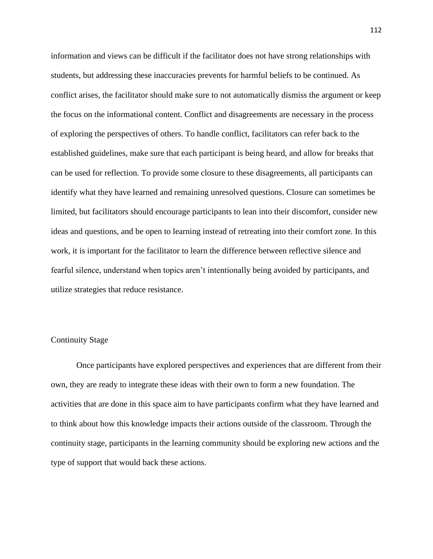information and views can be difficult if the facilitator does not have strong relationships with students, but addressing these inaccuracies prevents for harmful beliefs to be continued. As conflict arises, the facilitator should make sure to not automatically dismiss the argument or keep the focus on the informational content. Conflict and disagreements are necessary in the process of exploring the perspectives of others. To handle conflict, facilitators can refer back to the established guidelines, make sure that each participant is being heard, and allow for breaks that can be used for reflection. To provide some closure to these disagreements, all participants can identify what they have learned and remaining unresolved questions. Closure can sometimes be limited, but facilitators should encourage participants to lean into their discomfort, consider new ideas and questions, and be open to learning instead of retreating into their comfort zone. In this work, it is important for the facilitator to learn the difference between reflective silence and fearful silence, understand when topics aren't intentionally being avoided by participants, and utilize strategies that reduce resistance.

# Continuity Stage

Once participants have explored perspectives and experiences that are different from their own, they are ready to integrate these ideas with their own to form a new foundation. The activities that are done in this space aim to have participants confirm what they have learned and to think about how this knowledge impacts their actions outside of the classroom. Through the continuity stage, participants in the learning community should be exploring new actions and the type of support that would back these actions.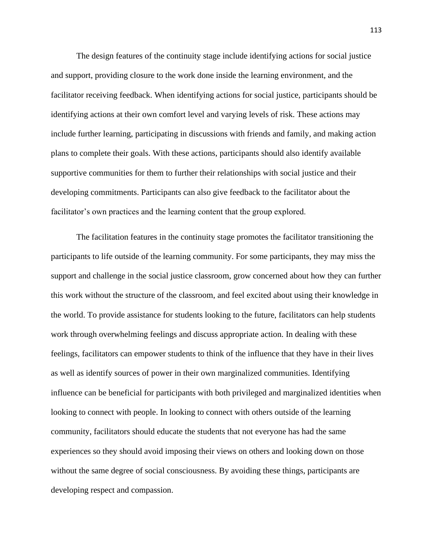The design features of the continuity stage include identifying actions for social justice and support, providing closure to the work done inside the learning environment, and the facilitator receiving feedback. When identifying actions for social justice, participants should be identifying actions at their own comfort level and varying levels of risk. These actions may include further learning, participating in discussions with friends and family, and making action plans to complete their goals. With these actions, participants should also identify available supportive communities for them to further their relationships with social justice and their developing commitments. Participants can also give feedback to the facilitator about the facilitator's own practices and the learning content that the group explored.

The facilitation features in the continuity stage promotes the facilitator transitioning the participants to life outside of the learning community. For some participants, they may miss the support and challenge in the social justice classroom, grow concerned about how they can further this work without the structure of the classroom, and feel excited about using their knowledge in the world. To provide assistance for students looking to the future, facilitators can help students work through overwhelming feelings and discuss appropriate action. In dealing with these feelings, facilitators can empower students to think of the influence that they have in their lives as well as identify sources of power in their own marginalized communities. Identifying influence can be beneficial for participants with both privileged and marginalized identities when looking to connect with people. In looking to connect with others outside of the learning community, facilitators should educate the students that not everyone has had the same experiences so they should avoid imposing their views on others and looking down on those without the same degree of social consciousness. By avoiding these things, participants are developing respect and compassion.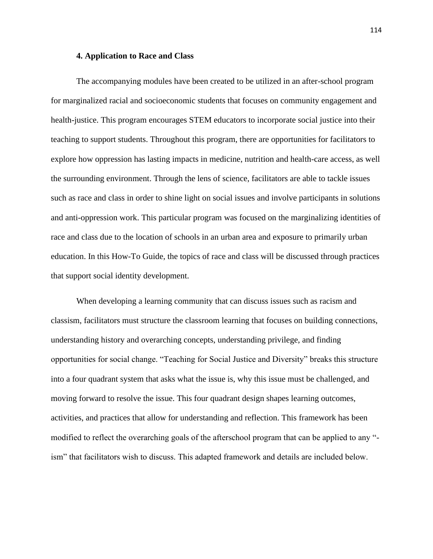#### **4. Application to Race and Class**

The accompanying modules have been created to be utilized in an after-school program for marginalized racial and socioeconomic students that focuses on community engagement and health-justice. This program encourages STEM educators to incorporate social justice into their teaching to support students. Throughout this program, there are opportunities for facilitators to explore how oppression has lasting impacts in medicine, nutrition and health-care access, as well the surrounding environment. Through the lens of science, facilitators are able to tackle issues such as race and class in order to shine light on social issues and involve participants in solutions and anti-oppression work. This particular program was focused on the marginalizing identities of race and class due to the location of schools in an urban area and exposure to primarily urban education. In this How-To Guide, the topics of race and class will be discussed through practices that support social identity development.

When developing a learning community that can discuss issues such as racism and classism, facilitators must structure the classroom learning that focuses on building connections, understanding history and overarching concepts, understanding privilege, and finding opportunities for social change. "Teaching for Social Justice and Diversity" breaks this structure into a four quadrant system that asks what the issue is, why this issue must be challenged, and moving forward to resolve the issue. This four quadrant design shapes learning outcomes, activities, and practices that allow for understanding and reflection. This framework has been modified to reflect the overarching goals of the afterschool program that can be applied to any " ism" that facilitators wish to discuss. This adapted framework and details are included below.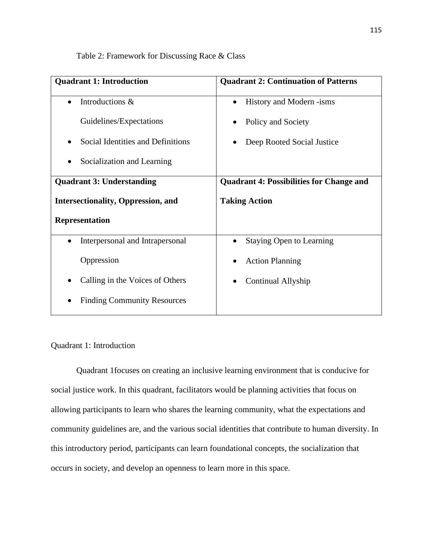Table 2: Framework for Discussing Race & Class

| <b>Quadrant 1: Introduction</b>              | <b>Quadrant 2: Continuation of Patterns</b>     |
|----------------------------------------------|-------------------------------------------------|
| Introductions &<br>$\bullet$                 | History and Modern -isms                        |
| Guidelines/Expectations                      | Policy and Society                              |
| Social Identities and Definitions            | Deep Rooted Social Justice                      |
| Socialization and Learning                   |                                                 |
| <b>Quadrant 3: Understanding</b>             | <b>Quadrant 4: Possibilities for Change and</b> |
| <b>Intersectionality, Oppression, and</b>    | <b>Taking Action</b>                            |
| Representation                               |                                                 |
| Interpersonal and Intrapersonal<br>$\bullet$ | <b>Staying Open to Learning</b>                 |
| Oppression                                   | <b>Action Planning</b>                          |
| Calling in the Voices of Others              | Continual Allyship                              |
| <b>Finding Community Resources</b>           |                                                 |

# Quadrant 1: Introduction

Quadrant 1focuses on creating an inclusive learning environment that is conducive for social justice work. In this quadrant, facilitators would be planning activities that focus on allowing participants to learn who shares the learning community, what the expectations and community guidelines are, and the various social identities that contribute to human diversity. In this introductory period, participants can learn foundational concepts, the socialization that occurs in society, and develop an openness to learn more in this space.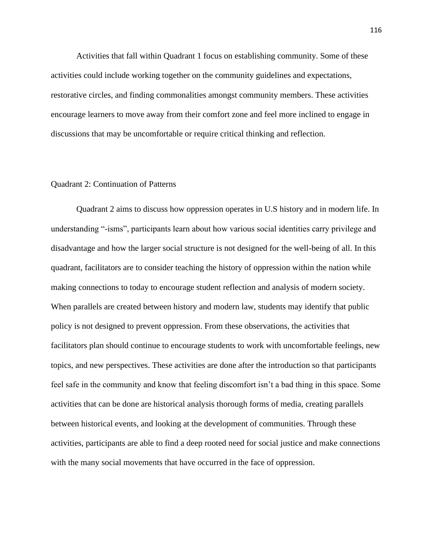Activities that fall within Quadrant 1 focus on establishing community. Some of these activities could include working together on the community guidelines and expectations, restorative circles, and finding commonalities amongst community members. These activities encourage learners to move away from their comfort zone and feel more inclined to engage in discussions that may be uncomfortable or require critical thinking and reflection.

# Quadrant 2: Continuation of Patterns

Quadrant 2 aims to discuss how oppression operates in U.S history and in modern life. In understanding "-isms", participants learn about how various social identities carry privilege and disadvantage and how the larger social structure is not designed for the well-being of all. In this quadrant, facilitators are to consider teaching the history of oppression within the nation while making connections to today to encourage student reflection and analysis of modern society. When parallels are created between history and modern law, students may identify that public policy is not designed to prevent oppression. From these observations, the activities that facilitators plan should continue to encourage students to work with uncomfortable feelings, new topics, and new perspectives. These activities are done after the introduction so that participants feel safe in the community and know that feeling discomfort isn't a bad thing in this space. Some activities that can be done are historical analysis thorough forms of media, creating parallels between historical events, and looking at the development of communities. Through these activities, participants are able to find a deep rooted need for social justice and make connections with the many social movements that have occurred in the face of oppression.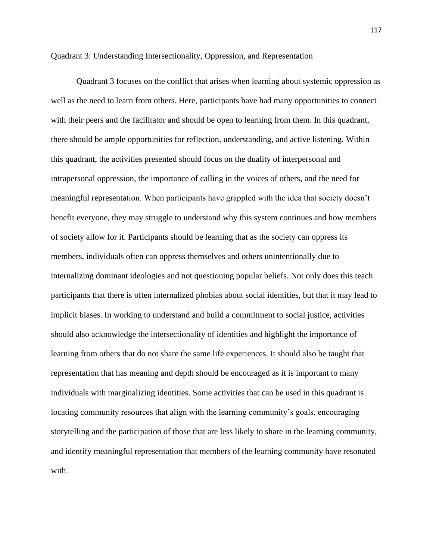Quadrant 3: Understanding Intersectionality, Oppression, and Representation

Quadrant 3 focuses on the conflict that arises when learning about systemic oppression as well as the need to learn from others. Here, participants have had many opportunities to connect with their peers and the facilitator and should be open to learning from them. In this quadrant, there should be ample opportunities for reflection, understanding, and active listening. Within this quadrant, the activities presented should focus on the duality of interpersonal and intrapersonal oppression, the importance of calling in the voices of others, and the need for meaningful representation. When participants have grappled with the idea that society doesn't benefit everyone, they may struggle to understand why this system continues and how members of society allow for it. Participants should be learning that as the society can oppress its members, individuals often can oppress themselves and others unintentionally due to internalizing dominant ideologies and not questioning popular beliefs. Not only does this teach participants that there is often internalized phobias about social identities, but that it may lead to implicit biases. In working to understand and build a commitment to social justice, activities should also acknowledge the intersectionality of identities and highlight the importance of learning from others that do not share the same life experiences. It should also be taught that representation that has meaning and depth should be encouraged as it is important to many individuals with marginalizing identities. Some activities that can be used in this quadrant is locating community resources that align with the learning community's goals, encouraging storytelling and the participation of those that are less likely to share in the learning community, and identify meaningful representation that members of the learning community have resonated with.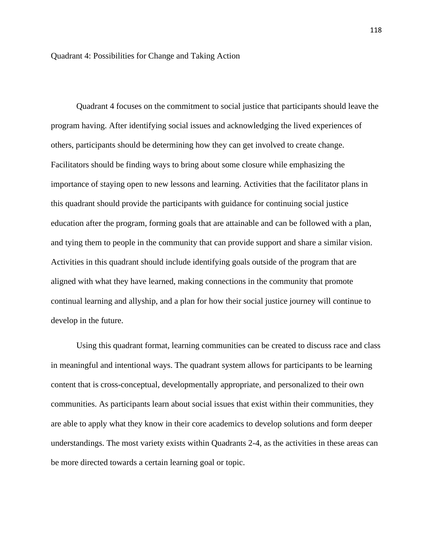Quadrant 4 focuses on the commitment to social justice that participants should leave the program having. After identifying social issues and acknowledging the lived experiences of others, participants should be determining how they can get involved to create change. Facilitators should be finding ways to bring about some closure while emphasizing the importance of staying open to new lessons and learning. Activities that the facilitator plans in this quadrant should provide the participants with guidance for continuing social justice education after the program, forming goals that are attainable and can be followed with a plan, and tying them to people in the community that can provide support and share a similar vision. Activities in this quadrant should include identifying goals outside of the program that are aligned with what they have learned, making connections in the community that promote continual learning and allyship, and a plan for how their social justice journey will continue to develop in the future.

Using this quadrant format, learning communities can be created to discuss race and class in meaningful and intentional ways. The quadrant system allows for participants to be learning content that is cross-conceptual, developmentally appropriate, and personalized to their own communities. As participants learn about social issues that exist within their communities, they are able to apply what they know in their core academics to develop solutions and form deeper understandings. The most variety exists within Quadrants 2-4, as the activities in these areas can be more directed towards a certain learning goal or topic.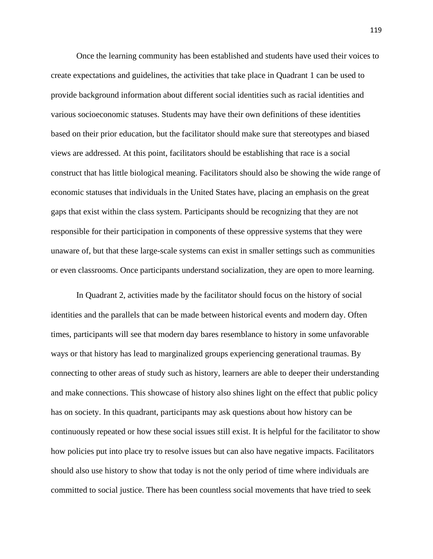Once the learning community has been established and students have used their voices to create expectations and guidelines, the activities that take place in Quadrant 1 can be used to provide background information about different social identities such as racial identities and various socioeconomic statuses. Students may have their own definitions of these identities based on their prior education, but the facilitator should make sure that stereotypes and biased views are addressed. At this point, facilitators should be establishing that race is a social construct that has little biological meaning. Facilitators should also be showing the wide range of economic statuses that individuals in the United States have, placing an emphasis on the great gaps that exist within the class system. Participants should be recognizing that they are not responsible for their participation in components of these oppressive systems that they were unaware of, but that these large-scale systems can exist in smaller settings such as communities or even classrooms. Once participants understand socialization, they are open to more learning.

In Quadrant 2, activities made by the facilitator should focus on the history of social identities and the parallels that can be made between historical events and modern day. Often times, participants will see that modern day bares resemblance to history in some unfavorable ways or that history has lead to marginalized groups experiencing generational traumas. By connecting to other areas of study such as history, learners are able to deeper their understanding and make connections. This showcase of history also shines light on the effect that public policy has on society. In this quadrant, participants may ask questions about how history can be continuously repeated or how these social issues still exist. It is helpful for the facilitator to show how policies put into place try to resolve issues but can also have negative impacts. Facilitators should also use history to show that today is not the only period of time where individuals are committed to social justice. There has been countless social movements that have tried to seek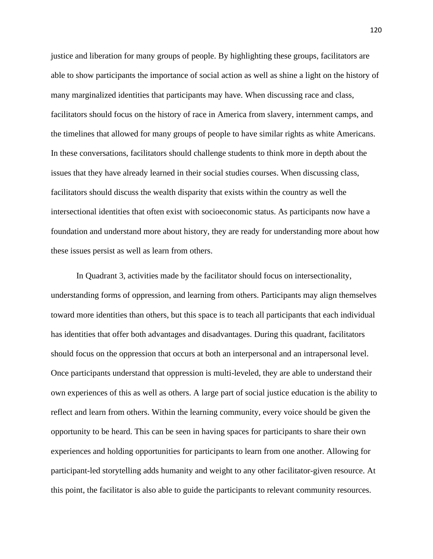justice and liberation for many groups of people. By highlighting these groups, facilitators are able to show participants the importance of social action as well as shine a light on the history of many marginalized identities that participants may have. When discussing race and class, facilitators should focus on the history of race in America from slavery, internment camps, and the timelines that allowed for many groups of people to have similar rights as white Americans. In these conversations, facilitators should challenge students to think more in depth about the issues that they have already learned in their social studies courses. When discussing class, facilitators should discuss the wealth disparity that exists within the country as well the intersectional identities that often exist with socioeconomic status. As participants now have a foundation and understand more about history, they are ready for understanding more about how these issues persist as well as learn from others.

In Quadrant 3, activities made by the facilitator should focus on intersectionality, understanding forms of oppression, and learning from others. Participants may align themselves toward more identities than others, but this space is to teach all participants that each individual has identities that offer both advantages and disadvantages. During this quadrant, facilitators should focus on the oppression that occurs at both an interpersonal and an intrapersonal level. Once participants understand that oppression is multi-leveled, they are able to understand their own experiences of this as well as others. A large part of social justice education is the ability to reflect and learn from others. Within the learning community, every voice should be given the opportunity to be heard. This can be seen in having spaces for participants to share their own experiences and holding opportunities for participants to learn from one another. Allowing for participant-led storytelling adds humanity and weight to any other facilitator-given resource. At this point, the facilitator is also able to guide the participants to relevant community resources.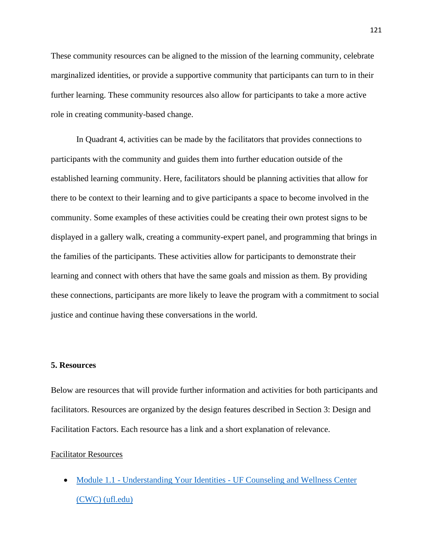These community resources can be aligned to the mission of the learning community, celebrate marginalized identities, or provide a supportive community that participants can turn to in their further learning. These community resources also allow for participants to take a more active role in creating community-based change.

In Quadrant 4, activities can be made by the facilitators that provides connections to participants with the community and guides them into further education outside of the established learning community. Here, facilitators should be planning activities that allow for there to be context to their learning and to give participants a space to become involved in the community. Some examples of these activities could be creating their own protest signs to be displayed in a gallery walk, creating a community-expert panel, and programming that brings in the families of the participants. These activities allow for participants to demonstrate their learning and connect with others that have the same goals and mission as them. By providing these connections, participants are more likely to leave the program with a commitment to social justice and continue having these conversations in the world.

# **5. Resources**

Below are resources that will provide further information and activities for both participants and facilitators. Resources are organized by the design features described in Section 3: Design and Facilitation Factors. Each resource has a link and a short explanation of relevance.

# Facilitator Resources

• Module 1.1 - Understanding Your Identities - [UF Counseling and Wellness Center](https://counseling.ufl.edu/resources/bam/module1-1/)  [\(CWC\) \(ufl.edu\)](https://counseling.ufl.edu/resources/bam/module1-1/)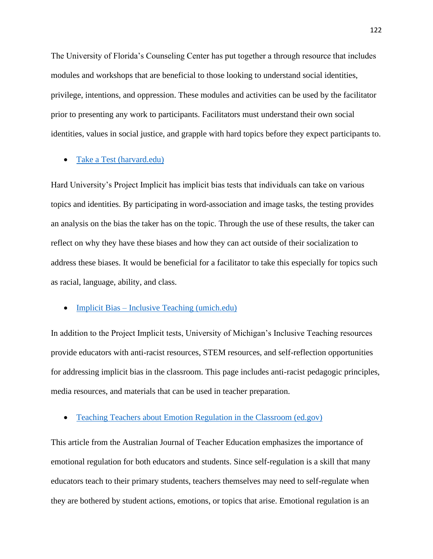The University of Florida's Counseling Center has put together a through resource that includes modules and workshops that are beneficial to those looking to understand social identities, privilege, intentions, and oppression. These modules and activities can be used by the facilitator prior to presenting any work to participants. Facilitators must understand their own social identities, values in social justice, and grapple with hard topics before they expect participants to.

# • [Take a Test \(harvard.edu\)](https://implicit.harvard.edu/implicit/takeatest.html)

Hard University's Project Implicit has implicit bias tests that individuals can take on various topics and identities. By participating in word-association and image tasks, the testing provides an analysis on the bias the taker has on the topic. Through the use of these results, the taker can reflect on why they have these biases and how they can act outside of their socialization to address these biases. It would be beneficial for a facilitator to take this especially for topics such as racial, language, ability, and class.

#### • Implicit Bias – [Inclusive Teaching \(umich.edu\)](https://sites.lsa.umich.edu/inclusive-teaching/implicit-bias/)

In addition to the Project Implicit tests, University of Michigan's Inclusive Teaching resources provide educators with anti-racist resources, STEM resources, and self-reflection opportunities for addressing implicit bias in the classroom. This page includes anti-racist pedagogic principles, media resources, and materials that can be used in teacher preparation.

#### • [Teaching Teachers about Emotion Regulation in the Classroom \(ed.gov\)](https://files.eric.ed.gov/fulltext/EJ920029.pdf)

This article from the Australian Journal of Teacher Education emphasizes the importance of emotional regulation for both educators and students. Since self-regulation is a skill that many educators teach to their primary students, teachers themselves may need to self-regulate when they are bothered by student actions, emotions, or topics that arise. Emotional regulation is an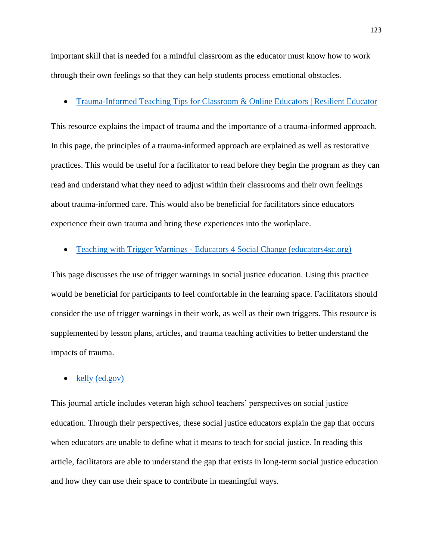important skill that is needed for a mindful classroom as the educator must know how to work through their own feelings so that they can help students process emotional obstacles.

# • [Trauma-Informed Teaching Tips for Classroom & Online Educators | Resilient Educator](https://resilienteducator.com/classroom-resources/trauma-informed-teaching-tips/)

This resource explains the impact of trauma and the importance of a trauma-informed approach. In this page, the principles of a trauma-informed approach are explained as well as restorative practices. This would be useful for a facilitator to read before they begin the program as they can read and understand what they need to adjust within their classrooms and their own feelings about trauma-informed care. This would also be beneficial for facilitators since educators experience their own trauma and bring these experiences into the workplace.

# • Teaching with Trigger Warnings - [Educators 4 Social Change \(educators4sc.org\)](https://educators4sc.org/classroom-practices/teaching-with-trigger-warnings/)

This page discusses the use of trigger warnings in social justice education. Using this practice would be beneficial for participants to feel comfortable in the learning space. Facilitators should consider the use of trigger warnings in their work, as well as their own triggers. This resource is supplemented by lesson plans, articles, and trauma teaching activities to better understand the impacts of trauma.

#### • [kelly \(ed.gov\)](https://files.eric.ed.gov/fulltext/EJ796111.pdf#:~:text=At%20the%20same%20time%2C%20teachers%20committed%20to%20teaching,are%20trying%20to%20change%E2%80%9D%20%28Ellsworth%2C%201989%2C%20p.%20310%29.)

This journal article includes veteran high school teachers' perspectives on social justice education. Through their perspectives, these social justice educators explain the gap that occurs when educators are unable to define what it means to teach for social justice. In reading this article, facilitators are able to understand the gap that exists in long-term social justice education and how they can use their space to contribute in meaningful ways.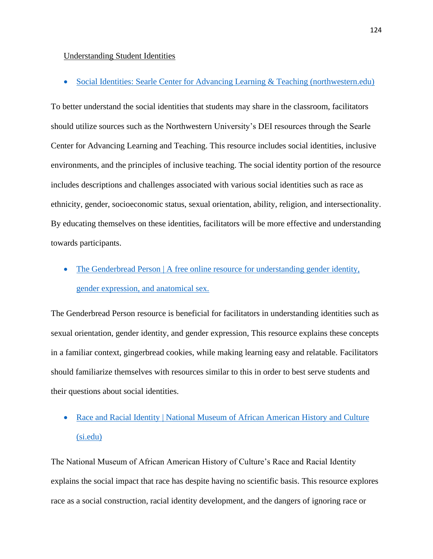#### Understanding Student Identities

• [Social Identities: Searle Center for Advancing Learning & Teaching \(northwestern.edu\)](https://www.northwestern.edu/searle/initiatives/diversity-equity-inclusion/social-identities.html)

To better understand the social identities that students may share in the classroom, facilitators should utilize sources such as the Northwestern University's DEI resources through the Searle Center for Advancing Learning and Teaching. This resource includes social identities, inclusive environments, and the principles of inclusive teaching. The social identity portion of the resource includes descriptions and challenges associated with various social identities such as race as ethnicity, gender, socioeconomic status, sexual orientation, ability, religion, and intersectionality. By educating themselves on these identities, facilitators will be more effective and understanding towards participants.

• The Genderbread Person | A free online resource for understanding gender identity, [gender expression, and anatomical sex.](https://www.genderbread.org/)

The Genderbread Person resource is beneficial for facilitators in understanding identities such as sexual orientation, gender identity, and gender expression, This resource explains these concepts in a familiar context, gingerbread cookies, while making learning easy and relatable. Facilitators should familiarize themselves with resources similar to this in order to best serve students and their questions about social identities.

# • Race and Racial Identity | National Museum of African American History and Culture [\(si.edu\)](https://nmaahc.si.edu/learn/talking-about-race/topics/race-and-racial-identity)

The National Museum of African American History of Culture's Race and Racial Identity explains the social impact that race has despite having no scientific basis. This resource explores race as a social construction, racial identity development, and the dangers of ignoring race or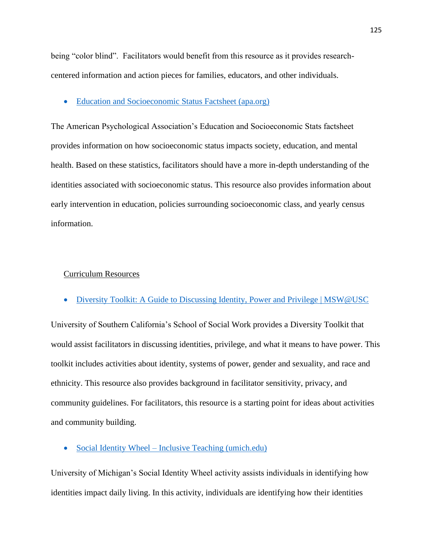being "color blind". Facilitators would benefit from this resource as it provides researchcentered information and action pieces for families, educators, and other individuals.

# • [Education and Socioeconomic Status Factsheet \(apa.org\)](https://www.apa.org/pi/ses/resources/publications/education)

The American Psychological Association's Education and Socioeconomic Stats factsheet provides information on how socioeconomic status impacts society, education, and mental health. Based on these statistics, facilitators should have a more in-depth understanding of the identities associated with socioeconomic status. This resource also provides information about early intervention in education, policies surrounding socioeconomic class, and yearly census information.

### Curriculum Resources

• [Diversity Toolkit: A Guide to Discussing Identity, Power and Privilege | MSW@USC](https://msw.usc.edu/mswusc-blog/diversity-workshop-guide-to-discussing-identity-power-and-privilege/#unpack)

University of Southern California's School of Social Work provides a Diversity Toolkit that would assist facilitators in discussing identities, privilege, and what it means to have power. This toolkit includes activities about identity, systems of power, gender and sexuality, and race and ethnicity. This resource also provides background in facilitator sensitivity, privacy, and community guidelines. For facilitators, this resource is a starting point for ideas about activities and community building.

• Social Identity Wheel – [Inclusive Teaching \(umich.edu\)](https://sites.lsa.umich.edu/inclusive-teaching/social-identity-wheel/)

University of Michigan's Social Identity Wheel activity assists individuals in identifying how identities impact daily living. In this activity, individuals are identifying how their identities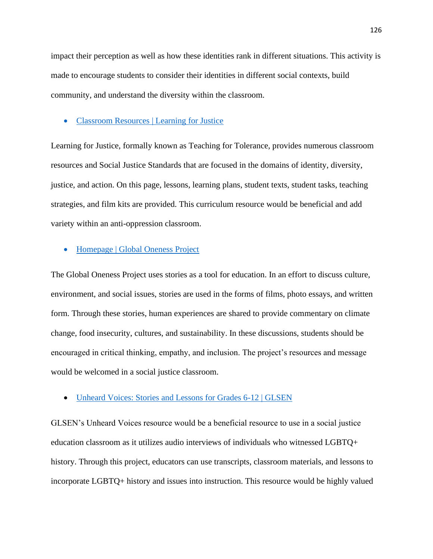impact their perception as well as how these identities rank in different situations. This activity is made to encourage students to consider their identities in different social contexts, build community, and understand the diversity within the classroom.

#### • [Classroom Resources | Learning for Justice](https://www.learningforjustice.org/classroom-resources)

Learning for Justice, formally known as Teaching for Tolerance, provides numerous classroom resources and Social Justice Standards that are focused in the domains of identity, diversity, justice, and action. On this page, lessons, learning plans, student texts, student tasks, teaching strategies, and film kits are provided. This curriculum resource would be beneficial and add variety within an anti-oppression classroom.

# • [Homepage | Global Oneness Project](https://www.globalonenessproject.org/)

The Global Oneness Project uses stories as a tool for education. In an effort to discuss culture, environment, and social issues, stories are used in the forms of films, photo essays, and written form. Through these stories, human experiences are shared to provide commentary on climate change, food insecurity, cultures, and sustainability. In these discussions, students should be encouraged in critical thinking, empathy, and inclusion. The project's resources and message would be welcomed in a social justice classroom.

#### • [Unheard Voices: Stories and Lessons for Grades 6-12 | GLSEN](https://www.glsen.org/activity/unheard-voices-stories-and-lessons-grades-6-12)

GLSEN's Unheard Voices resource would be a beneficial resource to use in a social justice education classroom as it utilizes audio interviews of individuals who witnessed LGBTQ+ history. Through this project, educators can use transcripts, classroom materials, and lessons to incorporate LGBTQ+ history and issues into instruction. This resource would be highly valued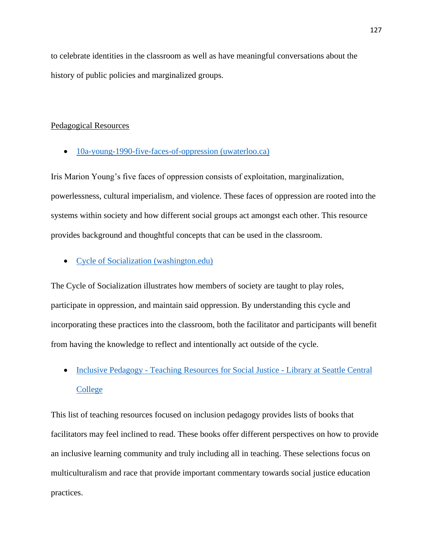to celebrate identities in the classroom as well as have meaningful conversations about the history of public policies and marginalized groups.

# Pedagogical Resources

• [10a-young-1990-five-faces-of-oppression \(uwaterloo.ca\)](https://contensis.uwaterloo.ca/sites/courses-archive/1185/PHIL-324/media/documents/10a-young-1990-five-faces-of-oppression.pdf)

Iris Marion Young's five faces of oppression consists of exploitation, marginalization, powerlessness, cultural imperialism, and violence. These faces of oppression are rooted into the systems within society and how different social groups act amongst each other. This resource provides background and thoughtful concepts that can be used in the classroom.

• [Cycle of Socialization \(washington.edu\)](https://depts.washington.edu/fammed/wp-content/uploads/2018/06/Cycle_ofSocializationHandout.pdf)

The Cycle of Socialization illustrates how members of society are taught to play roles, participate in oppression, and maintain said oppression. By understanding this cycle and incorporating these practices into the classroom, both the facilitator and participants will benefit from having the knowledge to reflect and intentionally act outside of the cycle.

• Inclusive Pedagogy - [Teaching Resources for Social Justice -](https://libguides.seattlecentral.edu/teaching-resources-for-social-justice/pedagogy) Library at Seattle Central [College](https://libguides.seattlecentral.edu/teaching-resources-for-social-justice/pedagogy)

This list of teaching resources focused on inclusion pedagogy provides lists of books that facilitators may feel inclined to read. These books offer different perspectives on how to provide an inclusive learning community and truly including all in teaching. These selections focus on multiculturalism and race that provide important commentary towards social justice education practices.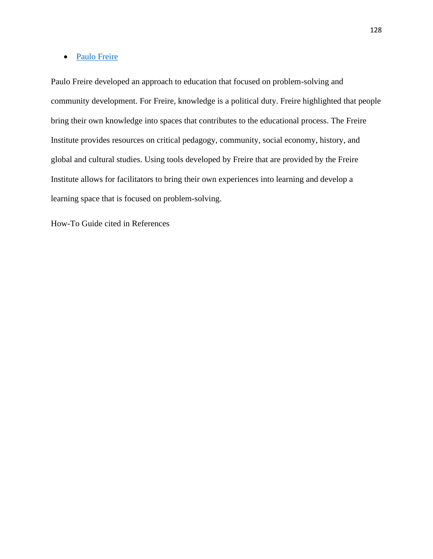# • [Paulo Freire](https://www.freire.org/paulo-freire/)

Paulo Freire developed an approach to education that focused on problem-solving and community development. For Freire, knowledge is a political duty. Freire highlighted that people bring their own knowledge into spaces that contributes to the educational process. The Freire Institute provides resources on critical pedagogy, community, social economy, history, and global and cultural studies. Using tools developed by Freire that are provided by the Freire Institute allows for facilitators to bring their own experiences into learning and develop a learning space that is focused on problem-solving.

How-To Guide cited in References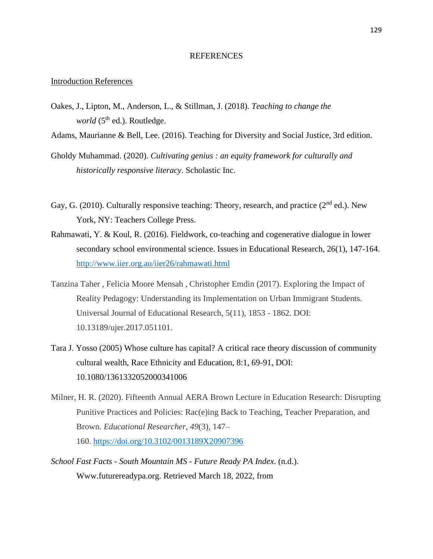#### REFERENCES

#### Introduction References

Oakes, J., Lipton, M., Anderson, L., & Stillman, J. (2018). *Teaching to change the world* (5<sup>th</sup> ed.). Routledge.

Adams, Maurianne & Bell, Lee. (2016). Teaching for Diversity and Social Justice, 3rd edition.

- Gholdy Muhammad. (2020). *Cultivating genius : an equity framework for culturally and historically responsive literacy*. Scholastic Inc.
- Gay, G. (2010). Culturally responsive teaching: Theory, research, and practice ( $2<sup>nd</sup>$  ed.). New York, NY: Teachers College Press.
- Rahmawati, Y. & Koul, R. (2016). Fieldwork, co-teaching and cogenerative dialogue in lower secondary school environmental science. Issues in Educational Research, 26(1), 147-164. <http://www.iier.org.au/iier26/rahmawati.html>
- Tanzina Taher , Felicia Moore Mensah , Christopher Emdin (2017). Exploring the Impact of Reality Pedagogy: Understanding its Implementation on Urban Immigrant Students. Universal Journal of Educational Research, 5(11), 1853 - 1862. DOI: 10.13189/ujer.2017.051101.
- Tara J. Yosso (2005) Whose culture has capital? A critical race theory discussion of community cultural wealth, Race Ethnicity and Education, 8:1, 69-91, DOI: 10.1080/1361332052000341006
- Milner, H. R. (2020). Fifteenth Annual AERA Brown Lecture in Education Research: Disrupting Punitive Practices and Policies: Rac(e)ing Back to Teaching, Teacher Preparation, and Brown. *Educational Researcher*, *49*(3), 147– 160. <https://doi.org/10.3102/0013189X20907396>
- *School Fast Facts - South Mountain MS - Future Ready PA Index*. (n.d.). Www.futurereadypa.org. Retrieved March 18, 2022, from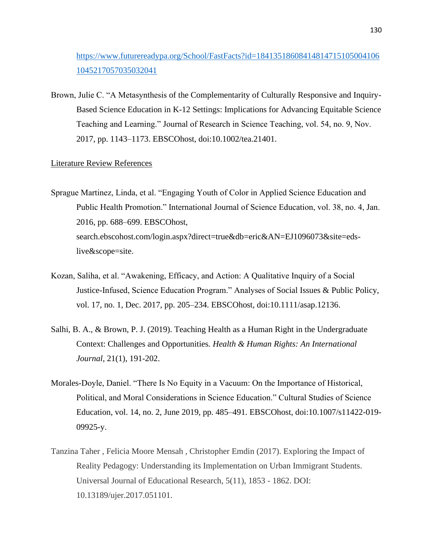# [https://www.futurereadypa.org/School/FastFacts?id=18413518608414814715105004106](https://www.futurereadypa.org/School/FastFacts?id=184135186084148147151050041061045217057035032041) [1045217057035032041](https://www.futurereadypa.org/School/FastFacts?id=184135186084148147151050041061045217057035032041)

Brown, Julie C. "A Metasynthesis of the Complementarity of Culturally Responsive and Inquiry-Based Science Education in K-12 Settings: Implications for Advancing Equitable Science Teaching and Learning." Journal of Research in Science Teaching, vol. 54, no. 9, Nov. 2017, pp. 1143–1173. EBSCOhost, doi:10.1002/tea.21401.

### Literature Review References

Sprague Martinez, Linda, et al. "Engaging Youth of Color in Applied Science Education and Public Health Promotion." International Journal of Science Education, vol. 38, no. 4, Jan. 2016, pp. 688–699. EBSCOhost, search.ebscohost.com/login.aspx?direct=true&db=eric&AN=EJ1096073&site=edslive&scope=site.

- Kozan, Saliha, et al. "Awakening, Efficacy, and Action: A Qualitative Inquiry of a Social Justice-Infused, Science Education Program." Analyses of Social Issues & Public Policy, vol. 17, no. 1, Dec. 2017, pp. 205–234. EBSCOhost, doi:10.1111/asap.12136.
- Salhi, B. A., & Brown, P. J. (2019). Teaching Health as a Human Right in the Undergraduate Context: Challenges and Opportunities*. Health & Human Rights: An International Journal*, 21(1), 191-202.
- Morales-Doyle, Daniel. "There Is No Equity in a Vacuum: On the Importance of Historical, Political, and Moral Considerations in Science Education." Cultural Studies of Science Education, vol. 14, no. 2, June 2019, pp. 485–491. EBSCOhost, doi:10.1007/s11422-019- 09925-y.
- Tanzina Taher , Felicia Moore Mensah , Christopher Emdin (2017). Exploring the Impact of Reality Pedagogy: Understanding its Implementation on Urban Immigrant Students. Universal Journal of Educational Research, 5(11), 1853 - 1862. DOI: 10.13189/ujer.2017.051101.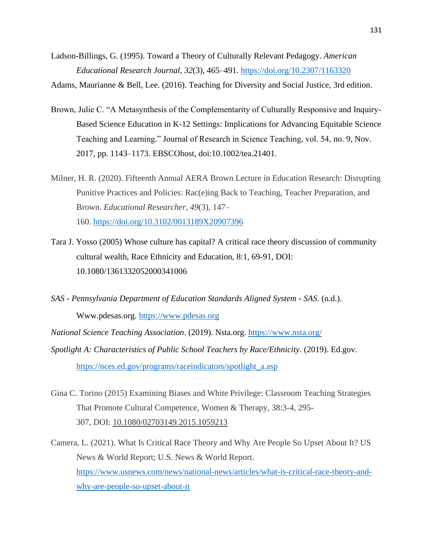Ladson-Billings, G. (1995). Toward a Theory of Culturally Relevant Pedagogy. *American Educational Research Journal*, *32*(3), 465–491.<https://doi.org/10.2307/1163320>

Adams, Maurianne & Bell, Lee. (2016). Teaching for Diversity and Social Justice, 3rd edition.

- Brown, Julie C. "A Metasynthesis of the Complementarity of Culturally Responsive and Inquiry-Based Science Education in K-12 Settings: Implications for Advancing Equitable Science Teaching and Learning." Journal of Research in Science Teaching, vol. 54, no. 9, Nov. 2017, pp. 1143–1173. EBSCOhost, doi:10.1002/tea.21401.
- Milner, H. R. (2020). Fifteenth Annual AERA Brown Lecture in Education Research: Disrupting Punitive Practices and Policies: Rac(e)ing Back to Teaching, Teacher Preparation, and Brown. *Educational Researcher*, *49*(3), 147– 160. <https://doi.org/10.3102/0013189X20907396>
- Tara J. Yosso (2005) Whose culture has capital? A critical race theory discussion of community cultural wealth, Race Ethnicity and Education, 8:1, 69-91, DOI: 10.1080/1361332052000341006
- *SAS - Pennsylvania Department of Education Standards Aligned System - SAS*. (n.d.). Www.pdesas.org. [https://www.pdesas.org](https://www.pdesas.org/)
- *National Science Teaching Association*. (2019). Nsta.org.<https://www.nsta.org/>
- *Spotlight A: Characteristics of Public School Teachers by Race/Ethnicity*. (2019). Ed.gov. [https://nces.ed.gov/programs/raceindicators/spotlight\\_a.asp](https://nces.ed.gov/programs/raceindicators/spotlight_a.asp)
- Gina C. Torino (2015) Examining Biases and White Privilege: Classroom Teaching Strategies That Promote Cultural Competence, Women & Therapy, 38:3-4, 295- 307, DOI: [10.1080/02703149.2015.1059213](https://doi.org/10.1080/02703149.2015.1059213)
- Camera, L. (2021). What Is Critical Race Theory and Why Are People So Upset About It? US News & World Report; U.S. News & World Report. [https://www.usnews.com/news/national-news/articles/what-is-critical-race-theory-and](https://www.usnews.com/news/national-news/articles/what-is-critical-race-theory-and-why-are-people-so-upset-about-it)[why-are-people-so-upset-about-it](https://www.usnews.com/news/national-news/articles/what-is-critical-race-theory-and-why-are-people-so-upset-about-it)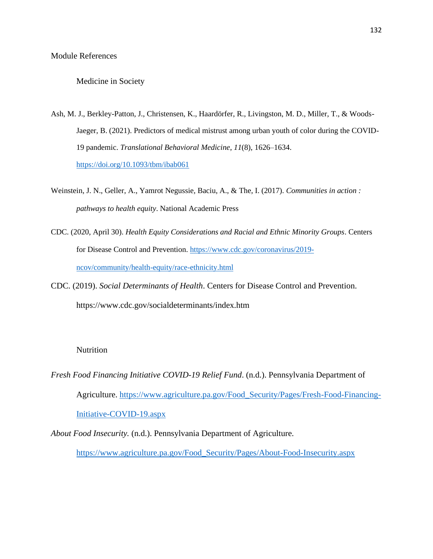# Medicine in Society

- Ash, M. J., Berkley-Patton, J., Christensen, K., Haardörfer, R., Livingston, M. D., Miller, T., & Woods-Jaeger, B. (2021). Predictors of medical mistrust among urban youth of color during the COVID-19 pandemic. *Translational Behavioral Medicine*, *11*(8), 1626–1634. https://doi.org/10.1093/tbm/ibab061
- Weinstein, J. N., Geller, A., Yamrot Negussie, Baciu, A., & The, I. (2017). *Communities in action : pathways to health equity*. National Academic Press
- CDC. (2020, April 30). *Health Equity Considerations and Racial and Ethnic Minority Groups*. Centers for Disease Control and Prevention. https://www.cdc.gov/coronavirus/2019 ncov/community/health-equity/race-ethnicity.html
- CDC. (2019). *Social Determinants of Health*. Centers for Disease Control and Prevention. https://www.cdc.gov/socialdeterminants/index.htm

# Nutrition

- *Fresh Food Financing Initiative COVID-19 Relief Fund*. (n.d.). Pennsylvania Department of Agriculture. https://www.agriculture.pa.gov/Food\_Security/Pages/Fresh-Food-Financing-Initiative-COVID-19.aspx
- *About Food Insecurity.* (n.d.). Pennsylvania Department of Agriculture.

https://www.agriculture.pa.gov/Food\_Security/Pages/About-Food-Insecurity.aspx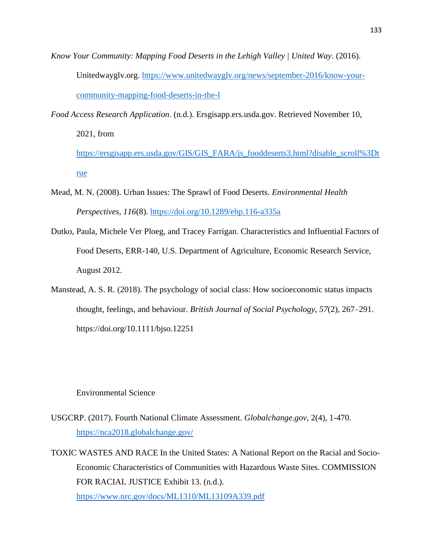- *Know Your Community: Mapping Food Deserts in the Lehigh Valley | United Way*. (2016). Unitedwayglv.org. https://www.unitedwayglv.org/news/september-2016/know-yourcommunity-mapping-food-deserts-in-the-l
- *Food Access Research Application*. (n.d.). Ersgisapp.ers.usda.gov. Retrieved November 10, 2021, from https://ersgisapp.ers.usda.gov/GIS/GIS\_FARA/js\_fooddeserts3.html?disable\_scroll%3Dt rue
- Mead, M. N. (2008). Urban Issues: The Sprawl of Food Deserts. *Environmental Health Perspectives*, *116*(8). https://doi.org/10.1289/ehp.116-a335a
- Dutko, Paula, Michele Ver Ploeg, and Tracey Farrigan. Characteristics and Influential Factors of Food Deserts, ERR-140, U.S. Department of Agriculture, Economic Research Service, August 2012.
- Manstead, A. S. R. (2018). The psychology of social class: How socioeconomic status impacts thought, feelings, and behaviour. *British Journal of Social Psychology*, *57*(2), 267–291. https://doi.org/10.1111/bjso.12251

# Environmental Science

- USGCRP. (2017). Fourth National Climate Assessment. *Globalchange.gov*, 2(4), 1-470. https://nca2018.globalchange.gov/
- TOXIC WASTES AND RACE In the United States: A National Report on the Racial and Socio-Economic Characteristics of Communities with Hazardous Waste Sites. COMMISSION FOR RACIAL JUSTICE Exhibit 13. (n.d.). https://www.nrc.gov/docs/ML1310/ML13109A339.pdf